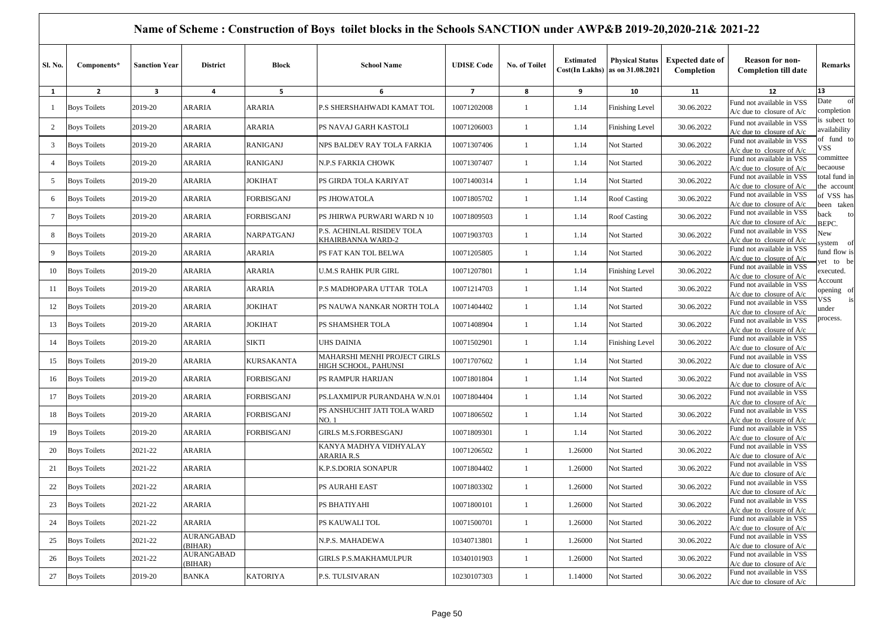|                 |                     |                      |                              |                   | Name of Scheme: Construction of Boys toilet blocks in the Schools SANCTION under AWP&B 2019-20,2020-21& 2021-22 |                   |                |                  |                                                           |                                       |                                                                            |                              |
|-----------------|---------------------|----------------------|------------------------------|-------------------|-----------------------------------------------------------------------------------------------------------------|-------------------|----------------|------------------|-----------------------------------------------------------|---------------------------------------|----------------------------------------------------------------------------|------------------------------|
| Sl. No.         | Components*         | <b>Sanction Year</b> | <b>District</b>              | <b>Block</b>      | <b>School Name</b>                                                                                              | <b>UDISE Code</b> | No. of Toilet  | <b>Estimated</b> | <b>Physical Status</b><br>Cost(In Lakhs) as on 31.08.2021 | <b>Expected date of</b><br>Completion | <b>Reason for non-</b><br><b>Completion till date</b>                      | Remarks                      |
| 1               | $\overline{2}$      | 3                    | 4                            | 5                 | 6                                                                                                               | $\overline{7}$    | 8              | 9                | 10                                                        | 11                                    | 12                                                                         | 13                           |
| -1              | <b>Boys Toilets</b> | 2019-20              | <b>ARARIA</b>                | ARARIA            | P.S SHERSHAHWADI KAMAT TOL                                                                                      | 10071202008       | -1             | 1.14             | Finishing Level                                           | 30.06.2022                            | Fund not available in VSS<br>$A/c$ due to closure of $A/c$                 | Date<br>of<br>completion     |
| $\overline{2}$  | <b>Boys Toilets</b> | 2019-20              | <b>ARARIA</b>                | ARARIA            | PS NAVAJ GARH KASTOLI                                                                                           | 10071206003       | -1             | 1.14             | <b>Finishing Level</b>                                    | 30.06.2022                            | Fund not available in VSS<br>$A/c$ due to closure of $A/c$                 | is subect to<br>availability |
| $\overline{3}$  | <b>Boys Toilets</b> | 2019-20              | <b>ARARIA</b>                | <b>RANIGANJ</b>   | NPS BALDEV RAY TOLA FARKIA                                                                                      | 10071307406       | -1             | 1.14             | Not Started                                               | 30.06.2022                            | Fund not available in VSS<br>$A/c$ due to closure of $A/c$                 | of fund to<br>√SS            |
| $\overline{4}$  | <b>Boys Toilets</b> | 2019-20              | <b>ARARIA</b>                | <b>RANIGANJ</b>   | <b>N.P.S FARKIA CHOWK</b>                                                                                       | 10071307407       | -1             | 1.14             | Not Started                                               | 30.06.2022                            | Fund not available in VSS<br>A/c due to closure of A/c                     | committee<br>becaouse        |
| 5               | <b>Boys Toilets</b> | 2019-20              | <b>ARARIA</b>                | JOKIHAT           | PS GIRDA TOLA KARIYAT                                                                                           | 10071400314       | -1             | 1.14             | Not Started                                               | 30.06.2022                            | Fund not available in VSS<br>$A/c$ due to closure of $A/c$                 | total fund in<br>the account |
| 6               | <b>Boys Toilets</b> | 2019-20              | <b>ARARIA</b>                | <b>FORBISGANJ</b> | PS JHOWATOLA                                                                                                    | 10071805702       | -1             | 1.14             | <b>Roof Casting</b>                                       | 30.06.2022                            | Fund not available in VSS<br>$\frac{A}{c}$ due to closure of $\frac{A}{c}$ | of VSS has<br>been taken     |
| $7\phantom{.0}$ | <b>Boys Toilets</b> | 2019-20              | ARARIA                       | FORBISGANJ        | PS JHIRWA PURWARI WARD N 10                                                                                     | 10071809503       | $\overline{1}$ | 1.14             | Roof Casting                                              | 30.06.2022                            | Fund not available in VSS<br>$A/c$ due to closure of $A/c$                 | to<br>back<br>BEPC.          |
| 8               | <b>Boys Toilets</b> | 2019-20              | ARARIA                       | NARPATGANJ        | P.S. ACHINLAL RISIDEV TOLA<br>KHAIRBANNA WARD-2                                                                 | 10071903703       | -1             | 1.14             | Not Started                                               | 30.06.2022                            | Fund not available in VSS<br>A/c due to closure of $A/c$                   | Vew<br>ystem<br>- of         |
| 9               | <b>Boys Toilets</b> | 2019-20              | <b>ARARIA</b>                | <b>ARARIA</b>     | PS FAT KAN TOL BELWA                                                                                            | 10071205805       | -1             | 1.14             | Not Started                                               | 30.06.2022                            | Fund not available in VSS<br>$A/c$ due to closure of $A/c$                 | fund flow is<br>et to be     |
| 10              | <b>Boys Toilets</b> | 2019-20              | ARARIA                       | ARARIA            | <b>U.M.S RAHIK PUR GIRL</b>                                                                                     | 10071207801       | $\mathbf{1}$   | 1.14             | <b>Finishing Level</b>                                    | 30.06.2022                            | Fund not available in VSS<br>$A/c$ due to closure of $A/c$                 | xecuted.<br><b>Account</b>   |
| -11             | <b>Boys Toilets</b> | 2019-20              | <b>ARARIA</b>                | ARARIA            | P.S MADHOPARA UTTAR TOLA                                                                                        | 10071214703       | -1             | 1.14             | Not Started                                               | 30.06.2022                            | Fund not available in VSS<br>$A/c$ due to closure of $A/c$                 | pening of                    |
| 12              | <b>Boys Toilets</b> | 2019-20              | <b>ARARIA</b>                | <b>JOKIHAT</b>    | PS NAUWA NANKAR NORTH TOLA                                                                                      | 10071404402       | $\overline{1}$ | 1.14             | Not Started                                               | 30.06.2022                            | Fund not available in VSS<br>A/c due to closure of A/c                     | 7SS<br>is<br>under           |
| 13              | <b>Boys Toilets</b> | 2019-20              | ARARIA                       | JOKIHAT           | PS SHAMSHER TOLA                                                                                                | 10071408904       | -1             | 1.14             | Not Started                                               | 30.06.2022                            | Fund not available in VSS<br>A/c due to closure of $A/c$                   | rocess.                      |
| 14              | <b>Boys Toilets</b> | 2019-20              | <b>ARARIA</b>                | <b>SIKTI</b>      | <b>UHS DAINIA</b>                                                                                               | 10071502901       | -1             | 1.14             | Finishing Level                                           | 30.06.2022                            | Fund not available in VSS<br>$A/c$ due to closure of $A/c$                 |                              |
| 15              | <b>Boys Toilets</b> | 2019-20              | ARARIA                       | KURSAKANTA        | MAHARSHI MENHI PROJECT GIRLS<br>HIGH SCHOOL, PAHUNSI                                                            | 10071707602       | $\mathbf{1}$   | 1.14             | Not Started                                               | 30.06.2022                            | Fund not available in VSS<br>$A/c$ due to closure of $A/c$                 |                              |
| 16              | <b>Boys Toilets</b> | 2019-20              | <b>ARARIA</b>                | FORBISGANJ        | PS RAMPUR HARIJAN                                                                                               | 10071801804       | -1             | 1.14             | Not Started                                               | 30.06.2022                            | Fund not available in VSS<br>A/c due to closure of A/c                     |                              |
| 17              | <b>Boys Toilets</b> | 2019-20              | <b>ARARIA</b>                | FORBISGANJ        | PS.LAXMIPUR PURANDAHA W.N.01                                                                                    | 10071804404       | $\mathbf{1}$   | 1.14             | Not Started                                               | 30.06.2022                            | Fund not available in VSS<br>A/c due to closure of $A/c$                   |                              |
| 18              | <b>Boys Toilets</b> | 2019-20              | ARARIA                       | FORBISGANJ        | PS ANSHUCHIT JATI TOLA WARD<br>NO. 1                                                                            | 10071806502       | $\mathbf{1}$   | 1.14             | Not Started                                               | 30.06.2022                            | Fund not available in VSS<br>A/c due to closure of $A/c$                   |                              |
| 19              | <b>Boys Toilets</b> | 2019-20              | <b>ARARIA</b>                | <b>FORBISGANJ</b> | <b>GIRLS M.S.FORBESGANJ</b>                                                                                     | 10071809301       | -1             | 1.14             | Not Started                                               | 30.06.2022                            | Fund not available in VSS<br>$A/c$ due to closure of $A/c$                 |                              |
| 20              | <b>Boys Toilets</b> | 2021-22              | ARARIA                       |                   | KANYA MADHYA VIDHYALAY<br>ARARIA R.S                                                                            | 10071206502       | $\mathbf{1}$   | 1.26000          | Not Started                                               | 30.06.2022                            | Fund not available in VSS<br>A/c due to closure of $A/c$                   |                              |
| 21              | <b>Boys Toilets</b> | 2021-22              | <b>ARARIA</b>                |                   | K.P.S.DORIA SONAPUR                                                                                             | 10071804402       | $\mathbf{1}$   | 1.26000          | Not Started                                               | 30.06.2022                            | Fund not available in VSS<br>$A/c$ due to closure of $A/c$                 |                              |
| 22              | <b>Boys Toilets</b> | 2021-22              | ARARIA                       |                   | <b>PS AURAHI EAST</b>                                                                                           | 10071803302       |                | 1.26000          | Not Started                                               | 30.06.2022                            | Fund not available in VSS<br>$A/c$ due to closure of $A/c$                 |                              |
| 23              | <b>Boys Toilets</b> | 2021-22              | ARARIA                       |                   | PS BHATIYAHI                                                                                                    | 10071800101       | $\mathbf{1}$   | 1.26000          | Not Started                                               | 30.06.2022                            | Fund not available in VSS<br>$A/c$ due to closure of $A/c$                 |                              |
| 24              | <b>Boys Toilets</b> | 2021-22              | ARARIA                       |                   | PS KAUWALI TOL                                                                                                  | 10071500701       | 1              | 1.26000          | Not Started                                               | 30.06.2022                            | Fund not available in VSS<br>$A/c$ due to closure of $A/c$                 |                              |
| 25              | <b>Boys Toilets</b> | 2021-22              | <b>AURANGABAD</b><br>(BIHAR) |                   | N.P.S. MAHADEWA                                                                                                 | 10340713801       | $\overline{1}$ | 1.26000          | Not Started                                               | 30.06.2022                            | Fund not available in VSS<br>$A/c$ due to closure of $A/c$                 |                              |
| 26              | <b>Boys Toilets</b> | 2021-22              | <b>AURANGABAD</b><br>(BIHAR) |                   | <b>GIRLS P.S.MAKHAMULPUR</b>                                                                                    | 10340101903       | $\mathbf{1}$   | 1.26000          | Not Started                                               | 30.06.2022                            | Fund not available in VSS<br>$A/c$ due to closure of $A/c$                 |                              |
| 27              | <b>Boys Toilets</b> | 2019-20              | <b>BANKA</b>                 | <b>KATORIYA</b>   | P.S. TULSIVARAN                                                                                                 | 10230107303       | $\mathbf{1}$   | 1.14000          | Not Started                                               | 30.06.2022                            | Fund not available in VSS<br>$A/c$ due to closure of $A/c$                 |                              |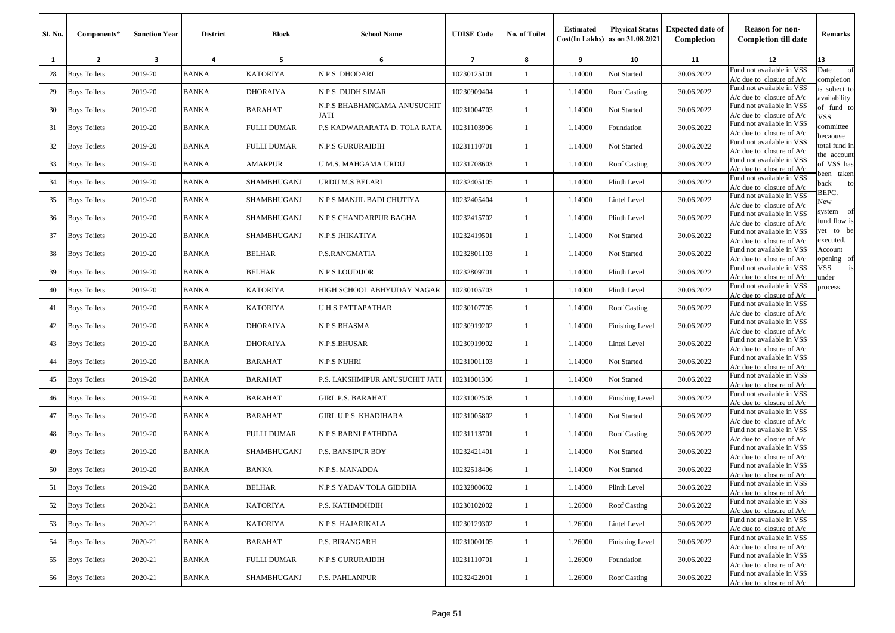| Sl. No. | Components*         | Sanction Year | <b>District</b> | <b>Block</b>       | <b>School Name</b>                  | <b>UDISE Code</b>        | <b>No. of Toilet</b> | <b>Estimated</b> | <b>Physical Status</b><br>$Cost(In$ Lakhs) as on $31.08.2021$ | <b>Expected date of</b><br>Completion | <b>Reason for non-</b><br><b>Completion till date</b>      | Remarks                      |
|---------|---------------------|---------------|-----------------|--------------------|-------------------------------------|--------------------------|----------------------|------------------|---------------------------------------------------------------|---------------------------------------|------------------------------------------------------------|------------------------------|
| 1       | $\mathbf{2}$        | 3             | 4               | 5                  | 6                                   | $\overline{\phantom{a}}$ | 8                    | 9                | 10                                                            | 11                                    | 12                                                         | 13                           |
| 28      | <b>Boys Toilets</b> | 2019-20       | <b>BANKA</b>    | <b>KATORIYA</b>    | N.P.S. DHODARI                      | 10230125101              | 1                    | 1.14000          | Not Started                                                   | 30.06.2022                            | Fund not available in VSS<br>$A/c$ due to closure of $A/c$ | of<br>Date<br>completion     |
| 29      | <b>Boys Toilets</b> | 2019-20       | <b>BANKA</b>    | <b>DHORAIYA</b>    | N.P.S. DUDH SIMAR                   | 10230909404              | 1                    | 1.14000          | Roof Casting                                                  | 30.06.2022                            | Fund not available in VSS<br>$A/c$ due to closure of $A/c$ | is subect to<br>ıvailability |
| 30      | <b>Boys Toilets</b> | 2019-20       | <b>BANKA</b>    | <b>BARAHAT</b>     | N.P.S BHABHANGAMA ANUSUCHIT<br>JATI | 10231004703              | $\mathbf{1}$         | 1.14000          | Not Started                                                   | 30.06.2022                            | Fund not available in VSS<br>A/c due to closure of A/c     | of fund to<br>VSS            |
| 31      | <b>Boys Toilets</b> | 2019-20       | <b>BANKA</b>    | <b>FULLI DUMAR</b> | P.S KADWARARATA D. TOLA RATA        | 10231103906              | -1                   | 1.14000          | Foundation                                                    | 30.06.2022                            | Fund not available in VSS<br>$A/c$ due to closure of $A/c$ | committee<br><b>pecaouse</b> |
| 32      | <b>Boys Toilets</b> | 2019-20       | <b>BANKA</b>    | <b>FULLI DUMAR</b> | <b>N.P.S GURURAIDIH</b>             | 10231110701              | 1                    | 1.14000          | Not Started                                                   | 30.06.2022                            | Fund not available in VSS<br>A/c due to closure of $A/c$   | total fund in<br>he account  |
| 33      | <b>Boys Toilets</b> | 2019-20       | <b>BANKA</b>    | AMARPUR            | <b>U.M.S. MAHGAMA URDU</b>          | 10231708603              | $\mathbf{1}$         | 1.14000          | <b>Roof Casting</b>                                           | 30.06.2022                            | Fund not available in VSS<br>$A/c$ due to closure of $A/c$ | of VSS has<br>veen taken     |
| 34      | <b>Boys Toilets</b> | 2019-20       | <b>BANKA</b>    | SHAMBHUGANJ        | <b>URDU M.S BELARI</b>              | 10232405105              | 1                    | 1.14000          | Plinth Level                                                  | 30.06.2022                            | Fund not available in VSS<br>$A/c$ due to closure of $A/c$ | back<br>to<br>BEPC.          |
| 35      | <b>Boys Toilets</b> | 2019-20       | <b>BANKA</b>    | SHAMBHUGANJ        | N.P.S MANJIL BADI CHUTIYA           | 10232405404              | 1                    | 1.14000          | Lintel Level                                                  | 30.06.2022                            | Fund not available in VSS<br>$A/c$ due to closure of $A/c$ | New                          |
| 36      | <b>Boys Toilets</b> | 2019-20       | BANKA           | SHAMBHUGANJ        | N.P.S CHANDARPUR BAGHA              | 10232415702              | 1                    | 1.14000          | Plinth Level                                                  | 30.06.2022                            | Fund not available in VSS<br>$A/c$ due to closure of $A/c$ | system of<br>fund flow is    |
| 37      | <b>Boys Toilets</b> | 2019-20       | <b>BANKA</b>    | SHAMBHUGANJ        | N.P.S JHIKATIYA                     | 10232419501              | 1                    | 1.14000          | Not Started                                                   | 30.06.2022                            | Fund not available in VSS<br>$A/c$ due to closure of $A/c$ | et to be<br>executed.        |
| 38      | <b>Boys Toilets</b> | 2019-20       | <b>BANKA</b>    | <b>BELHAR</b>      | P.S.RANGMATIA                       | 10232801103              | $\mathbf{1}$         | 1.14000          | Not Started                                                   | 30.06.2022                            | Fund not available in VSS<br>$A/c$ due to closure of $A/c$ | Account<br>pening of         |
| 39      | <b>Boys Toilets</b> | 2019-20       | <b>BANKA</b>    | <b>BELHAR</b>      | <b>N.P.S LOUDIJOR</b>               | 10232809701              | $\mathbf{1}$         | 1.14000          | Plinth Level                                                  | 30.06.2022                            | Fund not available in VSS<br>$A/c$ due to closure of $A/c$ | /SS<br>is<br>ınder           |
| 40      | <b>Boys Toilets</b> | 2019-20       | <b>BANKA</b>    | <b>KATORIYA</b>    | HIGH SCHOOL ABHYUDAY NAGAR          | 10230105703              | 1                    | 1.14000          | Plinth Level                                                  | 30.06.2022                            | Fund not available in VSS<br>A/c due to closure of A/c     | process.                     |
| 41      | <b>Boys Toilets</b> | 2019-20       | <b>BANKA</b>    | <b>KATORIYA</b>    | <b>U.H.S FATTAPATHAR</b>            | 10230107705              | $\mathbf{1}$         | 1.14000          | Roof Casting                                                  | 30.06.2022                            | Fund not available in VSS<br>$A/c$ due to closure of $A/c$ |                              |
| 42      | <b>Boys Toilets</b> | 2019-20       | <b>BANKA</b>    | <b>DHORAIYA</b>    | N.P.S.BHASMA                        | 10230919202              | -1                   | 1.14000          | Finishing Level                                               | 30.06.2022                            | Fund not available in VSS<br>$A/c$ due to closure of $A/c$ |                              |
| 43      | <b>Boys Toilets</b> | 2019-20       | <b>BANKA</b>    | <b>DHORAIYA</b>    | N.P.S.BHUSAR                        | 10230919902              | $\mathbf{1}$         | 1.14000          | Lintel Level                                                  | 30.06.2022                            | Fund not available in VSS<br>A/c due to closure of $A/c$   |                              |
| 44      | <b>Boys Toilets</b> | 2019-20       | <b>BANKA</b>    | <b>BARAHAT</b>     | <b>N.P.S NIJHRI</b>                 | 10231001103              | $\mathbf{1}$         | 1.14000          | Not Started                                                   | 30.06.2022                            | Fund not available in VSS<br>A/c due to closure of $A/c$   |                              |
| 45      | <b>Boys Toilets</b> | 2019-20       | <b>BANKA</b>    | <b>BARAHAT</b>     | P.S. LAKSHMIPUR ANUSUCHIT JATI      | 10231001306              | -1                   | 1.14000          | Not Started                                                   | 30.06.2022                            | Fund not available in VSS<br>$A/c$ due to closure of $A/c$ |                              |
| 46      | <b>Boys Toilets</b> | 2019-20       | BANKA           | <b>BARAHAT</b>     | <b>GIRL P.S. BARAHAT</b>            | 10231002508              | 1                    | 1.14000          | Finishing Level                                               | 30.06.2022                            | Fund not available in VSS<br>$A/c$ due to closure of $A/c$ |                              |
| 47      | <b>Boys Toilets</b> | 2019-20       | <b>BANKA</b>    | <b>BARAHAT</b>     | GIRL U.P.S. KHADIHARA               | 10231005802              | -1                   | 1.14000          | Not Started                                                   | 30.06.2022                            | Fund not available in VSS<br>$A/c$ due to closure of $A/c$ |                              |
| 48      | <b>Boys Toilets</b> | 2019-20       | <b>BANKA</b>    | <b>FULLI DUMAR</b> | N.P.S BARNI PATHDDA                 | 10231113701              | -1                   | 1.14000          | <b>Roof Casting</b>                                           | 30.06.2022                            | Fund not available in VSS<br>$A/c$ due to closure of $A/c$ |                              |
| 49      | <b>Boys Toilets</b> | 2019-20       | <b>BANKA</b>    | SHAMBHUGANJ        | <b>P.S. BANSIPUR BOY</b>            | 10232421401              | $\mathbf{1}$         | 1.14000          | Not Started                                                   | 30.06.2022                            | Fund not available in VSS<br>$A/c$ due to closure of $A/c$ |                              |
| 50      | <b>Boys Toilets</b> | 2019-20       | <b>BANKA</b>    | <b>BANKA</b>       | N.P.S. MANADDA                      | 10232518406              | 1                    | 1.14000          | Not Started                                                   | 30.06.2022                            | Fund not available in VSS<br>$A/c$ due to closure of $A/c$ |                              |
| 51      | <b>Boys Toilets</b> | 2019-20       | BANKA           | <b>BELHAR</b>      | N.P.S YADAV TOLA GIDDHA             | 10232800602              |                      | 1.14000          | Plinth Level                                                  | 30.06.2022                            | Fund not available in VSS<br>$A/c$ due to closure of $A/c$ |                              |
| 52      | <b>Boys Toilets</b> | 2020-21       | BANKA           | <b>KATORIYA</b>    | P.S. KATHMOHDIH                     | 10230102002              | $\mathbf{1}$         | 1.26000          | <b>Roof Casting</b>                                           | 30.06.2022                            | Fund not available in VSS<br>$A/c$ due to closure of $A/c$ |                              |
| 53      | <b>Boys Toilets</b> | 2020-21       | BANKA           | <b>KATORIYA</b>    | N.P.S. HAJARIKALA                   | 10230129302              | $\mathbf{1}$         | 1.26000          | Lintel Level                                                  | 30.06.2022                            | Fund not available in VSS<br>$A/c$ due to closure of $A/c$ |                              |
| 54      | <b>Boys Toilets</b> | 2020-21       | <b>BANKA</b>    | <b>BARAHAT</b>     | P.S. BIRANGARH                      | 10231000105              | $\mathbf{1}$         | 1.26000          | <b>Finishing Level</b>                                        | 30.06.2022                            | Fund not available in VSS<br>$A/c$ due to closure of $A/c$ |                              |
| 55      | <b>Boys Toilets</b> | 2020-21       | <b>BANKA</b>    | <b>FULLI DUMAR</b> | <b>N.P.S GURURAIDIH</b>             | 10231110701              | $\mathbf{1}$         | 1.26000          | Foundation                                                    | 30.06.2022                            | Fund not available in VSS<br>$A/c$ due to closure of $A/c$ |                              |
| 56      | <b>Boys Toilets</b> | 2020-21       | <b>BANKA</b>    | SHAMBHUGANJ        | <b>P.S. PAHLANPUR</b>               | 10232422001              | $\mathbf{1}$         | 1.26000          | Roof Casting                                                  | 30.06.2022                            | Fund not available in VSS<br>A/c due to closure of A/c     |                              |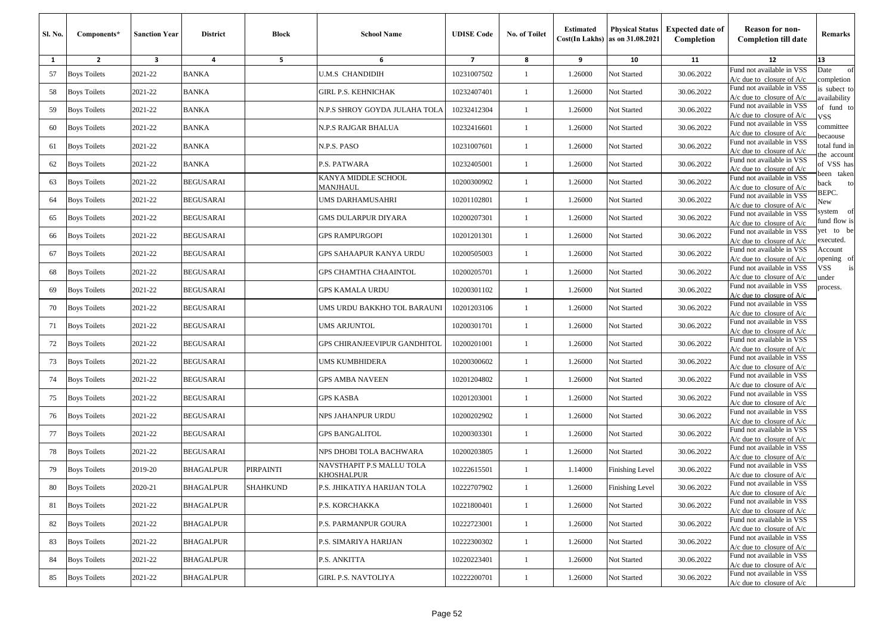| Sl. No. | Components*         | <b>Sanction Year</b>    | <b>District</b>  | <b>Block</b> | <b>School Name</b>                      | <b>UDISE Code</b>       | No. of Toilet | <b>Estimated</b> | <b>Physical Status</b><br>$Cost(In$ Lakhs) as on $31.08.2021$ | <b>Expected date of</b><br>Completion | <b>Reason for non-</b><br><b>Completion till date</b>      | Remarks                      |
|---------|---------------------|-------------------------|------------------|--------------|-----------------------------------------|-------------------------|---------------|------------------|---------------------------------------------------------------|---------------------------------------|------------------------------------------------------------|------------------------------|
| 1       | $\overline{2}$      | $\overline{\mathbf{3}}$ | 4                | 5            | 6                                       | $\overline{\mathbf{z}}$ | 8             | 9                | 10                                                            | 11                                    | 12                                                         | 13                           |
| 57      | <b>Boys Toilets</b> | 2021-22                 | <b>BANKA</b>     |              | <b>U.M.S CHANDIDIH</b>                  | 10231007502             | 1             | 1.26000          | Not Started                                                   | 30.06.2022                            | Fund not available in VSS<br>$A/c$ due to closure of $A/c$ | Date<br>of<br>completion     |
| 58      | <b>Boys Toilets</b> | 2021-22                 | <b>BANKA</b>     |              | GIRL P.S. KEHNICHAK                     | 10232407401             | 1             | 1.26000          | Not Started                                                   | 30.06.2022                            | Fund not available in VSS<br>$A/c$ due to closure of $A/c$ | is subect to<br>availability |
| 59      | <b>Boys Toilets</b> | 2021-22                 | <b>BANKA</b>     |              | N.P.S SHROY GOYDA JULAHA TOLA           | 10232412304             | -1            | 1.26000          | Not Started                                                   | 30.06.2022                            | Fund not available in VSS<br>$A/c$ due to closure of $A/c$ | of fund to<br>VSS            |
| 60      | <b>Boys Toilets</b> | 2021-22                 | <b>BANKA</b>     |              | N.P.S RAJGAR BHALUA                     | 10232416601             | $\mathbf{1}$  | 1.26000          | Not Started                                                   | 30.06.2022                            | Fund not available in VSS<br>$A/c$ due to closure of $A/c$ | committee<br>ecaouse         |
| 61      | <b>Boys Toilets</b> | 2021-22                 | <b>BANKA</b>     |              | N.P.S. PASO                             | 10231007601             | 1             | 1.26000          | Not Started                                                   | 30.06.2022                            | Fund not available in VSS<br>$A/c$ due to closure of $A/c$ | total fund in                |
| 62      | <b>Boys Toilets</b> | 2021-22                 | <b>BANKA</b>     |              | P.S. PATWARA                            | 10232405001             | -1            | 1.26000          | Not Started                                                   | 30.06.2022                            | Fund not available in VSS<br>$A/c$ due to closure of $A/c$ | he account<br>of VSS has     |
| 63      | <b>Boys Toilets</b> | 2021-22                 | <b>BEGUSARAI</b> |              | KANYA MIDDLE SCHOOL<br>MANJHAUL         | 10200300902             | $\mathbf{1}$  | 1.26000          | Not Started                                                   | 30.06.2022                            | Fund not available in VSS<br>$A/c$ due to closure of $A/c$ | een taken<br>back<br>to      |
| 64      | <b>Boys Toilets</b> | 2021-22                 | <b>BEGUSARAI</b> |              | UMS DARHAMUSAHRI                        | 10201102801             | 1             | 1.26000          | Not Started                                                   | 30.06.2022                            | Fund not available in VSS<br>$A/c$ due to closure of $A/c$ | BEPC.<br>New                 |
| 65      | <b>Boys Toilets</b> | 2021-22                 | <b>BEGUSARAI</b> |              | GMS DULARPUR DIYARA                     | 10200207301             | $\mathbf{1}$  | 1.26000          | Not Started                                                   | 30.06.2022                            | Fund not available in VSS<br>$A/c$ due to closure of $A/c$ | system of<br>fund flow is    |
| 66      | <b>Boys Toilets</b> | 2021-22                 | <b>BEGUSARAI</b> |              | GPS RAMPURGOPI                          | 10201201301             | -1            | 1.26000          | Not Started                                                   | 30.06.2022                            | Fund not available in VSS<br>$A/c$ due to closure of $A/c$ | et to be<br>executed.        |
| 67      | <b>Boys Toilets</b> | 2021-22                 | <b>BEGUSARAI</b> |              | GPS SAHAAPUR KANYA URDU                 | 10200505003             | 1             | 1.26000          | Not Started                                                   | 30.06.2022                            | Fund not available in VSS<br>$A/c$ due to closure of $A/c$ | Account<br>pening of         |
| 68      | <b>Boys Toilets</b> | 2021-22                 | <b>BEGUSARAI</b> |              | GPS CHAMTHA CHAAINTOL                   | 10200205701             | -1            | 1.26000          | Not Started                                                   | 30.06.2022                            | Fund not available in VSS<br>$A/c$ due to closure of $A/c$ | VSS<br>under                 |
| 69      | <b>Boys Toilets</b> | 2021-22                 | <b>BEGUSARAI</b> |              | GPS KAMALA URDU                         | 10200301102             | -1            | 1.26000          | Not Started                                                   | 30.06.2022                            | Fund not available in VSS<br>$A/c$ due to closure of $A/c$ | process.                     |
| 70      | <b>Boys Toilets</b> | 2021-22                 | <b>BEGUSARAI</b> |              | UMS URDU BAKKHO TOL BARAUNI             | 10201203106             | $\mathbf{1}$  | 1.26000          | Not Started                                                   | 30.06.2022                            | Fund not available in VSS<br>$A/c$ due to closure of $A/c$ |                              |
| 71      | <b>Boys Toilets</b> | 2021-22                 | <b>BEGUSARAI</b> |              | UMS ARJUNTOL                            | 10200301701             | -1            | 1.26000          | Not Started                                                   | 30.06.2022                            | Fund not available in VSS<br>$A/c$ due to closure of $A/c$ |                              |
| 72      | <b>Boys Toilets</b> | 2021-22                 | <b>BEGUSARAI</b> |              | GPS CHIRANJEEVIPUR GANDHITOL            | 10200201001             | -1            | 1.26000          | Not Started                                                   | 30.06.2022                            | Fund not available in VSS<br>$A/c$ due to closure of $A/c$ |                              |
| 73      | <b>Boys Toilets</b> | 2021-22                 | <b>BEGUSARAI</b> |              | UMS KUMBHIDERA                          | 10200300602             | -1            | 1.26000          | Not Started                                                   | 30.06.2022                            | Fund not available in VSS<br>A/c due to closure of $A/c$   |                              |
| 74      | <b>Boys Toilets</b> | 2021-22                 | <b>BEGUSARAI</b> |              | <b>GPS AMBA NAVEEN</b>                  | 10201204802             | -1            | 1.26000          | Not Started                                                   | 30.06.2022                            | Fund not available in VSS<br>$A/c$ due to closure of $A/c$ |                              |
| 75      | <b>Boys Toilets</b> | 2021-22                 | <b>BEGUSARAI</b> |              | <b>GPS KASBA</b>                        | 10201203001             | 1             | 1.26000          | Not Started                                                   | 30.06.2022                            | Fund not available in VSS<br>$A/c$ due to closure of $A/c$ |                              |
| 76      | <b>Boys Toilets</b> | 2021-22                 | <b>BEGUSARAI</b> |              | NPS JAHANPUR URDU                       | 10200202902             | -1            | 1.26000          | Not Started                                                   | 30.06.2022                            | Fund not available in VSS<br>$A/c$ due to closure of $A/c$ |                              |
| 77      | <b>Boys Toilets</b> | 2021-22                 | <b>BEGUSARAI</b> |              | <b>GPS BANGALITOL</b>                   | 10200303301             | $\mathbf{1}$  | 1.26000          | Not Started                                                   | 30.06.2022                            | Fund not available in VSS<br>$A/c$ due to closure of $A/c$ |                              |
| 78      | <b>Boys Toilets</b> | 2021-22                 | <b>BEGUSARAI</b> |              | NPS DHOBI TOLA BACHWARA                 | 10200203805             | -1            | 1.26000          | Not Started                                                   | 30.06.2022                            | Fund not available in VSS<br>$A/c$ due to closure of $A/c$ |                              |
| 79      | <b>Boys Toilets</b> | 2019-20                 | <b>BHAGALPUR</b> | PIRPAINTI    | NAVSTHAPIT P.S MALLU TOLA<br>KHOSHALPUR | 10222615501             | 1             | 1.14000          | Finishing Level                                               | 30.06.2022                            | Fund not available in VSS<br>$A/c$ due to closure of $A/c$ |                              |
| 80      | <b>Boys Toilets</b> | 2020-21                 | <b>BHAGALPUR</b> | SHAHKUND     | P.S. JHIKATIYA HARIJAN TOLA             | 10222707902             |               | 1.26000          | Finishing Level                                               | 30.06.2022                            | Fund not available in VSS<br>$A/c$ due to closure of $A/c$ |                              |
| 81      | <b>Boys Toilets</b> | 2021-22                 | <b>BHAGALPUR</b> |              | P.S. KORCHAKKA                          | 10221800401             | $\mathbf{1}$  | 1.26000          | Not Started                                                   | 30.06.2022                            | Fund not available in VSS<br>$A/c$ due to closure of $A/c$ |                              |
| 82      | <b>Boys Toilets</b> | 2021-22                 | <b>BHAGALPUR</b> |              | P.S. PARMANPUR GOURA                    | 10222723001             | $\mathbf{1}$  | 1.26000          | Not Started                                                   | 30.06.2022                            | Fund not available in VSS<br>$A/c$ due to closure of $A/c$ |                              |
| 83      | <b>Boys Toilets</b> | 2021-22                 | <b>BHAGALPUR</b> |              | P.S. SIMARIYA HARIJAN                   | 10222300302             | $\mathbf{1}$  | 1.26000          | Not Started                                                   | 30.06.2022                            | Fund not available in VSS<br>A/c due to closure of $A/c$   |                              |
| 84      | <b>Boys Toilets</b> | 2021-22                 | <b>BHAGALPUR</b> |              | P.S. ANKITTA                            | 10220223401             | $\mathbf{1}$  | 1.26000          | Not Started                                                   | 30.06.2022                            | Fund not available in VSS<br>$A/c$ due to closure of $A/c$ |                              |
| 85      | <b>Boys Toilets</b> | 2021-22                 | <b>BHAGALPUR</b> |              | <b>GIRL P.S. NAVTOLIYA</b>              | 10222200701             | $\mathbf{1}$  | 1.26000          | Not Started                                                   | 30.06.2022                            | Fund not available in VSS<br>A/c due to closure of A/c     |                              |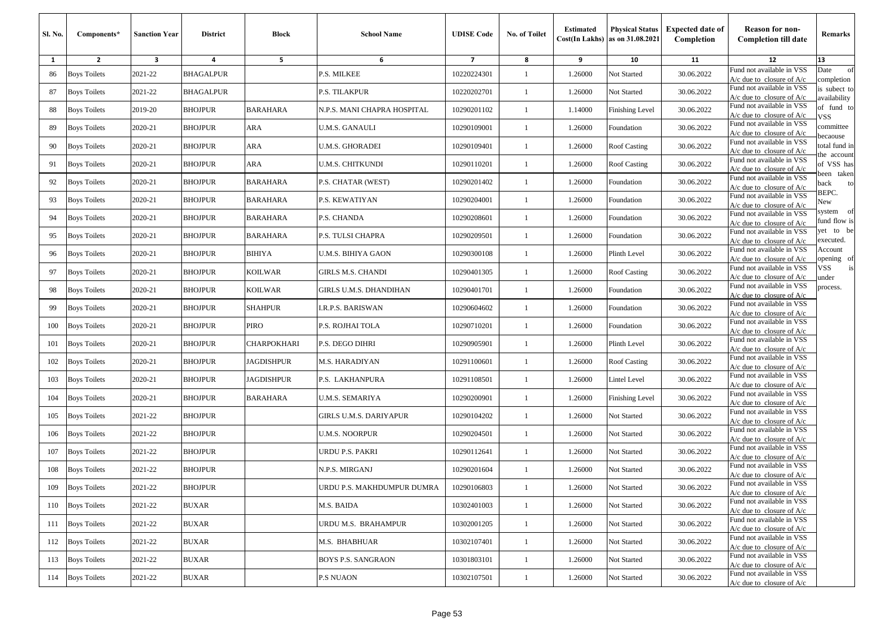| <b>Sl. No.</b> | Components*         | <b>Sanction Year</b> | <b>District</b>  | <b>Block</b>    | <b>School Name</b>          | <b>UDISE Code</b>       | No. of Toilet | <b>Estimated</b> | <b>Physical Status</b><br>$Cost(In$ Lakhs) as on $31.08.2021$ | <b>Expected date of</b><br>Completion | <b>Reason for non-</b><br><b>Completion till date</b>      | Remarks                        |
|----------------|---------------------|----------------------|------------------|-----------------|-----------------------------|-------------------------|---------------|------------------|---------------------------------------------------------------|---------------------------------------|------------------------------------------------------------|--------------------------------|
| 1              | $\mathbf{2}$        | 3                    | 4                | 5               | 6                           | $\overline{\mathbf{z}}$ | 8             | 9                | 10                                                            | 11                                    | 12                                                         | 13                             |
| 86             | <b>Boys Toilets</b> | 2021-22              | <b>BHAGALPUR</b> |                 | P.S. MILKEE                 | 10220224301             | 1             | 1.26000          | Not Started                                                   | 30.06.2022                            | Fund not available in VSS<br>$A/c$ due to closure of $A/c$ | Date<br>of<br>completion       |
| 87             | <b>Boys Toilets</b> | 2021-22              | BHAGALPUR        |                 | P.S. TILAKPUR               | 10220202701             | 1             | 1.26000          | Not Started                                                   | 30.06.2022                            | Fund not available in VSS<br>$A/c$ due to closure of $A/c$ | is subect to<br>wailability    |
| 88             | <b>Boys Toilets</b> | 2019-20              | <b>BHOJPUR</b>   | <b>BARAHARA</b> | N.P.S. MANI CHAPRA HOSPITAL | 10290201102             | 1             | 1.14000          | Finishing Level                                               | 30.06.2022                            | Fund not available in VSS<br>$A/c$ due to closure of $A/c$ | of fund to<br>VSS              |
| 89             | <b>Boys Toilets</b> | 2020-21              | <b>BHOJPUR</b>   | ARA             | U.M.S. GANAULI              | 10290109001             | $\mathbf{1}$  | 1.26000          | Foundation                                                    | 30.06.2022                            | Fund not available in VSS<br>$A/c$ due to closure of $A/c$ | committee<br>ecaouse           |
| 90             | <b>Boys Toilets</b> | 2020-21              | <b>BHOJPUR</b>   | <b>ARA</b>      | U.M.S. GHORADEI             | 10290109401             | $\mathbf{1}$  | 1.26000          | Roof Casting                                                  | 30.06.2022                            | Fund not available in VSS<br>$A/c$ due to closure of $A/c$ | total fund in<br>he account    |
| 91             | <b>Boys Toilets</b> | 2020-21              | <b>BHOJPUR</b>   | <b>ARA</b>      | U.M.S. CHITKUNDI            | 10290110201             | 1             | 1.26000          | <b>Roof Casting</b>                                           | 30.06.2022                            | Fund not available in VSS<br>$A/c$ due to closure of $A/c$ | of VSS has<br>een taken        |
| 92             | <b>Boys Toilets</b> | 2020-21              | <b>BHOJPUR</b>   | <b>BARAHARA</b> | P.S. CHATAR (WEST)          | 10290201402             | 1             | 1.26000          | Foundation                                                    | 30.06.2022                            | Fund not available in VSS<br>$A/c$ due to closure of $A/c$ | back<br>to                     |
| 93             | <b>Boys Toilets</b> | 2020-21              | <b>BHOJPUR</b>   | <b>BARAHARA</b> | P.S. KEWATIYAN              | 10290204001             | 1             | 1.26000          | Foundation                                                    | 30.06.2022                            | Fund not available in VSS<br>$A/c$ due to closure of $A/c$ | BEPC.<br>New                   |
| 94             | <b>Boys Toilets</b> | 2020-21              | <b>BHOJPUR</b>   | <b>BARAHARA</b> | P.S. CHANDA                 | 10290208601             | 1             | 1.26000          | Foundation                                                    | 30.06.2022                            | Fund not available in VSS<br>$A/c$ due to closure of $A/c$ | system<br>- of<br>fund flow is |
| 95             | <b>Boys Toilets</b> | 2020-21              | <b>BHOJPUR</b>   | BARAHARA        | P.S. TULSI CHAPRA           | 10290209501             | $\mathbf{1}$  | 1.26000          | Foundation                                                    | 30.06.2022                            | Fund not available in VSS<br>A/c due to closure of A/c     | yet to be<br>executed.         |
| 96             | <b>Boys Toilets</b> | 2020-21              | <b>BHOJPUR</b>   | <b>BIHIYA</b>   | U.M.S. BIHIYA GAON          | 10290300108             | $\mathbf{1}$  | 1.26000          | Plinth Level                                                  | 30.06.2022                            | Fund not available in VSS<br>$A/c$ due to closure of $A/c$ | Account<br>pening of           |
| 97             | <b>Boys Toilets</b> | 2020-21              | <b>BHOJPUR</b>   | <b>KOILWAR</b>  | GIRLS M.S. CHANDI           | 10290401305             | 1             | 1.26000          | <b>Roof Casting</b>                                           | 30.06.2022                            | Fund not available in VSS<br>$A/c$ due to closure of $A/c$ | VSS<br>ınder                   |
| 98             | <b>Boys Toilets</b> | 2020-21              | <b>BHOJPUR</b>   | KOILWAR         | GIRLS U.M.S. DHANDIHAN      | 10290401701             | 1             | 1.26000          | Foundation                                                    | 30.06.2022                            | Fund not available in VSS<br>$A/c$ due to closure of $A/c$ | process.                       |
| 99             | <b>Boys Toilets</b> | 2020-21              | <b>BHOJPUR</b>   | <b>SHAHPUR</b>  | R.P.S. BARISWAN.            | 10290604602             | $\mathbf{1}$  | 1.26000          | Foundation                                                    | 30.06.2022                            | Fund not available in VSS<br>$A/c$ due to closure of $A/c$ |                                |
| 100            | <b>Boys Toilets</b> | 2020-21              | <b>BHOJPUR</b>   | <b>PIRO</b>     | P.S. ROJHAI TOLA            | 10290710201             | $\mathbf{1}$  | 1.26000          | Foundation                                                    | 30.06.2022                            | Fund not available in VSS<br>$A/c$ due to closure of $A/c$ |                                |
| 101            | <b>Boys Toilets</b> | 2020-21              | <b>BHOJPUR</b>   | CHARPOKHARI     | P.S. DEGO DIHRI             | 10290905901             | 1             | 1.26000          | Plinth Level                                                  | 30.06.2022                            | Fund not available in VSS<br>$A/c$ due to closure of $A/c$ |                                |
| 102            | <b>Boys Toilets</b> | 2020-21              | <b>BHOJPUR</b>   | JAGDISHPUR      | M.S. HARADIYAN              | 10291100601             | $\mathbf{1}$  | 1.26000          | <b>Roof Casting</b>                                           | 30.06.2022                            | Fund not available in VSS<br>A/c due to closure of $A/c$   |                                |
| 103            | <b>Boys Toilets</b> | 2020-21              | <b>BHOJPUR</b>   | JAGDISHPUR      | P.S. LAKHANPURA             | 10291108501             | $\mathbf{1}$  | 1.26000          | Lintel Level                                                  | 30.06.2022                            | Fund not available in VSS<br>$A/c$ due to closure of $A/c$ |                                |
| 104            | <b>Boys Toilets</b> | 2020-21              | <b>BHOJPUR</b>   | <b>BARAHARA</b> | U.M.S. SEMARIYA             | 10290200901             | -1            | 1.26000          | Finishing Level                                               | 30.06.2022                            | Fund not available in VSS<br>$A/c$ due to closure of $A/c$ |                                |
| 105            | <b>Boys Toilets</b> | 2021-22              | <b>BHOJPUR</b>   |                 | GIRLS U.M.S. DARIYAPUR      | 10290104202             | 1             | 1.26000          | Not Started                                                   | 30.06.2022                            | Fund not available in VSS<br>$A/c$ due to closure of $A/c$ |                                |
| 106            | <b>Boys Toilets</b> | 2021-22              | <b>BHOJPUR</b>   |                 | U.M.S. NOORPUR              | 10290204501             | $\mathbf{1}$  | 1.26000          | Not Started                                                   | 30.06.2022                            | Fund not available in VSS<br>$A/c$ due to closure of $A/c$ |                                |
| 107            | <b>Boys Toilets</b> | 2021-22              | <b>BHOJPUR</b>   |                 | URDU P.S. PAKRI             | 10290112641             | $\mathbf{1}$  | 1.26000          | Not Started                                                   | 30.06.2022                            | Fund not available in VSS<br>$A/c$ due to closure of $A/c$ |                                |
| 108            | <b>Boys Toilets</b> | 2021-22              | <b>BHOJPUR</b>   |                 | N.P.S. MIRGANJ              | 10290201604             | 1             | 1.26000          | Not Started                                                   | 30.06.2022                            | Fund not available in VSS<br>$A/c$ due to closure of $A/c$ |                                |
|                | 109 Boys Toilets    | 2021-22              | <b>BHOJPUR</b>   |                 | JRDU P.S. MAKHDUMPUR DUMRA  | 10290106803             |               | 1.26000          | <b>Not Started</b>                                            | 30.06.2022                            | Fund not available in VSS<br>$A/c$ due to closure of $A/c$ |                                |
| 110            | <b>Boys Toilets</b> | 2021-22              | <b>BUXAR</b>     |                 | M.S. BAIDA                  | 10302401003             | $\mathbf{1}$  | 1.26000          | Not Started                                                   | 30.06.2022                            | Fund not available in VSS<br>$A/c$ due to closure of $A/c$ |                                |
| 111            | <b>Boys Toilets</b> | 2021-22              | BUXAR            |                 | URDU M.S. BRAHAMPUR         | 10302001205             | $\mathbf{1}$  | 1.26000          | Not Started                                                   | 30.06.2022                            | Fund not available in VSS<br>$A/c$ due to closure of $A/c$ |                                |
| 112            | <b>Boys Toilets</b> | 2021-22              | BUXAR            |                 | M.S. BHABHUAR               | 10302107401             | $\mathbf{1}$  | 1.26000          | Not Started                                                   | 30.06.2022                            | Fund not available in VSS<br>A/c due to closure of $A/c$   |                                |
| 113            | <b>Boys Toilets</b> | 2021-22              | <b>BUXAR</b>     |                 | BOYS P.S. SANGRAON          | 10301803101             | $\mathbf{1}$  | 1.26000          | Not Started                                                   | 30.06.2022                            | Fund not available in VSS<br>$A/c$ due to closure of $A/c$ |                                |
| 114            | <b>Boys Toilets</b> | 2021-22              | <b>BUXAR</b>     |                 | <b>P.S NUAON</b>            | 10302107501             | $\mathbf{1}$  | 1.26000          | Not Started                                                   | 30.06.2022                            | Fund not available in VSS<br>A/c due to closure of A/c     |                                |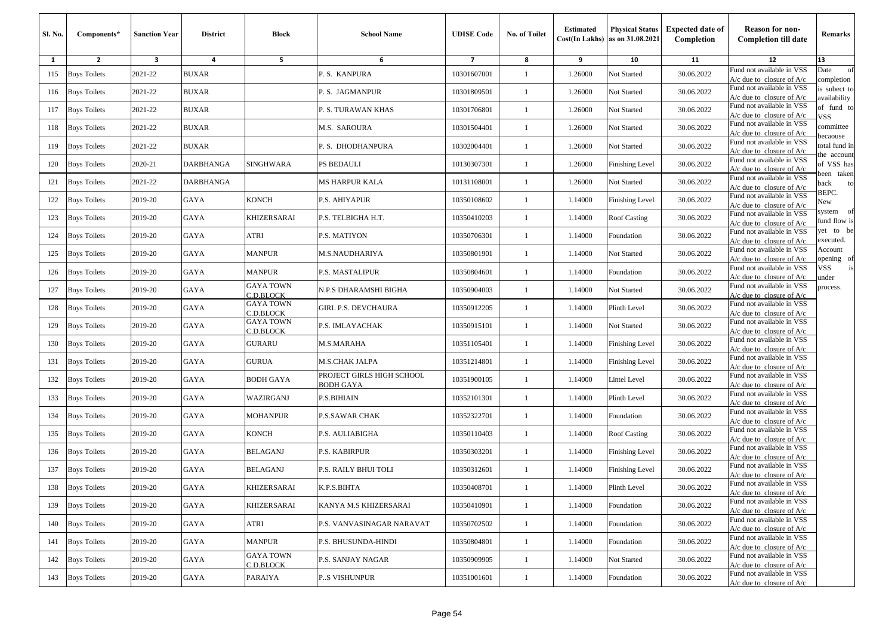| Sl. No. | Components*         | <b>Sanction Year</b>    | <b>District</b>  | Block                         | <b>School Name</b>                            | <b>UDISE Code</b> | No. of Toilet | <b>Estimated</b> | <b>Physical Status</b><br>$Cost(In$ Lakhs) as on $31.08.2021$ | <b>Expected date of</b><br>Completion | <b>Reason for non-</b><br><b>Completion till date</b>      | Remarks                      |
|---------|---------------------|-------------------------|------------------|-------------------------------|-----------------------------------------------|-------------------|---------------|------------------|---------------------------------------------------------------|---------------------------------------|------------------------------------------------------------|------------------------------|
| 1       | $\overline{2}$      | $\overline{\mathbf{3}}$ | 4                | 5                             | 6                                             | $\overline{7}$    | 8             | 9                | 10                                                            | 11                                    | 12                                                         | 13                           |
| 115     | <b>Boys Toilets</b> | 2021-22                 | <b>BUXAR</b>     |                               | P.S. KANPURA                                  | 10301607001       | -1            | 1.26000          | Not Started                                                   | 30.06.2022                            | Fund not available in VSS<br>$A/c$ due to closure of $A/c$ | of<br>Date<br>completion     |
| 116     | <b>Boys Toilets</b> | 2021-22                 | <b>BUXAR</b>     |                               | P. S. JAGMANPUR                               | 10301809501       | $\mathbf{1}$  | 1.26000          | Not Started                                                   | 30.06.2022                            | Fund not available in VSS<br>A/c due to closure of A/c     | is subect to<br>availability |
| 117     | <b>Boys Toilets</b> | 2021-22                 | <b>BUXAR</b>     |                               | P. S. TURAWAN KHAS                            | 10301706801       | 1             | 1.26000          | Not Started                                                   | 30.06.2022                            | Fund not available in VSS<br>$A/c$ due to closure of $A/c$ | of fund to<br>VSS            |
| 118     | <b>Boys Toilets</b> | 2021-22                 | <b>BUXAR</b>     |                               | M.S. SAROURA                                  | 10301504401       | -1            | 1.26000          | Not Started                                                   | 30.06.2022                            | Fund not available in VSS<br>$A/c$ due to closure of $A/c$ | committee<br>ecaouse         |
| 119     | <b>Boys Toilets</b> | 2021-22                 | <b>BUXAR</b>     |                               | P. S. DHODHANPURA                             | 10302004401       | -1            | 1.26000          | Not Started                                                   | 30.06.2022                            | Fund not available in VSS<br>$A/c$ due to closure of $A/c$ | otal fund in                 |
| 120     | <b>Boys Toilets</b> | 2020-21                 | <b>DARBHANGA</b> | <b>SINGHWARA</b>              | <b>PS BEDAULI</b>                             | 10130307301       | $\mathbf{1}$  | 1.26000          | Finishing Level                                               | 30.06.2022                            | Fund not available in VSS<br>$A/c$ due to closure of $A/c$ | he account<br>of VSS has     |
| 121     | <b>Boys Toilets</b> | 2021-22                 | <b>DARBHANGA</b> |                               | MS HARPUR KALA                                | 10131108001       | $\mathbf{1}$  | 1.26000          | Not Started                                                   | 30.06.2022                            | Fund not available in VSS<br>$A/c$ due to closure of $A/c$ | been taken<br>oack<br>to     |
| 122     | <b>Boys Toilets</b> | 2019-20                 | GAYA             | KONCH                         | P.S. AHIYAPUR                                 | 10350108602       | 1             | 1.14000          | <b>Finishing Level</b>                                        | 30.06.2022                            | Fund not available in VSS<br>$A/c$ due to closure of $A/c$ | BEPC.<br>New                 |
| 123     | <b>Boys Toilets</b> | 2019-20                 | GAYA             | KHIZERSARAI                   | P.S. TELBIGHA H.T.                            | 10350410203       | -1            | 1.14000          | Roof Casting                                                  | 30.06.2022                            | Fund not available in VSS<br>$A/c$ due to closure of $A/c$ | system of<br>fund flow is    |
| 124     | <b>Boys Toilets</b> | 2019-20                 | <b>GAYA</b>      | ATRI                          | P.S. MATIYON                                  | 10350706301       | -1            | 1.14000          | Foundation                                                    | 30.06.2022                            | Fund not available in VSS<br>$A/c$ due to closure of $A/c$ | /et to be<br>executed.       |
| 125     | <b>Boys Toilets</b> | 2019-20                 | GAYA             | <b>MANPUR</b>                 | M.S.NAUDHARIYA                                | 10350801901       | 1             | 1.14000          | Not Started                                                   | 30.06.2022                            | Fund not available in VSS<br>$A/c$ due to closure of $A/c$ | Account<br>pening of         |
| 126     | <b>Boys Toilets</b> | 2019-20                 | GAYA             | <b>MANPUR</b>                 | P.S. MASTALIPUR                               | 10350804601       | $\mathbf{1}$  | 1.14000          | Foundation                                                    | 30.06.2022                            | Fund not available in VSS<br>$A/c$ due to closure of $A/c$ | /SS<br>is<br>ınder           |
| 127     | <b>Boys Toilets</b> | 2019-20                 | GAYA             | <b>GAYA TOWN</b><br>C.D.BLOCK | N.P.S DHARAMSHI BIGHA                         | 10350904003       | $\mathbf{1}$  | 1.14000          | Not Started                                                   | 30.06.2022                            | Fund not available in VSS<br>$A/c$ due to closure of $A/c$ | process.                     |
| 128     | <b>Boys Toilets</b> | 2019-20                 | GAYA             | <b>GAYA TOWN</b><br>C.D.BLOCK | GIRL P.S. DEVCHAURA                           | 10350912205       | 1             | 1.14000          | Plinth Level                                                  | 30.06.2022                            | Fund not available in VSS<br>$A/c$ due to closure of $A/c$ |                              |
| 129     | <b>Boys Toilets</b> | 2019-20                 | GAYA             | <b>GAYA TOWN</b><br>C.D.BLOCK | P.S. IMLAYACHAK                               | 10350915101       | -1            | 1.14000          | Not Started                                                   | 30.06.2022                            | Fund not available in VSS<br>$A/c$ due to closure of $A/c$ |                              |
| 130     | <b>Boys Toilets</b> | 2019-20                 | <b>GAYA</b>      | <b>GURARU</b>                 | M.S.MARAHA                                    | 10351105401       | $\mathbf{1}$  | 1.14000          | <b>Finishing Level</b>                                        | 30.06.2022                            | Fund not available in VSS<br>$A/c$ due to closure of $A/c$ |                              |
| 131     | <b>Boys Toilets</b> | 2019-20                 | <b>GAYA</b>      | <b>GURUA</b>                  | M.S.CHAK JALPA                                | 10351214801       | $\mathbf{1}$  | 1.14000          | Finishing Level                                               | 30.06.2022                            | Fund not available in VSS<br>$A/c$ due to closure of $A/c$ |                              |
| 132     | <b>Boys Toilets</b> | 2019-20                 | GAYA             | BODH GAYA                     | PROJECT GIRLS HIGH SCHOOL<br><b>BODH GAYA</b> | 10351900105       | $\mathbf{1}$  | 1.14000          | Lintel Level                                                  | 30.06.2022                            | Fund not available in VSS<br>$A/c$ due to closure of $A/c$ |                              |
| 133     | <b>Boys Toilets</b> | 2019-20                 | GAYA             | WAZIRGANJ                     | P.S.BIHIAIN                                   | 10352101301       | 1             | 1.14000          | Plinth Level                                                  | 30.06.2022                            | Fund not available in VSS<br>$A/c$ due to closure of $A/c$ |                              |
| 134     | <b>Boys Toilets</b> | 2019-20                 | GAYA             | <b>MOHANPUR</b>               | P.S.SAWAR CHAK                                | 10352322701       | -1            | 1.14000          | Foundation                                                    | 30.06.2022                            | Fund not available in VSS<br>$A/c$ due to closure of $A/c$ |                              |
| 135     | <b>Boys Toilets</b> | 2019-20                 | GAYA             | <b>KONCH</b>                  | P.S. AULIABIGHA                               | 10350110403       | $\mathbf{1}$  | 1.14000          | Roof Casting                                                  | 30.06.2022                            | Fund not available in VSS<br>$A/c$ due to closure of $A/c$ |                              |
| 136     | <b>Boys Toilets</b> | 2019-20                 | GAYA             | <b>BELAGANJ</b>               | P.S. KABIRPUR                                 | 10350303201       | -1            | 1.14000          | Finishing Level                                               | 30.06.2022                            | Fund not available in VSS<br>A/c due to closure of A/c     |                              |
| 137     | <b>Boys Toilets</b> | 2019-20                 | GAYA             | <b>BELAGANJ</b>               | P.S. RAILY BHUI TOLI                          | 10350312601       | 1             | 1.14000          | <b>Finishing Level</b>                                        | 30.06.2022                            | Fund not available in VSS<br>A/c due to closure of A/c     |                              |
|         | 138 Boys Toilets    | 2019-20                 | GAYA             | <b>KHIZERSARAI</b>            | K.P.S.BIHTA                                   | 10350408701       |               | 1.14000          | Plinth Level                                                  | 30.06.2022                            | Fund not available in VSS<br>$A/c$ due to closure of $A/c$ |                              |
| 139     | <b>Boys Toilets</b> | 2019-20                 | GAYA             | KHIZERSARAI                   | KANYA M.S KHIZERSARAI                         | 10350410901       | -1            | 1.14000          | Foundation                                                    | 30.06.2022                            | Fund not available in VSS<br>$A/c$ due to closure of $A/c$ |                              |
| 140     | <b>Boys Toilets</b> | 2019-20                 | GAYA             | ATRI                          | P.S. VANVASINAGAR NARAVAT                     | 10350702502       | $\mathbf{1}$  | 1.14000          | Foundation                                                    | 30.06.2022                            | Fund not available in VSS<br>$A/c$ due to closure of $A/c$ |                              |
| 141     | <b>Boys Toilets</b> | 2019-20                 | GAYA             | <b>MANPUR</b>                 | P.S. BHUSUNDA-HINDI                           | 10350804801       | $\mathbf{1}$  | 1.14000          | Foundation                                                    | 30.06.2022                            | Fund not available in VSS<br>$A/c$ due to closure of $A/c$ |                              |
| 142     | <b>Boys Toilets</b> | 2019-20                 | GAYA             | <b>GAYA TOWN</b><br>C.D.BLOCK | P.S. SANJAY NAGAR                             | 10350909905       | $\mathbf{1}$  | 1.14000          | Not Started                                                   | 30.06.2022                            | Fund not available in VSS<br>$A/c$ due to closure of $A/c$ |                              |
|         | 143 Boys Toilets    | 2019-20                 | GAYA             | PARAIYA                       | <b>PS VISHUNPUR</b>                           | 10351001601       | $\mathbf{1}$  | 1.14000          | Foundation                                                    | 30.06.2022                            | Fund not available in VSS<br>A/c due to closure of A/c     |                              |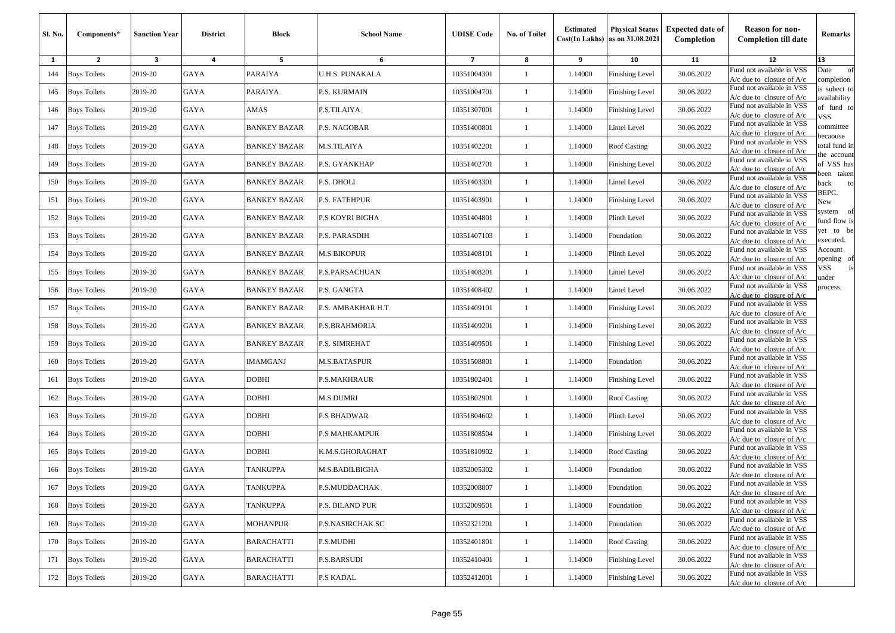| Sl. No. | Components*         | <b>Sanction Year</b> | <b>District</b> | <b>Block</b>        | <b>School Name</b>     | <b>UDISE Code</b> | No. of Toilet | <b>Estimated</b> | <b>Physical Status</b><br>$Cost(In$ Lakhs) as on $31.08.2021$ | <b>Expected date of</b><br>Completion | <b>Reason for non-</b><br><b>Completion till date</b>      | Remarks                      |
|---------|---------------------|----------------------|-----------------|---------------------|------------------------|-------------------|---------------|------------------|---------------------------------------------------------------|---------------------------------------|------------------------------------------------------------|------------------------------|
| 1       | $\overline{2}$      | 3                    | 4               | 5                   | 6                      | $\overline{7}$    | 8             | 9                | 10                                                            | 11                                    | 12                                                         | 13                           |
| 144     | <b>Boys Toilets</b> | 2019-20              | GAYA            | PARAIYA             | U.H.S. PUNAKALA        | 10351004301       | 1             | 1.14000          | <b>Finishing Level</b>                                        | 30.06.2022                            | Fund not available in VSS<br>$A/c$ due to closure of $A/c$ | of<br>Date<br>completion     |
| 145     | <b>Boys Toilets</b> | 2019-20              | GAYA            | PARAIYA             | P.S. KURMAIN           | 10351004701       | 1             | 1.14000          | <b>Finishing Level</b>                                        | 30.06.2022                            | Fund not available in VSS<br>$A/c$ due to closure of $A/c$ | is subect to<br>availability |
| 146     | <b>Boys Toilets</b> | 2019-20              | GAYA            | AMAS                | P.S.TILAIYA            | 10351307001       | 1             | 1.14000          | <b>Finishing Level</b>                                        | 30.06.2022                            | Fund not available in VSS<br>$A/c$ due to closure of $A/c$ | of fund to<br>VSS            |
| 147     | <b>Boys Toilets</b> | 2019-20              | <b>GAYA</b>     | <b>BANKEY BAZAR</b> | P.S. NAGOBAR           | 10351400801       | $\mathbf{1}$  | 1.14000          | Lintel Level                                                  | 30.06.2022                            | Fund not available in VSS<br>A/c due to closure of A/c     | committee<br>ecaouse         |
| 148     | <b>Boys Toilets</b> | 2019-20              | GAYA            | <b>BANKEY BAZAR</b> | M.S.TILAIYA            | 10351402201       | $\mathbf{1}$  | 1.14000          | Roof Casting                                                  | 30.06.2022                            | Fund not available in VSS<br>$A/c$ due to closure of $A/c$ | otal fund in<br>he account   |
| 149     | <b>Boys Toilets</b> | 2019-20              | GAYA            | <b>BANKEY BAZAR</b> | P.S. GYANKHAP          | 10351402701       | -1            | 1.14000          | <b>Finishing Level</b>                                        | 30.06.2022                            | Fund not available in VSS<br>$A/c$ due to closure of $A/c$ | of VSS has<br>een taken      |
| 150     | <b>Boys Toilets</b> | 2019-20              | GAYA            | <b>BANKEY BAZAR</b> | P.S. DHOLI             | 10351403301       | 1             | 1.14000          | Lintel Level                                                  | 30.06.2022                            | Fund not available in VSS<br>$A/c$ due to closure of $A/c$ | ack<br>to<br>BEPC.           |
| 151     | <b>Boys Toilets</b> | 2019-20              | GAYA            | <b>BANKEY BAZAR</b> | P.S. FATEHPUR          | 10351403901       | 1             | 1.14000          | <b>Finishing Level</b>                                        | 30.06.2022                            | Fund not available in VSS<br>$A/c$ due to closure of $A/c$ | New                          |
| 152     | <b>Boys Toilets</b> | 2019-20              | GAYA            | <b>BANKEY BAZAR</b> | P.S KOYRI BIGHA        | 10351404801       | -1            | 1.14000          | Plinth Level                                                  | 30.06.2022                            | Fund not available in VSS<br>A/c due to closure of A/c     | system of<br>fund flow is    |
| 153     | <b>Boys Toilets</b> | 2019-20              | <b>GAYA</b>     | <b>BANKEY BAZAR</b> | P.S. PARASDIH          | 10351407103       | -1            | 1.14000          | Foundation                                                    | 30.06.2022                            | Fund not available in VSS<br>A/c due to closure of A/c     | et to be<br>executed.        |
| 154     | <b>Boys Toilets</b> | 2019-20              | <b>GAYA</b>     | <b>BANKEY BAZAR</b> | <b>M.S BIKOPUR</b>     | 10351408101       | $\mathbf{1}$  | 1.14000          | Plinth Level                                                  | 30.06.2022                            | Fund not available in VSS<br>$A/c$ due to closure of $A/c$ | Account<br>pening of         |
| 155     | <b>Boys Toilets</b> | 2019-20              | GAYA            | <b>BANKEY BAZAR</b> | P.S.PARSACHUAN         | 10351408201       | 1             | 1.14000          | Lintel Level                                                  | 30.06.2022                            | Fund not available in VSS<br>$A/c$ due to closure of $A/c$ | /SS<br>is<br>ınder           |
| 156     | <b>Boys Toilets</b> | 2019-20              | GAYA            | <b>BANKEY BAZAR</b> | P.S. GANGTA            | 10351408402       | 1             | 1.14000          | Lintel Level                                                  | 30.06.2022                            | Fund not available in VSS<br>$A/c$ due to closure of $A/c$ | process.                     |
| 157     | <b>Boys Toilets</b> | 2019-20              | GAYA            | <b>BANKEY BAZAR</b> | P.S. AMBAKHAR H.T.     | 10351409101       | -1            | 1.14000          | Finishing Level                                               | 30.06.2022                            | Fund not available in VSS<br>$A/c$ due to closure of $A/c$ |                              |
| 158     | <b>Boys Toilets</b> | 2019-20              | <b>GAYA</b>     | <b>BANKEY BAZAR</b> | P.S.BRAHMORIA          | 10351409201       | -1            | 1.14000          | <b>Finishing Level</b>                                        | 30.06.2022                            | Fund not available in VSS<br>$A/c$ due to closure of $A/c$ |                              |
| 159     | <b>Boys Toilets</b> | 2019-20              | GAYA            | BANKEY BAZAR        | P.S. SIMREHAT          | 10351409501       | -1            | 1.14000          | Finishing Level                                               | 30.06.2022                            | Fund not available in VSS<br>A/c due to closure of A/c     |                              |
| 160     | <b>Boys Toilets</b> | 2019-20              | GAYA            | IMAMGANJ            | <b>M.S.BATASPUR</b>    | 10351508801       | 1             | 1.14000          | Foundation                                                    | 30.06.2022                            | Fund not available in VSS<br>$A/c$ due to closure of $A/c$ |                              |
| 161     | <b>Boys Toilets</b> | 2019-20              | GAYA            | DOBHI               | <b>P.S.MAKHRAUR</b>    | 10351802401       | -1            | 1.14000          | <b>Finishing Level</b>                                        | 30.06.2022                            | Fund not available in VSS<br>$A/c$ due to closure of $A/c$ |                              |
| 162     | <b>Boys Toilets</b> | 2019-20              | GAYA            | DOBHI               | <b>M.S.DUMRI</b>       | 10351802901       | 1             | 1.14000          | Roof Casting                                                  | 30.06.2022                            | Fund not available in VSS<br>$A/c$ due to closure of $A/c$ |                              |
| 163     | <b>Boys Toilets</b> | 2019-20              | GAYA            | DOBHI               | <b>P.S BHADWAR</b>     | 10351804602       | -1            | 1.14000          | Plinth Level                                                  | 30.06.2022                            | Fund not available in VSS<br>$A/c$ due to closure of $A/c$ |                              |
| 164     | <b>Boys Toilets</b> | 2019-20              | GAYA            | DOBHI               | P.S MAHKAMPUR          | 10351808504       | -1            | 1.14000          | <b>Finishing Level</b>                                        | 30.06.2022                            | Fund not available in VSS<br>$A/c$ due to closure of $A/c$ |                              |
| 165     | <b>Boys Toilets</b> | 2019-20              | GAYA            | <b>DOBHI</b>        | K.M.S.GHORAGHAT        | 10351810902       | 1             | 1.14000          | <b>Roof Casting</b>                                           | 30.06.2022                            | Fund not available in VSS<br>A/c due to closure of $A/c$   |                              |
| 166     | <b>Boys Toilets</b> | 2019-20              | GAYA            | <b>TANKUPPA</b>     | M.S.BADILBIGHA         | 10352005302       | 1             | 1.14000          | Foundation                                                    | 30.06.2022                            | Fund not available in VSS<br>$A/c$ due to closure of $A/c$ |                              |
|         | 167 Boys Toilets    | 2019-20              | <b>GAYA</b>     | <b>TANKUPPA</b>     | P.S.MUDDACHAK          | 10352008807       |               | 1.14000          | Foundation                                                    | 30.06.2022                            | Fund not available in VSS<br>$A/c$ due to closure of $A/c$ |                              |
| 168     | <b>Boys Toilets</b> | 2019-20              | GAYA            | <b>TANKUPPA</b>     | <b>P.S. BILAND PUR</b> | 10352009501       | $\mathbf{1}$  | 1.14000          | Foundation                                                    | 30.06.2022                            | Fund not available in VSS<br>$A/c$ due to closure of $A/c$ |                              |
| 169     | <b>Boys Toilets</b> | 2019-20              | GAYA            | <b>MOHANPUR</b>     | P.S.NASIRCHAK SC       | 10352321201       | $\mathbf{1}$  | 1.14000          | Foundation                                                    | 30.06.2022                            | Fund not available in VSS<br>$A/c$ due to closure of $A/c$ |                              |
| 170     | <b>Boys Toilets</b> | 2019-20              | GAYA            | <b>BARACHATTI</b>   | P.S.MUDHI              | 10352401801       | $\mathbf{1}$  | 1.14000          | Roof Casting                                                  | 30.06.2022                            | Fund not available in VSS<br>$A/c$ due to closure of $A/c$ |                              |
| 171     | <b>Boys Toilets</b> | 2019-20              | GAYA            | <b>BARACHATTI</b>   | <b>P.S.BARSUDI</b>     | 10352410401       | $\mathbf{1}$  | 1.14000          | Finishing Level                                               | 30.06.2022                            | Fund not available in VSS<br>$A/c$ due to closure of $A/c$ |                              |
| 172     | <b>Boys Toilets</b> | 2019-20              | GAYA            | <b>BARACHATTI</b>   | <b>P.S KADAL</b>       | 10352412001       | $\mathbf{1}$  | 1.14000          | <b>Finishing Level</b>                                        | 30.06.2022                            | Fund not available in VSS<br>A/c due to closure of A/c     |                              |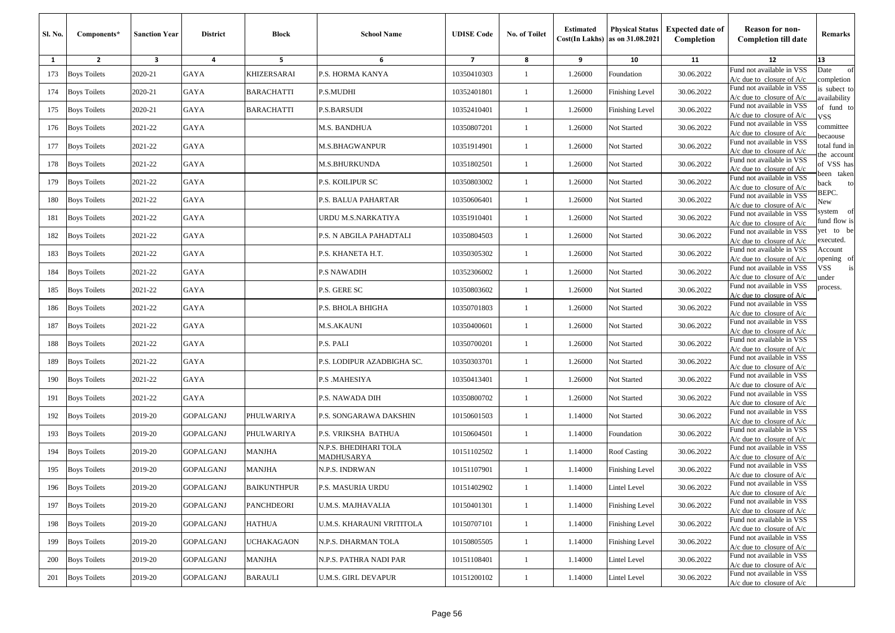| Sl. No.      | Components*         | <b>Sanction Year</b>    | <b>District</b>  | <b>Block</b>       | <b>School Name</b>                         | <b>UDISE Code</b> | <b>No. of Toilet</b> | <b>Estimated</b> | <b>Physical Status</b><br>$Cost(In$ Lakhs) as on $31.08.2021$ | <b>Expected date of</b><br>Completion | <b>Reason for non-</b><br><b>Completion till date</b>      | Remarks                      |
|--------------|---------------------|-------------------------|------------------|--------------------|--------------------------------------------|-------------------|----------------------|------------------|---------------------------------------------------------------|---------------------------------------|------------------------------------------------------------|------------------------------|
| $\mathbf{1}$ | $\overline{2}$      | $\overline{\mathbf{3}}$ | 4                | 5                  | 6                                          | $\overline{7}$    | 8                    | 9                | 10                                                            | 11                                    | 12                                                         | 13                           |
| 173          | <b>Boys Toilets</b> | 2020-21                 | GAYA             | <b>KHIZERSARAI</b> | P.S. HORMA KANYA                           | 10350410303       | -1                   | 1.26000          | Foundation                                                    | 30.06.2022                            | Fund not available in VSS<br>$A/c$ due to closure of $A/c$ | Date<br>of<br>completion     |
| 174          | <b>Boys Toilets</b> | 2020-21                 | GAYA             | <b>BARACHATTI</b>  | P.S.MUDHI                                  | 10352401801       | 1                    | 1.26000          | Finishing Level                                               | 30.06.2022                            | Fund not available in VSS<br>A/c due to closure of A/c     | is subect to<br>availability |
| 175          | <b>Boys Toilets</b> | 2020-21                 | GAYA             | <b>BARACHATTI</b>  | <b>P.S.BARSUDI</b>                         | 10352410401       | -1                   | 1.26000          | Finishing Level                                               | 30.06.2022                            | Fund not available in VSS<br>$A/c$ due to closure of $A/c$ | of fund to<br>VSS.           |
| 176          | <b>Boys Toilets</b> | 2021-22                 | GAYA             |                    | M.S. BANDHUA                               | 10350807201       | $\mathbf{1}$         | 1.26000          | Not Started                                                   | 30.06.2022                            | Fund not available in VSS<br>$A/c$ due to closure of $A/c$ | committee                    |
| 177          | <b>Boys Toilets</b> | 2021-22                 | GAYA             |                    | <b>M.S.BHAGWANPUR</b>                      | 10351914901       | -1                   | 1.26000          | Not Started                                                   | 30.06.2022                            | Fund not available in VSS<br>$A/c$ due to closure of $A/c$ | ecaouse<br>otal fund in      |
| 178          | <b>Boys Toilets</b> | 2021-22                 | GAYA             |                    | <b>M.S.BHURKUNDA</b>                       | 10351802501       | $\mathbf{1}$         | 1.26000          | Not Started                                                   | 30.06.2022                            | Fund not available in VSS<br>$A/c$ due to closure of $A/c$ | he account<br>of VSS has     |
| 179          | <b>Boys Toilets</b> | 2021-22                 | GAYA             |                    | P.S. KOILIPUR SC                           | 10350803002       | $\mathbf{1}$         | 1.26000          | Not Started                                                   | 30.06.2022                            | Fund not available in VSS<br>A/c due to closure of A/c     | een taken<br>back<br>to      |
| 180          | <b>Boys Toilets</b> | 2021-22                 | GAYA             |                    | P.S. BALUA PAHARTAR                        | 10350606401       | -1                   | 1.26000          | Not Started                                                   | 30.06.2022                            | Fund not available in VSS<br>A/c due to closure of A/c     | BEPC.<br>New                 |
| 181          | <b>Boys Toilets</b> | 2021-22                 | GAYA             |                    | URDU M.S.NARKATIYA                         | 10351910401       | $\mathbf{1}$         | 1.26000          | Not Started                                                   | 30.06.2022                            | Fund not available in VSS<br>$A/c$ due to closure of $A/c$ | system of<br>fund flow is    |
| 182          | <b>Boys Toilets</b> | 2021-22                 | GAYA             |                    | P.S. N ABGILA PAHADTALI                    | 10350804503       | $\mathbf{1}$         | 1.26000          | Not Started                                                   | 30.06.2022                            | Fund not available in VSS<br>$A/c$ due to closure of $A/c$ | et to be<br>executed.        |
| 183          | <b>Boys Toilets</b> | 2021-22                 | GAYA             |                    | P.S. KHANETA H.T.                          | 10350305302       | $\mathbf{1}$         | 1.26000          | Not Started                                                   | 30.06.2022                            | Fund not available in VSS<br>A/c due to closure of A/c     | Account<br>pening of         |
| 184          | <b>Boys Toilets</b> | 2021-22                 | GAYA             |                    | <b>P.S NAWADIH</b>                         | 10352306002       | $\mathbf{1}$         | 1.26000          | Not Started                                                   | 30.06.2022                            | Fund not available in VSS<br>A/c due to closure of A/c     | √SS<br>is<br>under           |
| 185          | <b>Boys Toilets</b> | 2021-22                 | GAYA             |                    | P.S. GERE SC                               | 10350803602       | -1                   | 1.26000          | Not Started                                                   | 30.06.2022                            | Fund not available in VSS<br>A/c due to closure of A/c     | process.                     |
| 186          | <b>Boys Toilets</b> | 2021-22                 | GAYA             |                    | P.S. BHOLA BHIGHA                          | 10350701803       | $\mathbf{1}$         | 1.26000          | Not Started                                                   | 30.06.2022                            | Fund not available in VSS<br>$A/c$ due to closure of $A/c$ |                              |
| 187          | <b>Boys Toilets</b> | 2021-22                 | GAYA             |                    | M.S.AKAUNI                                 | 10350400601       | $\mathbf{1}$         | 1.26000          | Not Started                                                   | 30.06.2022                            | Fund not available in VSS<br>$A/c$ due to closure of $A/c$ |                              |
| 188          | <b>Boys Toilets</b> | 2021-22                 | GAYA             |                    | P.S. PALI                                  | 10350700201       | $\mathbf{1}$         | 1.26000          | Not Started                                                   | 30.06.2022                            | Fund not available in VSS<br>$A/c$ due to closure of $A/c$ |                              |
| 189          | <b>Boys Toilets</b> | 2021-22                 | GAYA             |                    | P.S. LODIPUR AZADBIGHA SC.                 | 10350303701       | $\mathbf{1}$         | 1.26000          | Not Started                                                   | 30.06.2022                            | Fund not available in VSS<br>$A/c$ due to closure of $A/c$ |                              |
| 190          | <b>Boys Toilets</b> | 2021-22                 | GAYA             |                    | P.S. MAHESIYA                              | 10350413401       | 1                    | 1.26000          | Not Started                                                   | 30.06.2022                            | Fund not available in VSS<br>$A/c$ due to closure of $A/c$ |                              |
| 191          | <b>Boys Toilets</b> | 2021-22                 | GAYA             |                    | P.S. NAWADA DIH                            | 10350800702       | -1                   | 1.26000          | Not Started                                                   | 30.06.2022                            | Fund not available in VSS<br>$A/c$ due to closure of $A/c$ |                              |
| 192          | <b>Boys Toilets</b> | 2019-20                 | GOPALGANJ        | PHULWARIYA         | P.S. SONGARAWA DAKSHIN                     | 10150601503       | $\mathbf{1}$         | 1.14000          | Not Started                                                   | 30.06.2022                            | Fund not available in VSS<br>$A/c$ due to closure of $A/c$ |                              |
| 193          | <b>Boys Toilets</b> | 2019-20                 | GOPALGANJ        | PHULWARIYA         | P.S. VRIKSHA BATHUA                        | 10150604501       | $\mathbf{1}$         | 1.14000          | Foundation                                                    | 30.06.2022                            | Fund not available in VSS<br>$A/c$ due to closure of $A/c$ |                              |
| 194          | <b>Boys Toilets</b> | 2019-20                 | GOPALGANJ        | <b>MANJHA</b>      | N.P.S. BHEDIHARI TOLA<br><b>MADHUSARYA</b> | 10151102502       | 1                    | 1.14000          | <b>Roof Casting</b>                                           | 30.06.2022                            | Fund not available in VSS<br>$A/c$ due to closure of $A/c$ |                              |
| 195          | <b>Boys Toilets</b> | 2019-20                 | <b>GOPALGANJ</b> | <b>MANJHA</b>      | N.P.S. INDRWAN                             | 10151107901       | -1                   | 1.14000          | Finishing Level                                               | 30.06.2022                            | Fund not available in VSS<br>$A/c$ due to closure of $A/c$ |                              |
|              | 196 Boys Toilets    | 2019-20                 | <b>GOPALGANJ</b> | <b>BAIKUNTHPUR</b> | P.S. MASURIA URDU                          | 10151402902       |                      | 1.14000          | Lintel Level                                                  | 30.06.2022                            | Fund not available in VSS<br>$A/c$ due to closure of $A/c$ |                              |
|              | 197 Boys Toilets    | 2019-20                 | GOPALGANJ        | <b>PANCHDEORI</b>  | U.M.S. MAJHAVALIA                          | 10150401301       | 1                    | 1.14000          | <b>Finishing Level</b>                                        | 30.06.2022                            | Fund not available in VSS<br>$A/c$ due to closure of $A/c$ |                              |
|              | 198 Boys Toilets    | 2019-20                 | <b>GOPALGANJ</b> | HATHUA             | U.M.S. KHARAUNI VRITITOLA                  | 10150707101       | $\mathbf{1}$         | 1.14000          | Finishing Level                                               | 30.06.2022                            | Fund not available in VSS<br>$A/c$ due to closure of $A/c$ |                              |
| 199          | <b>Boys Toilets</b> | 2019-20                 | GOPALGANJ        | <b>UCHAKAGAON</b>  | N.P.S. DHARMAN TOLA                        | 10150805505       | $\mathbf{1}$         | 1.14000          | <b>Finishing Level</b>                                        | 30.06.2022                            | Fund not available in VSS<br>$A/c$ due to closure of $A/c$ |                              |
| 200          | <b>Boys Toilets</b> | 2019-20                 | <b>GOPALGANJ</b> | <b>MANJHA</b>      | N.P.S. PATHRA NADI PAR                     | 10151108401       | $\mathbf{1}$         | 1.14000          | Lintel Level                                                  | 30.06.2022                            | Fund not available in VSS<br>$A/c$ due to closure of $A/c$ |                              |
|              | 201 Boys Toilets    | 2019-20                 | GOPALGANJ        | <b>BARAULI</b>     | <b>U.M.S. GIRL DEVAPUR</b>                 | 10151200102       | $\mathbf{1}$         | 1.14000          | Lintel Level                                                  | 30.06.2022                            | Fund not available in VSS<br>A/c due to closure of $A/c$   |                              |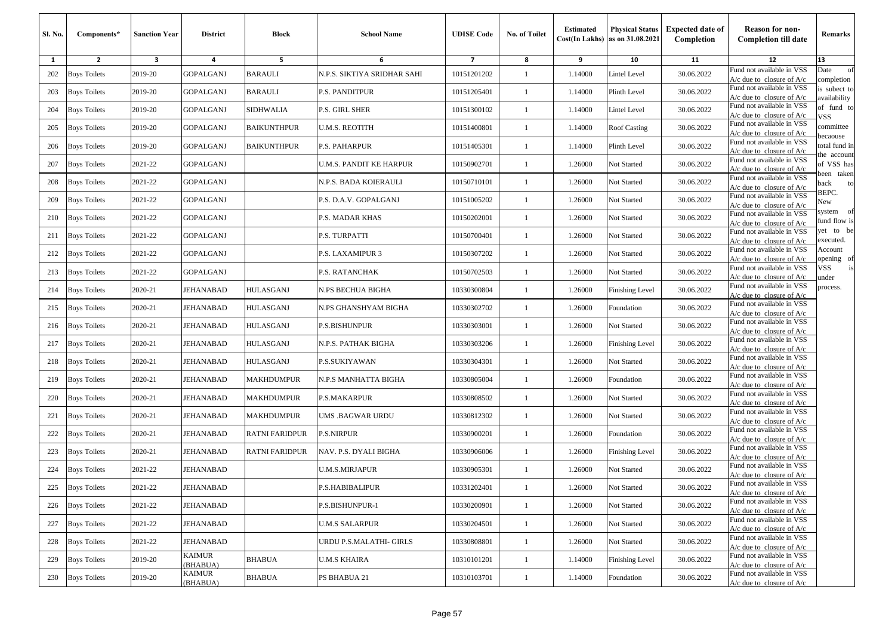| Sl. No. | Components*         | <b>Sanction Year</b> | <b>District</b>    | Block             | <b>School Name</b>          | <b>UDISE Code</b>       | No. of Toilet | <b>Estimated</b> | <b>Physical Status</b><br>$Cost(In$ Lakhs) as on $31.08.2021$ | <b>Expected date of</b><br>Completion | <b>Reason for non-</b><br><b>Completion till date</b>      | Remarks                      |
|---------|---------------------|----------------------|--------------------|-------------------|-----------------------------|-------------------------|---------------|------------------|---------------------------------------------------------------|---------------------------------------|------------------------------------------------------------|------------------------------|
| 1       | $\overline{2}$      | 3                    | 4                  | 5                 | 6                           | $\overline{\mathbf{z}}$ | 8             | 9                | 10                                                            | 11                                    | 12                                                         | 13                           |
| 202     | <b>Boys Toilets</b> | 2019-20              | <b>GOPALGANJ</b>   | <b>BARAULI</b>    | N.P.S. SIKTIYA SRIDHAR SAHI | 10151201202             | 1             | 1.14000          | Lintel Level                                                  | 30.06.2022                            | Fund not available in VSS<br>$A/c$ due to closure of $A/c$ | of<br>Date<br>completion     |
| 203     | <b>Boys Toilets</b> | 2019-20              | GOPALGANJ          | BARAULI           | P.S. PANDITPUR              | 10151205401             | 1             | 1.14000          | Plinth Level                                                  | 30.06.2022                            | Fund not available in VSS<br>$A/c$ due to closure of $A/c$ | is subect to<br>availability |
| 204     | <b>Boys Toilets</b> | 2019-20              | <b>GOPALGANJ</b>   | <b>SIDHWALIA</b>  | P.S. GIRL SHER              | 10151300102             | -1            | 1.14000          | Lintel Level                                                  | 30.06.2022                            | Fund not available in VSS<br>$A/c$ due to closure of $A/c$ | of fund to<br>VSS            |
| 205     | <b>Boys Toilets</b> | 2019-20              | GOPALGANJ          | BAIKUNTHPUR       | U.M.S. REOTITH              | 10151400801             | $\mathbf{1}$  | 1.14000          | <b>Roof Casting</b>                                           | 30.06.2022                            | Fund not available in VSS<br>A/c due to closure of A/c     | committee<br>pecaouse        |
| 206     | <b>Boys Toilets</b> | 2019-20              | GOPALGANJ          | BAIKUNTHPUR       | P.S. PAHARPUR               | 10151405301             | -1            | 1.14000          | Plinth Level                                                  | 30.06.2022                            | Fund not available in VSS<br>A/c due to closure of $A/c$   | otal fund in                 |
| 207     | <b>Boys Toilets</b> | 2021-22              | <b>GOPALGANJ</b>   |                   | U.M.S. PANDIT KE HARPUR     | 10150902701             | -1            | 1.26000          | Not Started                                                   | 30.06.2022                            | Fund not available in VSS<br>$A/c$ due to closure of $A/c$ | he account<br>of VSS has     |
| 208     | <b>Boys Toilets</b> | 2021-22              | GOPALGANJ          |                   | N.P.S. BADA KOIERAULI       | 10150710101             | -1            | 1.26000          | Not Started                                                   | 30.06.2022                            | Fund not available in VSS<br>$A/c$ due to closure of $A/c$ | veen taken<br>ack<br>to      |
| 209     | <b>Boys Toilets</b> | 2021-22              | GOPALGANJ          |                   | P.S. D.A.V. GOPALGANJ       | 10151005202             | 1             | 1.26000          | Not Started                                                   | 30.06.2022                            | Fund not available in VSS<br>$A/c$ due to closure of $A/c$ | BEPC.<br>New                 |
| 210     | <b>Boys Toilets</b> | 2021-22              | GOPALGANJ          |                   | P.S. MADAR KHAS             | 10150202001             | -1            | 1.26000          | Not Started                                                   | 30.06.2022                            | Fund not available in VSS<br>A/c due to closure of A/c     | system of<br>fund flow is    |
| 211     | <b>Boys Toilets</b> | 2021-22              | GOPALGANJ          |                   | P.S. TURPATTI               | 10150700401             | $\mathbf{1}$  | 1.26000          | Not Started                                                   | 30.06.2022                            | Fund not available in VSS<br>A/c due to closure of A/c     | et to be<br>executed.        |
| 212     | <b>Boys Toilets</b> | 2021-22              | <b>GOPALGANJ</b>   |                   | P.S. LAXAMIPUR 3            | 10150307202             | $\mathbf{1}$  | 1.26000          | Not Started                                                   | 30.06.2022                            | Fund not available in VSS<br>$A/c$ due to closure of $A/c$ | Account<br>pening of         |
| 213     | <b>Boys Toilets</b> | 2021-22              | <b>GOPALGANJ</b>   |                   | P.S. RATANCHAK              | 10150702503             | -1            | 1.26000          | Not Started                                                   | 30.06.2022                            | Fund not available in VSS<br>$A/c$ due to closure of $A/c$ | /SS<br>is<br>ınder           |
| 214     | <b>Boys Toilets</b> | 2020-21              | JEHANABAD          | <b>IULASGANJ</b>  | N.PS BECHUA BIGHA           | 10330300804             | -1            | 1.26000          | <b>Finishing Level</b>                                        | 30.06.2022                            | Fund not available in VSS<br>$A/c$ due to closure of $A/c$ | process.                     |
| 215     | <b>Boys Toilets</b> | 2020-21              | JEHANABAD          | HULASGANJ         | N.PS GHANSHYAM BIGHA        | 10330302702             | $\mathbf{1}$  | 1.26000          | Foundation                                                    | 30.06.2022                            | Fund not available in VSS<br>$A/c$ due to closure of $A/c$ |                              |
| 216     | <b>Boys Toilets</b> | 2020-21              | JEHANABAD          | HULASGANJ         | P.S.BISHUNPUR               | 10330303001             | $\mathbf{1}$  | 1.26000          | Not Started                                                   | 30.06.2022                            | Fund not available in VSS<br>$A/c$ due to closure of $A/c$ |                              |
| 217     | <b>Boys Toilets</b> | 2020-21              | JEHANABAD          | HULASGANJ         | N.P.S. PATHAK BIGHA         | 10330303206             | -1            | 1.26000          | Finishing Level                                               | 30.06.2022                            | Fund not available in VSS<br>A/c due to closure of A/c     |                              |
| 218     | <b>Boys Toilets</b> | 2020-21              | <b>JEHANABAD</b>   | HULASGANJ         | P.S.SUKIYAWAN               | 10330304301             | 1             | 1.26000          | Not Started                                                   | 30.06.2022                            | Fund not available in VSS<br>A/c due to closure of $A/c$   |                              |
| 219     | <b>Boys Toilets</b> | 2020-21              | JEHANABAD          | MAKHDUMPUR        | N.P.S MANHATTA BIGHA        | 10330805004             | -1            | 1.26000          | Foundation                                                    | 30.06.2022                            | Fund not available in VSS<br>$A/c$ due to closure of $A/c$ |                              |
| 220     | <b>Boys Toilets</b> | 2020-21              | JEHANABAD          | MAKHDUMPUR        | P.S.MAKARPUR                | 10330808502             | 1             | 1.26000          | Not Started                                                   | 30.06.2022                            | Fund not available in VSS<br>$A/c$ due to closure of $A/c$ |                              |
| 221     | <b>Boys Toilets</b> | 2020-21              | JEHANABAD          | <b>MAKHDUMPUR</b> | UMS .BAGWAR URDU            | 10330812302             | -1            | 1.26000          | Not Started                                                   | 30.06.2022                            | Fund not available in VSS<br>$A/c$ due to closure of $A/c$ |                              |
| 222     | <b>Boys Toilets</b> | 2020-21              | <b>JEHANABAD</b>   | RATNI FARIDPUR    | <b>P.S.NIRPUR</b>           | 10330900201             | $\mathbf{1}$  | 1.26000          | Foundation                                                    | 30.06.2022                            | Fund not available in VSS<br>$A/c$ due to closure of $A/c$ |                              |
| 223     | <b>Boys Toilets</b> | 2020-21              | JEHANABAD          | RATNI FARIDPUR    | NAV. P.S. DYALI BIGHA       | 10330906006             | -1            | 1.26000          | <b>Finishing Level</b>                                        | 30.06.2022                            | Fund not available in VSS<br>$A/c$ due to closure of $A/c$ |                              |
| 224     | <b>Boys Toilets</b> | 2021-22              | JEHANABAD          |                   | <b>U.M.S.MIRJAPUR</b>       | 10330905301             | 1             | 1.26000          | Not Started                                                   | 30.06.2022                            | Fund not available in VSS<br>$A/c$ due to closure of $A/c$ |                              |
|         | 225 Boys Toilets    | 2021-22              | JEHANABAD          |                   | P.S.HABIBALIPUR             | 10331202401             |               | 1.26000          | <b>Not Started</b>                                            | 30.06.2022                            | Fund not available in VSS<br>$A/c$ due to closure of $A/c$ |                              |
| 226     | <b>Boys Toilets</b> | 2021-22              | JEHANABAD          |                   | P.S.BISHUNPUR-1             | 10330200901             | $\mathbf{1}$  | 1.26000          | Not Started                                                   | 30.06.2022                            | Fund not available in VSS<br>$A/c$ due to closure of $A/c$ |                              |
| 227     | <b>Boys Toilets</b> | 2021-22              | JEHANABAD          |                   | U.M.S SALARPUR              | 10330204501             | $\mathbf{1}$  | 1.26000          | Not Started                                                   | 30.06.2022                            | Fund not available in VSS<br>A/c due to closure of A/c     |                              |
| 228     | <b>Boys Toilets</b> | 2021-22              | JEHANABAD          |                   | URDU P.S.MALATHI- GIRLS     | 10330808801             | $\mathbf{1}$  | 1.26000          | Not Started                                                   | 30.06.2022                            | Fund not available in VSS<br>$A/c$ due to closure of $A/c$ |                              |
| 229     | <b>Boys Toilets</b> | 2019-20              | KAIMUR<br>(BHABUA) | <b>BHABUA</b>     | <b>U.M.S KHAIRA</b>         | 10310101201             | $\mathbf{1}$  | 1.14000          | Finishing Level                                               | 30.06.2022                            | Fund not available in VSS<br>$A/c$ due to closure of $A/c$ |                              |
| 230     | <b>Boys Toilets</b> | 2019-20              | KAIMUR<br>(BHABUA) | BHABUA            | PS BHABUA 21                | 10310103701             | $\mathbf{1}$  | 1.14000          | Foundation                                                    | 30.06.2022                            | Fund not available in VSS<br>A/c due to closure of A/c     |                              |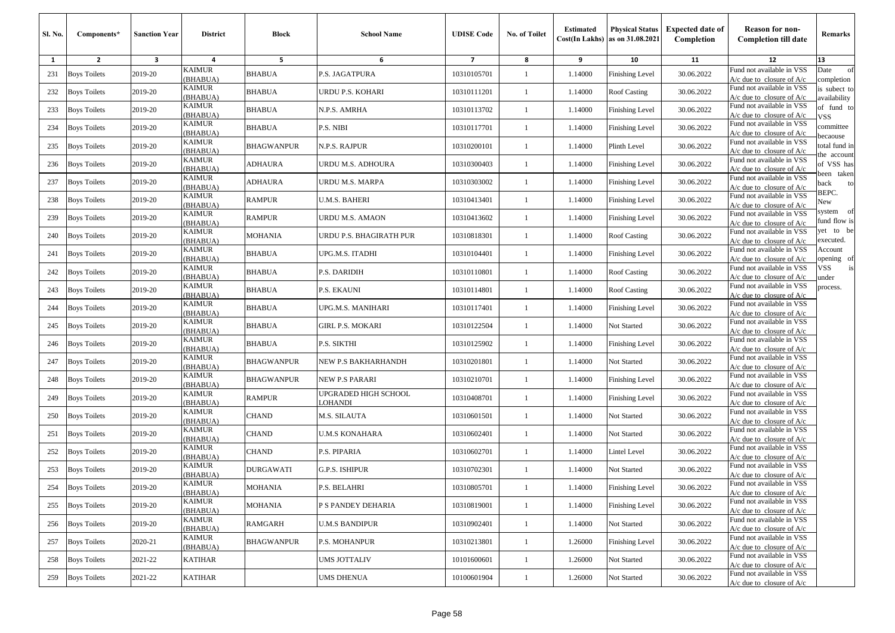| Sl. No. | Components*         | <b>Sanction Year</b>    | <b>District</b>           | <b>Block</b>      | <b>School Name</b>                    | <b>UDISE Code</b> | <b>No. of Toilet</b> | <b>Estimated</b> | <b>Physical Status</b><br>$Cost(In$ Lakhs) as on $31.08.2021$ | <b>Expected date of</b><br>Completion | <b>Reason for non-</b><br><b>Completion till date</b>      | Remarks                      |
|---------|---------------------|-------------------------|---------------------------|-------------------|---------------------------------------|-------------------|----------------------|------------------|---------------------------------------------------------------|---------------------------------------|------------------------------------------------------------|------------------------------|
| 1       | $\overline{2}$      | $\overline{\mathbf{3}}$ | 4                         | 5                 | 6                                     | $\overline{7}$    | 8                    | 9                | 10                                                            | 11                                    | 12                                                         | 13                           |
| 231     | <b>Boys Toilets</b> | 2019-20                 | KAIMUR<br>(BHABUA)        | <b>BHABUA</b>     | P.S. JAGATPURA                        | 10310105701       | $\mathbf{1}$         | 1.14000          | <b>Finishing Level</b>                                        | 30.06.2022                            | Fund not available in VSS<br>$A/c$ due to closure of $A/c$ | Date<br>of<br>completion     |
| 232     | <b>Boys Toilets</b> | 2019-20                 | <b>KAIMUR</b><br>(BHABUA) | <b>BHABUA</b>     | URDU P.S. KOHARI                      | 10310111201       | 1                    | 1.14000          | Roof Casting                                                  | 30.06.2022                            | Fund not available in VSS<br>A/c due to closure of A/c     | is subect to<br>availability |
| 233     | <b>Boys Toilets</b> | 2019-20                 | <b>KAIMUR</b><br>(BHABUA) | <b>BHABUA</b>     | N.P.S. AMRHA                          | 10310113702       | -1                   | 1.14000          | <b>Finishing Level</b>                                        | 30.06.2022                            | Fund not available in VSS<br>A/c due to closure of A/c     | of fund to<br>VSS            |
| 234     | <b>Boys Toilets</b> | 2019-20                 | <b>KAIMUR</b><br>(BHABUA) | <b>BHABUA</b>     | P.S. NIBI                             | 10310117701       | -1                   | 1.14000          | <b>Finishing Level</b>                                        | 30.06.2022                            | Fund not available in VSS<br>A/c due to closure of A/c     | committee<br>ecaouse         |
| 235     | <b>Boys Toilets</b> | 2019-20                 | KAIMUR<br>(BHABUA)        | <b>BHAGWANPUR</b> | N.P.S. RAJPUR                         | 10310200101       | 1                    | 1.14000          | Plinth Level                                                  | 30.06.2022                            | Fund not available in VSS<br>A/c due to closure of $A/c$   | otal fund in<br>he account   |
| 236     | <b>Boys Toilets</b> | 2019-20                 | KAIMUR<br>(BHABUA)        | ADHAURA           | URDU M.S. ADHOURA                     | 10310300403       | -1                   | 1.14000          | <b>Finishing Level</b>                                        | 30.06.2022                            | Fund not available in VSS<br>$A/c$ due to closure of $A/c$ | of VSS has<br>veen taken     |
| 237     | <b>Boys Toilets</b> | 2019-20                 | <b>KAIMUR</b><br>(BHABUA) | <b>ADHAURA</b>    | URDU M.S. MARPA                       | 10310303002       | $\mathbf{1}$         | 1.14000          | <b>Finishing Level</b>                                        | 30.06.2022                            | Fund not available in VSS<br>A/c due to closure of A/c     | əack<br>to<br>BEPC.          |
| 238     | <b>Boys Toilets</b> | 2019-20                 | KAIMUR<br>(BHABUA)        | RAMPUR            | U.M.S. BAHERI                         | 10310413401       | $\mathbf{1}$         | 1.14000          | <b>Finishing Level</b>                                        | 30.06.2022                            | Fund not available in VSS<br>$A/c$ due to closure of $A/c$ | New                          |
| 239     | <b>Boys Toilets</b> | 2019-20                 | <b>KAIMUR</b><br>(BHABUA) | <b>RAMPUR</b>     | URDU M.S. AMAON                       | 10310413602       | $\mathbf{1}$         | 1.14000          | <b>Finishing Level</b>                                        | 30.06.2022                            | Fund not available in VSS<br>$A/c$ due to closure of $A/c$ | system of<br>fund flow is    |
| 240     | <b>Boys Toilets</b> | 2019-20                 | <b>KAIMUR</b><br>(BHABUA) | MOHANIA           | URDU P.S. BHAGIRATH PUR               | 10310818301       | -1                   | 1.14000          | Roof Casting                                                  | 30.06.2022                            | Fund not available in VSS<br>$A/c$ due to closure of $A/c$ | et to be<br>executed.        |
| 241     | <b>Boys Toilets</b> | 2019-20                 | KAIMUR<br>(BHABUA)        | <b>BHABUA</b>     | UPG.M.S. ITADHI                       | 10310104401       | 1                    | 1.14000          | Finishing Level                                               | 30.06.2022                            | Fund not available in VSS<br>$A/c$ due to closure of $A/c$ | Account<br>pening of         |
| 242     | <b>Boys Toilets</b> | 2019-20                 | KAIMUR<br>(BHABUA)        | BHABUA            | P.S. DARIDIH                          | 10310110801       | $\mathbf{1}$         | 1.14000          | Roof Casting                                                  | 30.06.2022                            | Fund not available in VSS<br>$A/c$ due to closure of $A/c$ | /SS<br>is<br><i>inder</i>    |
| 243     | <b>Boys Toilets</b> | 2019-20                 | <b>KAIMUR</b><br>(BHABUA) | <b>BHABUA</b>     | P.S. EKAUNI                           | 10310114801       | 1                    | 1.14000          | Roof Casting                                                  | 30.06.2022                            | Fund not available in VSS<br>A/c due to closure of A/c     | rocess.                      |
| 244     | <b>Boys Toilets</b> | 2019-20                 | KAIMUR<br>(BHABUA)        | <b>BHABUA</b>     | UPG.M.S. MANIHARI                     | 10310117401       | 1                    | 1.14000          | Finishing Level                                               | 30.06.2022                            | Fund not available in VSS<br>$A/c$ due to closure of $A/c$ |                              |
| 245     | <b>Boys Toilets</b> | 2019-20                 | <b>KAIMUR</b><br>(BHABUA) | <b>BHABUA</b>     | <b>GIRL P.S. MOKARI</b>               | 10310122504       | -1                   | 1.14000          | Not Started                                                   | 30.06.2022                            | Fund not available in VSS<br>$A/c$ due to closure of $A/c$ |                              |
| 246     | <b>Boys Toilets</b> | 2019-20                 | <b>KAIMUR</b><br>(BHABUA) | <b>BHABUA</b>     | P.S. SIKTHI                           | 10310125902       | $\mathbf{1}$         | 1.14000          | <b>Finishing Level</b>                                        | 30.06.2022                            | Fund not available in VSS<br>$A/c$ due to closure of $A/c$ |                              |
| 247     | <b>Boys Toilets</b> | 2019-20                 | <b>KAIMUR</b><br>(BHABUA) | BHAGWANPUR        | NEW P.S BAKHARHANDH                   | 10310201801       | -1                   | 1.14000          | Not Started                                                   | 30.06.2022                            | Fund not available in VSS<br>$A/c$ due to closure of $A/c$ |                              |
| 248     | <b>Boys Toilets</b> | 2019-20                 | KAIMUR<br>(BHABUA)        | <b>BHAGWANPUR</b> | NEW P.S PARARI                        | 10310210701       | $\mathbf{1}$         | 1.14000          | <b>Finishing Level</b>                                        | 30.06.2022                            | Fund not available in VSS<br>A/c due to closure of A/c     |                              |
| 249     | <b>Boys Toilets</b> | 2019-20                 | <b>KAIMUR</b><br>(BHABUA) | <b>RAMPUR</b>     | UPGRADED HIGH SCHOOL<br><b>OHANDI</b> | 10310408701       | 1                    | 1.14000          | <b>Finishing Level</b>                                        | 30.06.2022                            | Fund not available in VSS<br>$A/c$ due to closure of $A/c$ |                              |
| 250     | <b>Boys Toilets</b> | 2019-20                 | <b>KAIMUR</b><br>(BHABUA) | <b>CHAND</b>      | M.S. SILAUTA                          | 10310601501       | 1                    | 1.14000          | Not Started                                                   | 30.06.2022                            | Fund not available in VSS<br>$A/c$ due to closure of $A/c$ |                              |
| 251     | <b>Boys Toilets</b> | 2019-20                 | <b>KAIMUR</b><br>(BHABUA) | <b>CHAND</b>      | <b>U.M.S KONAHARA</b>                 | 10310602401       | -1                   | 1.14000          | Not Started                                                   | 30.06.2022                            | Fund not available in VSS<br>$A/c$ due to closure of $A/c$ |                              |
| 252     | <b>Boys Toilets</b> | 2019-20                 | KAIMUR<br>(BHABUA)        | <b>CHAND</b>      | P.S. PIPARIA                          | 10310602701       | $\mathbf{1}$         | 1.14000          | Lintel Level                                                  | 30.06.2022                            | Fund not available in VSS<br>A/c due to closure of $A/c$   |                              |
| 253     | <b>Boys Toilets</b> | 2019-20                 | KAIMUR<br>(BHABUA)        | DURGAWATI         | G.P.S. ISHIPUR                        | 10310702301       | $\mathbf{1}$         | 1.14000          | Not Started                                                   | 30.06.2022                            | Fund not available in VSS<br>A/c due to closure of $A/c$   |                              |
| 254     | <b>Boys Toilets</b> | 2019-20                 | <b>KAIMUR</b><br>(BHABUA) | <b>MOHANIA</b>    | P.S. BELAHRI                          | 10310805701       |                      | 1.14000          | Finishing Level                                               | 30.06.2022                            | Fund not available in VSS<br>$A/c$ due to closure of $A/c$ |                              |
| 255     | <b>Boys Toilets</b> | 2019-20                 | <b>KAIMUR</b><br>(BHABUA) | <b>MOHANIA</b>    | P S PANDEY DEHARIA                    | 10310819001       | $\mathbf{1}$         | 1.14000          | <b>Finishing Level</b>                                        | 30.06.2022                            | Fund not available in VSS<br>$A/c$ due to closure of $A/c$ |                              |
| 256     | <b>Boys Toilets</b> | 2019-20                 | <b>KAIMUR</b><br>(BHABUA) | <b>RAMGARH</b>    | <b>U.M.S BANDIPUR</b>                 | 10310902401       | $\mathbf{1}$         | 1.14000          | Not Started                                                   | 30.06.2022                            | Fund not available in VSS<br>$A/c$ due to closure of $A/c$ |                              |
| 257     | <b>Boys Toilets</b> | 2020-21                 | KAIMUR<br>(BHABUA)        | <b>BHAGWANPUR</b> | P.S. MOHANPUR                         | 10310213801       | $\mathbf{1}$         | 1.26000          | <b>Finishing Level</b>                                        | 30.06.2022                            | Fund not available in VSS<br>$A/c$ due to closure of $A/c$ |                              |
| 258     | <b>Boys Toilets</b> | 2021-22                 | KATIHAR                   |                   | <b>UMS JOTTALIV</b>                   | 10101600601       | $\mathbf{1}$         | 1.26000          | Not Started                                                   | 30.06.2022                            | Fund not available in VSS<br>$A/c$ due to closure of $A/c$ |                              |
| 259     | <b>Boys Toilets</b> | 2021-22                 | KATIHAR                   |                   | <b>UMS DHENUA</b>                     | 10100601904       | $\mathbf{1}$         | 1.26000          | Not Started                                                   | 30.06.2022                            | Fund not available in VSS<br>$A/c$ due to closure of $A/c$ |                              |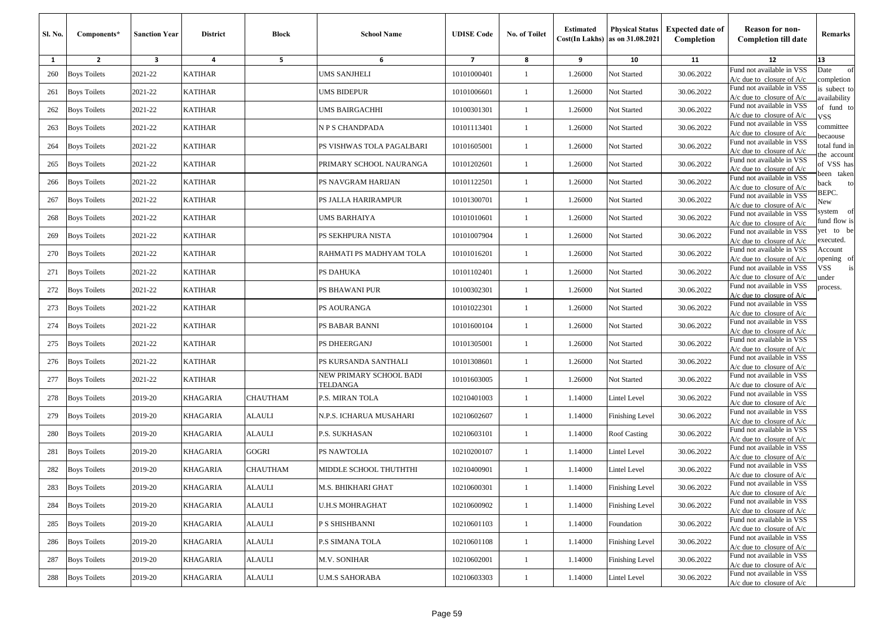| <b>SI. No.</b> | Components*         | <b>Sanction Year</b> | <b>District</b> | <b>Block</b>            | <b>School Name</b>                  | <b>UDISE Code</b> | No. of Toilet | <b>Estimated</b> | <b>Physical Status</b><br>$Cost(In$ Lakhs) as on $31.08.2021$ | <b>Expected date of</b><br>Completion | <b>Reason for non-</b><br><b>Completion till date</b>      | Remarks                        |
|----------------|---------------------|----------------------|-----------------|-------------------------|-------------------------------------|-------------------|---------------|------------------|---------------------------------------------------------------|---------------------------------------|------------------------------------------------------------|--------------------------------|
| 1              | $\mathbf{2}$        | 3                    | 4               | 5                       | 6                                   | $\overline{7}$    | 8             | 9                | 10                                                            | 11                                    | 12                                                         | 13                             |
| 260            | <b>Boys Toilets</b> | 2021-22              | <b>KATIHAR</b>  |                         | UMS SANJHELI                        | 10101000401       | 1             | 1.26000          | Not Started                                                   | 30.06.2022                            | Fund not available in VSS<br>$A/c$ due to closure of $A/c$ | Date<br>of<br>completion       |
| 261            | <b>Boys Toilets</b> | 2021-22              | <b>KATIHAR</b>  |                         | UMS BIDEPUR                         | 10101006601       | 1             | 1.26000          | Not Started                                                   | 30.06.2022                            | Fund not available in VSS<br>$A/c$ due to closure of $A/c$ | is subect to<br>availability   |
| 262            | <b>Boys Toilets</b> | 2021-22              | <b>KATIHAR</b>  |                         | UMS BAIRGACHHI                      | 10100301301       | 1             | 1.26000          | Not Started                                                   | 30.06.2022                            | Fund not available in VSS<br>$A/c$ due to closure of $A/c$ | of fund to<br>VSS              |
| 263            | <b>Boys Toilets</b> | 2021-22              | <b>KATIHAR</b>  |                         | N P S CHANDPADA                     | 10101113401       | $\mathbf{1}$  | 1.26000          | Not Started                                                   | 30.06.2022                            | Fund not available in VSS<br>$A/c$ due to closure of $A/c$ | committee<br>ecaouse           |
| 264            | <b>Boys Toilets</b> | 2021-22              | <b>KATIHAR</b>  |                         | PS VISHWAS TOLA PAGALBARI           | 10101605001       | 1             | 1.26000          | Not Started                                                   | 30.06.2022                            | Fund not available in VSS<br>$A/c$ due to closure of $A/c$ | total fund in<br>he account    |
| 265            | <b>Boys Toilets</b> | 2021-22              | <b>KATIHAR</b>  |                         | PRIMARY SCHOOL NAURANGA             | 10101202601       | $\mathbf{1}$  | 1.26000          | Not Started                                                   | 30.06.2022                            | Fund not available in VSS<br>$A/c$ due to closure of $A/c$ | of VSS has                     |
| 266            | <b>Boys Toilets</b> | 2021-22              | <b>KATIHAR</b>  |                         | PS NAVGRAM HARIJAN                  | 10101122501       | 1             | 1.26000          | Not Started                                                   | 30.06.2022                            | Fund not available in VSS<br>$A/c$ due to closure of $A/c$ | een taken<br>back<br>to        |
| 267            | <b>Boys Toilets</b> | 2021-22              | <b>KATIHAR</b>  |                         | PS JALLA HARIRAMPUR                 | 10101300701       | 1             | 1.26000          | Not Started                                                   | 30.06.2022                            | Fund not available in VSS<br>$A/c$ due to closure of $A/c$ | BEPC.<br>New                   |
| 268            | <b>Boys Toilets</b> | 2021-22              | <b>KATIHAR</b>  |                         | UMS BARHAIYA                        | 10101010601       | 1             | 1.26000          | Not Started                                                   | 30.06.2022                            | Fund not available in VSS<br>A/c due to closure of A/c     | - of<br>system<br>fund flow is |
| 269            | <b>Boys Toilets</b> | 2021-22              | <b>KATIHAR</b>  |                         | PS SEKHPURA NISTA                   | 10101007904       | $\mathbf{1}$  | 1.26000          | Not Started                                                   | 30.06.2022                            | Fund not available in VSS<br>$A/c$ due to closure of $A/c$ | yet to be<br>executed.         |
| 270            | <b>Boys Toilets</b> | 2021-22              | <b>KATIHAR</b>  |                         | RAHMATI PS MADHYAM TOLA             | 10101016201       | $\mathbf{1}$  | 1.26000          | Not Started                                                   | 30.06.2022                            | Fund not available in VSS<br>$A/c$ due to closure of $A/c$ | Account<br>pening of           |
| 271            | <b>Boys Toilets</b> | 2021-22              | <b>KATIHAR</b>  |                         | PS DAHUKA                           | 10101102401       | 1             | 1.26000          | Not Started                                                   | 30.06.2022                            | Fund not available in VSS<br>$A/c$ due to closure of $A/c$ | VSS<br>under                   |
| 272            | <b>Boys Toilets</b> | 2021-22              | <b>KATIHAR</b>  |                         | PS BHAWANI PUR                      | 10100302301       | 1             | 1.26000          | Not Started                                                   | 30.06.2022                            | Fund not available in VSS<br>$A/c$ due to closure of $A/c$ | process.                       |
| 273            | <b>Boys Toilets</b> | 2021-22              | <b>KATIHAR</b>  |                         | PS AOURANGA                         | 10101022301       | $\mathbf{1}$  | 1.26000          | Not Started                                                   | 30.06.2022                            | Fund not available in VSS<br>$A/c$ due to closure of $A/c$ |                                |
| 274            | <b>Boys Toilets</b> | 2021-22              | <b>KATIHAR</b>  |                         | PS BABAR BANNI                      | 10101600104       | $\mathbf{1}$  | 1.26000          | Not Started                                                   | 30.06.2022                            | Fund not available in VSS<br>$A/c$ due to closure of $A/c$ |                                |
| 275            | <b>Boys Toilets</b> | 2021-22              | <b>KATIHAR</b>  |                         | PS DHEERGANJ                        | 10101305001       | 1             | 1.26000          | Not Started                                                   | 30.06.2022                            | Fund not available in VSS<br>$A/c$ due to closure of $A/c$ |                                |
| 276            | <b>Boys Toilets</b> | 2021-22              | <b>KATIHAR</b>  |                         | PS KURSANDA SANTHALI                | 10101308601       | $\mathbf{1}$  | 1.26000          | Not Started                                                   | 30.06.2022                            | Fund not available in VSS<br>A/c due to closure of $A/c$   |                                |
| 277            | <b>Boys Toilets</b> | 2021-22              | <b>KATIHAR</b>  |                         | NEW PRIMARY SCHOOL BADI<br>TELDANGA | 10101603005       | $\mathbf{1}$  | 1.26000          | Not Started                                                   | 30.06.2022                            | Fund not available in VSS<br>$A/c$ due to closure of $A/c$ |                                |
| 278            | Boys Toilets        | 2019-20              | <b>KHAGARIA</b> | CHAUTHAM                | P.S. MIRAN TOLA                     | 10210401003       | -1            | 1.14000          | Lintel Level                                                  | 30.06.2022                            | Fund not available in VSS<br>$A/c$ due to closure of $A/c$ |                                |
| 279            | <b>Boys Toilets</b> | 2019-20              | <b>KHAGARIA</b> | ALAULI                  | N.P.S. ICHARUA MUSAHARI             | 10210602607       | 1             | 1.14000          | Finishing Level                                               | 30.06.2022                            | Fund not available in VSS<br>$A/c$ due to closure of $A/c$ |                                |
| 280            | <b>Boys Toilets</b> | 2019-20              | <b>KHAGARIA</b> | ALAULI                  | P.S. SUKHASAN                       | 10210603101       | $\mathbf{1}$  | 1.14000          | Roof Casting                                                  | 30.06.2022                            | Fund not available in VSS<br>$A/c$ due to closure of $A/c$ |                                |
| 281            | <b>Boys Toilets</b> | 2019-20              | KHAGARIA        | GOGRI                   | PS NAWTOLIA                         | 10210200107       | $\mathbf{1}$  | 1.14000          | Lintel Level                                                  | 30.06.2022                            | Fund not available in VSS<br>$A/c$ due to closure of $A/c$ |                                |
| 282            | <b>Boys Toilets</b> | 2019-20              | KHAGARIA        | CHAUTHAM                | MIDDLE SCHOOL THUTHTHI              | 10210400901       | -1            | 1.14000          | Lintel Level                                                  | 30.06.2022                            | Fund not available in VSS<br>$A/c$ due to closure of $A/c$ |                                |
|                | 283 Boys Toilets    | 2019-20              | <b>KHAGARIA</b> | <b>ALAULI</b>           | M.S. BHIKHARI GHAT                  | 10210600301       |               | 1.14000          | Finishing Level                                               | 30.06.2022                            | Fund not available in VSS<br>$A/c$ due to closure of $A/c$ |                                |
| 284            | <b>Boys Toilets</b> | 2019-20              | KHAGARIA        | ALAULI                  | U.H.S MOHRAGHAT                     | 10210600902       | $\mathbf{1}$  | 1.14000          | <b>Finishing Level</b>                                        | 30.06.2022                            | Fund not available in VSS<br>$A/c$ due to closure of $A/c$ |                                |
| 285            | <b>Boys Toilets</b> | 2019-20              | KHAGARIA        | <b>ALAULI</b>           | P S SHISHBANNI                      | 10210601103       | $\mathbf{1}$  | 1.14000          | Foundation                                                    | 30.06.2022                            | Fund not available in VSS<br>$A/c$ due to closure of $A/c$ |                                |
| 286            | <b>Boys Toilets</b> | 2019-20              | KHAGARIA        | ALAULI                  | P.S SIMANA TOLA                     | 10210601108       | $\mathbf{1}$  | 1.14000          | <b>Finishing Level</b>                                        | 30.06.2022                            | Fund not available in VSS<br>A/c due to closure of $A/c$   |                                |
| 287            | <b>Boys Toilets</b> | 2019-20              | KHAGARIA        | ALAULI                  | M.V. SONIHAR                        | 10210602001       | $\mathbf{1}$  | 1.14000          | <b>Finishing Level</b>                                        | 30.06.2022                            | Fund not available in VSS<br>$A/c$ due to closure of $A/c$ |                                |
| 288            | <b>Boys Toilets</b> | 2019-20              | KHAGARIA        | $\operatorname{ALAULI}$ | U.M.S SAHORABA                      | 10210603303       | $\mathbf{1}$  | 1.14000          | Lintel Level                                                  | 30.06.2022                            | Fund not available in VSS<br>A/c due to closure of A/c     |                                |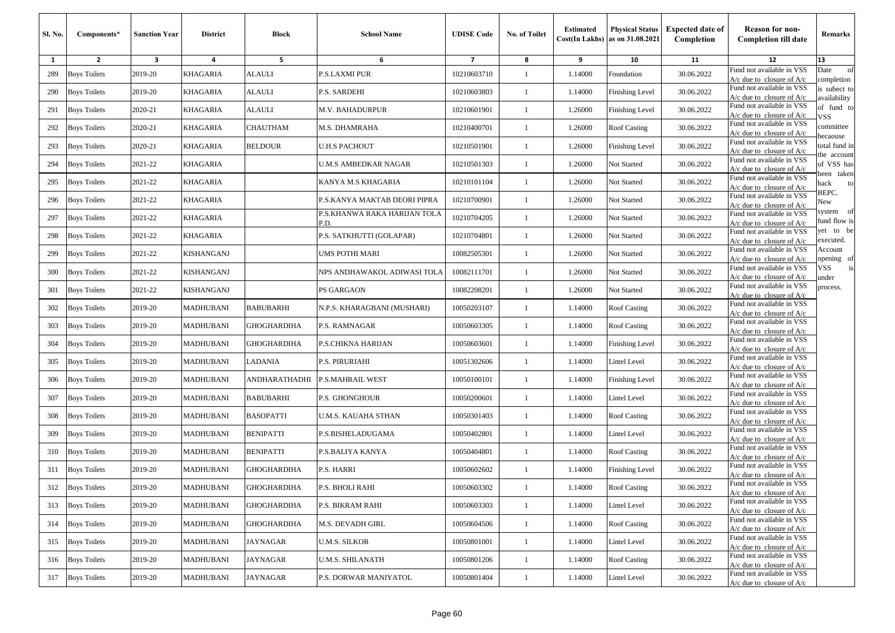| Sl. No. | Components*         | <b>Sanction Year</b> | <b>District</b>  | Block              | <b>School Name</b>                   | <b>UDISE Code</b> | No. of Toilet | <b>Estimated</b> | <b>Physical Status</b><br>$Cost(In$ Lakhs) as on $31.08.2021$ | <b>Expected date of</b><br>Completion | <b>Reason for non-</b><br><b>Completion till date</b>      | Remarks                      |
|---------|---------------------|----------------------|------------------|--------------------|--------------------------------------|-------------------|---------------|------------------|---------------------------------------------------------------|---------------------------------------|------------------------------------------------------------|------------------------------|
| 1       | $\overline{2}$      | 3                    | 4                | 5                  | 6                                    | $\overline{7}$    | 8             | 9                | 10                                                            | 11                                    | 12                                                         | 13                           |
| 289     | <b>Boys Toilets</b> | 2019-20              | KHAGARIA         | ALAULI             | P.S.LAXMI PUR                        | 10210603710       | 1             | 1.14000          | Foundation                                                    | 30.06.2022                            | Fund not available in VSS<br>$A/c$ due to closure of $A/c$ | of<br>Date<br>completion     |
| 290     | <b>Boys Toilets</b> | 2019-20              | KHAGARIA         | ALAULI             | P.S. SARDEHI                         | 10210603803       | 1             | 1.14000          | Finishing Level                                               | 30.06.2022                            | Fund not available in VSS<br>$A/c$ due to closure of $A/c$ | is subect to<br>availability |
| 291     | <b>Boys Toilets</b> | 2020-21              | KHAGARIA         | ALAULI             | M.V. BAHADURPUR                      | 10210601901       | -1            | 1.26000          | <b>Finishing Level</b>                                        | 30.06.2022                            | Fund not available in VSS<br>$A/c$ due to closure of $A/c$ | of fund to<br>VSS            |
| 292     | <b>Boys Toilets</b> | 2020-21              | KHAGARIA         | CHAUTHAM           | M.S. DHAMRAHA                        | 10210400701       | $\mathbf{1}$  | 1.26000          | <b>Roof Casting</b>                                           | 30.06.2022                            | Fund not available in VSS<br>A/c due to closure of A/c     | committee<br>pecaouse        |
| 293     | <b>Boys Toilets</b> | 2020-21              | KHAGARIA         | <b>BELDOUR</b>     | <b>U.H.S PACHOUT</b>                 | 10210501901       | -1            | 1.26000          | Finishing Level                                               | 30.06.2022                            | Fund not available in VSS<br>$A/c$ due to closure of $A/c$ | otal fund in<br>he account   |
| 294     | <b>Boys Toilets</b> | 2021-22              | KHAGARIA         |                    | U.M.S AMBEDKAR NAGAR                 | 10210501303       | -1            | 1.26000          | Not Started                                                   | 30.06.2022                            | Fund not available in VSS<br>$A/c$ due to closure of $A/c$ | of VSS has<br>veen taken     |
| 295     | <b>Boys Toilets</b> | 2021-22              | KHAGARIA         |                    | KANYA M.S KHAGARIA                   | 10210101104       | -1            | 1.26000          | Not Started                                                   | 30.06.2022                            | Fund not available in VSS<br>$A/c$ due to closure of $A/c$ | ack<br>to                    |
| 296     | <b>Boys Toilets</b> | 2021-22              | KHAGARIA         |                    | P.S.KANYA MAKTAB DEORI PIPRA         | 10210700901       | 1             | 1.26000          | Not Started                                                   | 30.06.2022                            | Fund not available in VSS<br>$A/c$ due to closure of $A/c$ | BEPC.<br>New                 |
| 297     | <b>Boys Toilets</b> | 2021-22              | KHAGARIA         |                    | P.S.KHANWA RAKA HARIJAN TOLA<br>P.D. | 10210704205       | -1            | 1.26000          | Not Started                                                   | 30.06.2022                            | Fund not available in VSS<br>A/c due to closure of A/c     | system of<br>fund flow is    |
| 298     | <b>Boys Toilets</b> | 2021-22              | KHAGARIA         |                    | P.S. SATKHUTTI (GOLAPAR)             | 10210704801       | $\mathbf{1}$  | 1.26000          | Not Started                                                   | 30.06.2022                            | Fund not available in VSS<br>A/c due to closure of A/c     | et to be<br>executed.        |
| 299     | <b>Boys Toilets</b> | 2021-22              | KISHANGANJ       |                    | UMS POTHI MARI                       | 10082505301       | $\mathbf{1}$  | 1.26000          | Not Started                                                   | 30.06.2022                            | Fund not available in VSS<br>$A/c$ due to closure of $A/c$ | Account<br>pening of         |
| 300     | <b>Boys Toilets</b> | 2021-22              | KISHANGANJ       |                    | NPS ANDHAWAKOL ADIWASI TOLA          | 10082111701       | -1            | 1.26000          | Not Started                                                   | 30.06.2022                            | Fund not available in VSS<br>$A/c$ due to closure of $A/c$ | /SS<br>is<br>ınder           |
| 301     | <b>Boys Toilets</b> | 2021-22              | KISHANGANJ       |                    | PS GARGAON                           | 10082208201       | -1            | 1.26000          | Not Started                                                   | 30.06.2022                            | Fund not available in VSS<br>A/c due to closure of $A/c$   | process.                     |
| 302     | <b>Boys Toilets</b> | 2019-20              | MADHUBANI        | <b>BABUBARHI</b>   | N.P.S. KHARAGBANI (MUSHARI)          | 10050203107       | -1            | 1.14000          | <b>Roof Casting</b>                                           | 30.06.2022                            | Fund not available in VSS<br>$A/c$ due to closure of $A/c$ |                              |
| 303     | <b>Boys Toilets</b> | 2019-20              | MADHUBANI        | GHOGHARDIHA        | P.S. RAMNAGAR                        | 10050603305       | -1            | 1.14000          | <b>Roof Casting</b>                                           | 30.06.2022                            | Fund not available in VSS<br>$A/c$ due to closure of $A/c$ |                              |
| 304     | <b>Boys Toilets</b> | 2019-20              | MADHUBANI        | GHOGHARDIHA        | P.S.CHIKNA HARIJAN                   | 10050603601       | -1            | 1.14000          | Finishing Level                                               | 30.06.2022                            | Fund not available in VSS<br>A/c due to closure of A/c     |                              |
| 305     | <b>Boys Toilets</b> | 2019-20              | <b>MADHUBANI</b> | LADANIA            | <b>P.S. PIRURIAHI</b>                | 10051302606       | 1             | 1.14000          | Lintel Level                                                  | 30.06.2022                            | Fund not available in VSS<br>$A/c$ due to closure of $A/c$ |                              |
| 306     | <b>Boys Toilets</b> | 2019-20              | MADHUBANI        | ANDHARATHADHI      | P.S.MAHRAIL WEST                     | 10050100101       | -1            | 1.14000          | <b>Finishing Level</b>                                        | 30.06.2022                            | Fund not available in VSS<br>$A/c$ due to closure of $A/c$ |                              |
| 307     | <b>Boys Toilets</b> | 2019-20              | MADHUBANI        | BABUBARHI          | P.S. GHONGHOUR                       | 10050200601       | 1             | 1.14000          | Lintel Level                                                  | 30.06.2022                            | Fund not available in VSS<br>$A/c$ due to closure of $A/c$ |                              |
| 308     | <b>Boys Toilets</b> | 2019-20              | MADHUBANI        | <b>BASOPATTI</b>   | U.M.S. KAUAHA STHAN                  | 10050301403       | -1            | 1.14000          | <b>Roof Casting</b>                                           | 30.06.2022                            | Fund not available in VSS<br>$A/c$ due to closure of $A/c$ |                              |
| 309     | <b>Boys Toilets</b> | 2019-20              | MADHUBANI        | <b>BENIPATTI</b>   | P.S.BISHELADUGAMA                    | 10050402801       | $\mathbf{1}$  | 1.14000          | Lintel Level                                                  | 30.06.2022                            | Fund not available in VSS<br>$A/c$ due to closure of $A/c$ |                              |
| 310     | <b>Boys Toilets</b> | 2019-20              | MADHUBANI        | <b>BENIPATTI</b>   | P.S.BALIYA KANYA                     | 10050404801       | -1            | 1.14000          | <b>Roof Casting</b>                                           | 30.06.2022                            | Fund not available in VSS<br>$A/c$ due to closure of $A/c$ |                              |
| 311     | <b>Boys Toilets</b> | 2019-20              | MADHUBANI        | GHOGHARDIHA        | P.S. HARRI                           | 10050602602       | 1             | 1.14000          | Finishing Level                                               | 30.06.2022                            | Fund not available in VSS<br>$A/c$ due to closure of $A/c$ |                              |
| 312     | <b>Boys Toilets</b> | 2019-20              | <b>MADHUBANI</b> | <b>GHOGHARDIHA</b> | P.S. BHOLI RAHI                      | 10050603302       |               | 1.14000          | Roof Casting                                                  | 30.06.2022                            | Fund not available in VSS<br>$A/c$ due to closure of $A/c$ |                              |
| 313     | <b>Boys Toilets</b> | 2019-20              | MADHUBANI        | <b>GHOGHARDIHA</b> | P.S. BIKRAM RAHI                     | 10050603303       | $\mathbf{1}$  | 1.14000          | <b>Lintel Level</b>                                           | 30.06.2022                            | Fund not available in VSS<br>$A/c$ due to closure of $A/c$ |                              |
| 314     | <b>Boys Toilets</b> | 2019-20              | MADHUBANI        | <b>GHOGHARDIHA</b> | M.S. DEVADH GIRL                     | 10050604506       | $\mathbf{1}$  | 1.14000          | Roof Casting                                                  | 30.06.2022                            | Fund not available in VSS<br>$A/c$ due to closure of $A/c$ |                              |
| 315     | <b>Boys Toilets</b> | 2019-20              | MADHUBANI        | JAYNAGAR           | U.M.S. SILKOR                        | 10050801001       | $\mathbf{1}$  | 1.14000          | Lintel Level                                                  | 30.06.2022                            | Fund not available in VSS<br>$A/c$ due to closure of $A/c$ |                              |
| 316     | <b>Boys Toilets</b> | 2019-20              | <b>MADHUBANI</b> | JAYNAGAR           | U.M.S. SHILANATH                     | 10050801206       | $\mathbf{1}$  | 1.14000          | <b>Roof Casting</b>                                           | 30.06.2022                            | Fund not available in VSS<br>$A/c$ due to closure of $A/c$ |                              |
| 317     | <b>Boys Toilets</b> | 2019-20              | <b>MADHUBANI</b> | JAYNAGAR           | P.S. DORWAR MANIYATOL                | 10050801404       | $\mathbf{1}$  | 1.14000          | <b>Lintel Level</b>                                           | 30.06.2022                            | Fund not available in VSS<br>$A/c$ due to closure of $A/c$ |                              |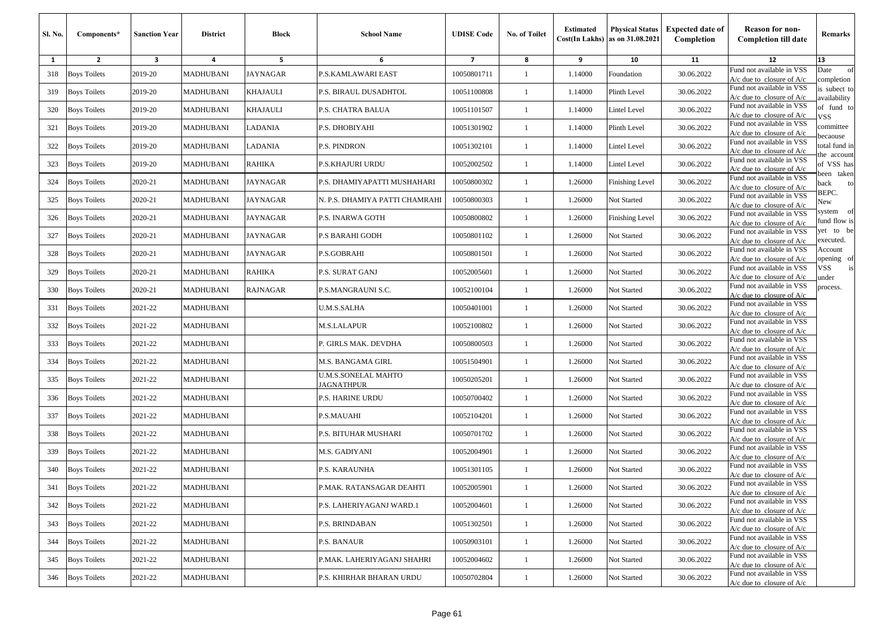| Sl. No. | Components*         | <b>Sanction Year</b> | <b>District</b>  | <b>Block</b>    | <b>School Name</b>                | <b>UDISE Code</b>        | <b>No. of Toilet</b> | <b>Estimated</b> | <b>Physical Status</b><br>$Cost(In$ Lakhs) as on $31.08.2021$ | <b>Expected date of</b><br>Completion | <b>Reason for non-</b><br><b>Completion till date</b>      | Remarks                        |
|---------|---------------------|----------------------|------------------|-----------------|-----------------------------------|--------------------------|----------------------|------------------|---------------------------------------------------------------|---------------------------------------|------------------------------------------------------------|--------------------------------|
| 1       | $\overline{2}$      | 3                    | 4                | 5               | 6                                 | $\overline{\phantom{a}}$ | 8                    | 9                | 10                                                            | 11                                    | 12                                                         | 13                             |
| 318     | <b>Boys Toilets</b> | 2019-20              | MADHUBANI        | <b>JAYNAGAR</b> | P.S.KAMLAWARI EAST                | 10050801711              | -1                   | 1.14000          | Foundation                                                    | 30.06.2022                            | Fund not available in VSS<br>$A/c$ due to closure of $A/c$ | Date<br>of<br>completion       |
| 319     | <b>Boys Toilets</b> | 2019-20              | MADHUBANI        | <b>KHAJAULI</b> | P.S. BIRAUL DUSADHTOL             | 10051100808              | 1                    | 1.14000          | Plinth Level                                                  | 30.06.2022                            | Fund not available in VSS<br>$A/c$ due to closure of $A/c$ | is subect to<br>wailability    |
| 320     | <b>Boys Toilets</b> | 2019-20              | MADHUBANI        | <b>KHAJAULI</b> | P.S. CHATRA BALUA                 | 10051101507              | -1                   | 1.14000          | <b>Lintel Level</b>                                           | 30.06.2022                            | Fund not available in VSS<br>$A/c$ due to closure of $A/c$ | of fund to<br>VSS.             |
| 321     | <b>Boys Toilets</b> | 2019-20              | MADHUBANI        | LADANIA         | P.S. DHOBIYAHI                    | 10051301902              | -1                   | 1.14000          | Plinth Level                                                  | 30.06.2022                            | Fund not available in VSS<br>$A/c$ due to closure of $A/c$ | committee<br>ecaouse           |
| 322     | <b>Boys Toilets</b> | 2019-20              | MADHUBANI        | LADANIA         | P.S. PINDRON                      | 10051302101              | 1                    | 1.14000          | Lintel Level                                                  | 30.06.2022                            | Fund not available in VSS<br>$A/c$ due to closure of $A/c$ | total fund in                  |
| 323     | <b>Boys Toilets</b> | 2019-20              | MADHUBANI        | RAHIKA          | P.S.KHAJURI URDU                  | 10052002502              | $\mathbf{1}$         | 1.14000          | Lintel Level                                                  | 30.06.2022                            | Fund not available in VSS<br>$A/c$ due to closure of $A/c$ | he account<br>of VSS has       |
| 324     | <b>Boys Toilets</b> | 2020-21              | MADHUBANI        | <b>JAYNAGAR</b> | P.S. DHAMIYAPATTI MUSHAHARI       | 10050800302              | 1                    | 1.26000          | <b>Finishing Level</b>                                        | 30.06.2022                            | Fund not available in VSS<br>$A/c$ due to closure of $A/c$ | een taken<br>oack<br>to        |
| 325     | <b>Boys Toilets</b> | 2020-21              | MADHUBANI        | JAYNAGAR        | N. P.S. DHAMIYA PATTI CHAMRAHI    | 10050800303              | 1                    | 1.26000          | Not Started                                                   | 30.06.2022                            | Fund not available in VSS<br>$A/c$ due to closure of $A/c$ | BEPC.<br>New                   |
| 326     | <b>Boys Toilets</b> | 2020-21              | MADHUBANI        | JAYNAGAR        | P.S. INARWA GOTH                  | 10050800802              | -1                   | 1.26000          | Finishing Level                                               | 30.06.2022                            | Fund not available in VSS<br>A/c due to closure of A/c     | system<br>- of<br>fund flow is |
| 327     | <b>Boys Toilets</b> | 2020-21              | MADHUBANI        | <b>JAYNAGAR</b> | P.S BARAHI GODH                   | 10050801102              | 1                    | 1.26000          | Not Started                                                   | 30.06.2022                            | Fund not available in VSS<br>$A/c$ due to closure of $A/c$ | et to be<br>executed.          |
| 328     | <b>Boys Toilets</b> | 2020-21              | MADHUBANI        | <b>JAYNAGAR</b> | P.S.GOBRAHI                       | 10050801501              | $\mathbf{1}$         | 1.26000          | Not Started                                                   | 30.06.2022                            | Fund not available in VSS<br>$A/c$ due to closure of $A/c$ | Account<br>pening of           |
| 329     | <b>Boys Toilets</b> | 2020-21              | MADHUBANI        | RAHIKA          | P.S. SURAT GANJ                   | 10052005601              | -1                   | 1.26000          | Not Started                                                   | 30.06.2022                            | Fund not available in VSS<br>$A/c$ due to closure of $A/c$ | VSS<br>ınder                   |
| 330     | <b>Boys Toilets</b> | 2020-21              | MADHUBANI        | <b>RAJNAGAR</b> | P.S.MANGRAUNI S.C.                | 10052100104              | 1                    | 1.26000          | Not Started                                                   | 30.06.2022                            | Fund not available in VSS<br>$A/c$ due to closure of $A/c$ | process.                       |
| 331     | <b>Boys Toilets</b> | 2021-22              | MADHUBANI        |                 | U.M.S.SALHA                       | 10050401001              | 1                    | 1.26000          | Not Started                                                   | 30.06.2022                            | Fund not available in VSS<br>$A/c$ due to closure of $A/c$ |                                |
| 332     | <b>Boys Toilets</b> | 2021-22              | MADHUBANI        |                 | M.S.LALAPUR                       | 10052100802              | 1                    | 1.26000          | Not Started                                                   | 30.06.2022                            | Fund not available in VSS<br>$A/c$ due to closure of $A/c$ |                                |
| 333     | <b>Boys Toilets</b> | 2021-22              | MADHUBANI        |                 | P. GIRLS MAK. DEVDHA              | 10050800503              | 1                    | 1.26000          | Not Started                                                   | 30.06.2022                            | Fund not available in VSS<br>$A/c$ due to closure of $A/c$ |                                |
| 334     | <b>Boys Toilets</b> | 2021-22              | MADHUBANI        |                 | M.S. BANGAMA GIRL                 | 10051504901              | $\mathbf{1}$         | 1.26000          | Not Started                                                   | 30.06.2022                            | Fund not available in VSS<br>A/c due to closure of $A/c$   |                                |
| 335     | <b>Boys Toilets</b> | 2021-22              | MADHUBANI        |                 | U.M.S.SONELAL MAHTO<br>JAGNATHPUR | 10050205201              | 1                    | 1.26000          | Not Started                                                   | 30.06.2022                            | Fund not available in VSS<br>$A/c$ due to closure of $A/c$ |                                |
| 336     | <b>Boys Toilets</b> | 2021-22              | MADHUBANI        |                 | P.S. HARINE URDU                  | 10050700402              | 1                    | 1.26000          | Not Started                                                   | 30.06.2022                            | Fund not available in VSS<br>$A/c$ due to closure of $A/c$ |                                |
| 337     | <b>Boys Toilets</b> | 2021-22              | MADHUBANI        |                 | P.S.MAUAHI                        | 10052104201              | 1                    | 1.26000          | Not Started                                                   | 30.06.2022                            | Fund not available in VSS<br>$A/c$ due to closure of $A/c$ |                                |
| 338     | <b>Boys Toilets</b> | 2021-22              | MADHUBANI        |                 | P.S. BITUHAR MUSHARI              | 10050701702              | 1                    | 1.26000          | Not Started                                                   | 30.06.2022                            | Fund not available in VSS<br>A/c due to closure of $A/c$   |                                |
| 339     | <b>Boys Toilets</b> | 2021-22              | MADHUBANI        |                 | M.S. GADIYANI                     | 10052004901              | $\mathbf{1}$         | 1.26000          | Not Started                                                   | 30.06.2022                            | Fund not available in VSS<br>$A/c$ due to closure of $A/c$ |                                |
| 340     | <b>Boys Toilets</b> | 2021-22              | MADHUBANI        |                 | P.S. KARAUNHA                     | 10051301105              | -1                   | 1.26000          | Not Started                                                   | 30.06.2022                            | Fund not available in VSS<br>$A/c$ due to closure of $A/c$ |                                |
|         | 341 Boys Toilets    | 2021-22              | MADHUBANI        |                 | P.MAK. RATANSAGAR DEAHTI          | 10052005901              |                      | 1.26000          | <b>Not Started</b>                                            | 30.06.2022                            | Fund not available in VSS<br>$A/c$ due to closure of $A/c$ |                                |
| 342     | <b>Boys Toilets</b> | 2021-22              | MADHUBANI        |                 | P.S. LAHERIYAGANJ WARD.1          | 10052004601              | $\mathbf{1}$         | 1.26000          | Not Started                                                   | 30.06.2022                            | Fund not available in VSS<br>$A/c$ due to closure of $A/c$ |                                |
| 343     | <b>Boys Toilets</b> | 2021-22              | MADHUBANI        |                 | P.S. BRINDABAN                    | 10051302501              | $\mathbf{1}$         | 1.26000          | Not Started                                                   | 30.06.2022                            | Fund not available in VSS<br>$A/c$ due to closure of $A/c$ |                                |
| 344     | <b>Boys Toilets</b> | 2021-22              | MADHUBANI        |                 | P.S. BANAUR                       | 10050903101              | -1                   | 1.26000          | Not Started                                                   | 30.06.2022                            | Fund not available in VSS<br>$A/c$ due to closure of $A/c$ |                                |
| 345     | <b>Boys Toilets</b> | 2021-22              | <b>MADHUBANI</b> |                 | P.MAK. LAHERIYAGANJ SHAHRI        | 10052004602              | -1                   | 1.26000          | Not Started                                                   | 30.06.2022                            | Fund not available in VSS<br>$A/c$ due to closure of $A/c$ |                                |
| 346     | <b>Boys Toilets</b> | 2021-22              | MADHUBANI        |                 | P.S. KHIRHAR BHARAN URDU          | 10050702804              | $\mathbf{1}$         | 1.26000          | Not Started                                                   | 30.06.2022                            | Fund not available in VSS<br>$A/c$ due to closure of $A/c$ |                                |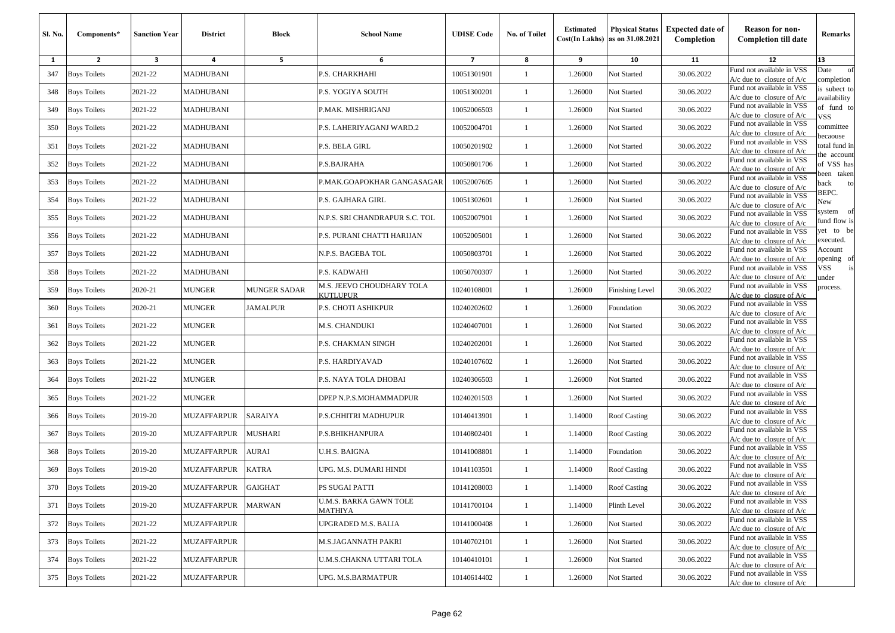| <b>SI. No.</b> | Components*         | <b>Sanction Year</b> | <b>District</b>    | <b>Block</b>        | <b>School Name</b>                    | <b>UDISE Code</b> | No. of Toilet | <b>Estimated</b> | <b>Physical Status</b><br>$Cost(In$ Lakhs) as on $31.08.2021$ | <b>Expected date of</b><br>Completion | <b>Reason for non-</b><br><b>Completion till date</b>      | Remarks                        |
|----------------|---------------------|----------------------|--------------------|---------------------|---------------------------------------|-------------------|---------------|------------------|---------------------------------------------------------------|---------------------------------------|------------------------------------------------------------|--------------------------------|
| 1              | $\mathbf{2}$        | 3                    | 4                  | 5                   | 6                                     | $\overline{7}$    | 8             | 9                | 10                                                            | 11                                    | 12                                                         | 13                             |
| 347            | <b>Boys Toilets</b> | 2021-22              | MADHUBANI          |                     | P.S. CHARKHAHI                        | 10051301901       | 1             | 1.26000          | Not Started                                                   | 30.06.2022                            | Fund not available in VSS<br>$A/c$ due to closure of $A/c$ | Date<br>of<br>completion       |
| 348            | <b>Boys Toilets</b> | 2021-22              | MADHUBANI          |                     | P.S. YOGIYA SOUTH                     | 10051300201       | 1             | 1.26000          | Not Started                                                   | 30.06.2022                            | Fund not available in VSS<br>$A/c$ due to closure of $A/c$ | is subect to<br>availability   |
| 349            | <b>Boys Toilets</b> | 2021-22              | MADHUBANI          |                     | P.MAK. MISHRIGANJ                     | 10052006503       | 1             | 1.26000          | Not Started                                                   | 30.06.2022                            | Fund not available in VSS<br>$A/c$ due to closure of $A/c$ | of fund to<br>VSS              |
| 350            | <b>Boys Toilets</b> | 2021-22              | MADHUBANI          |                     | P.S. LAHERIYAGANJ WARD.2              | 10052004701       | $\mathbf{1}$  | 1.26000          | Not Started                                                   | 30.06.2022                            | Fund not available in VSS<br>$A/c$ due to closure of $A/c$ | committee                      |
| 351            | <b>Boys Toilets</b> | 2021-22              | MADHUBANI          |                     | P.S. BELA GIRL                        | 10050201902       | 1             | 1.26000          | Not Started                                                   | 30.06.2022                            | Fund not available in VSS<br>$A/c$ due to closure of $A/c$ | ecaouse<br>total fund in       |
| 352            | <b>Boys Toilets</b> | 2021-22              | MADHUBANI          |                     | P.S.BAJRAHA                           | 10050801706       | 1             | 1.26000          | Not Started                                                   | 30.06.2022                            | Fund not available in VSS<br>$A/c$ due to closure of $A/c$ | he account<br>of VSS has       |
| 353            | <b>Boys Toilets</b> | 2021-22              | MADHUBANI          |                     | P.MAK.GOAPOKHAR GANGASAGAR            | 10052007605       | 1             | 1.26000          | Not Started                                                   | 30.06.2022                            | Fund not available in VSS<br>$A/c$ due to closure of $A/c$ | een taken<br>back<br>to        |
| 354            | <b>Boys Toilets</b> | 2021-22              | MADHUBANI          |                     | P.S. GAJHARA GIRL                     | 10051302601       | 1             | 1.26000          | Not Started                                                   | 30.06.2022                            | Fund not available in VSS<br>$A/c$ due to closure of $A/c$ | BEPC.<br>New                   |
| 355            | <b>Boys Toilets</b> | 2021-22              | MADHUBANI          |                     | N.P.S. SRI CHANDRAPUR S.C. TOL        | 10052007901       | 1             | 1.26000          | Not Started                                                   | 30.06.2022                            | Fund not available in VSS<br>$A/c$ due to closure of $A/c$ | - of<br>system<br>fund flow is |
| 356            | <b>Boys Toilets</b> | 2021-22              | MADHUBANI          |                     | P.S. PURANI CHATTI HARIJAN            | 10052005001       | $\mathbf{1}$  | 1.26000          | Not Started                                                   | 30.06.2022                            | Fund not available in VSS<br>A/c due to closure of $A/c$   | yet to be<br>executed.         |
| 357            | <b>Boys Toilets</b> | 2021-22              | MADHUBANI          |                     | N.P.S. BAGEBA TOL                     | 10050803701       | $\mathbf{1}$  | 1.26000          | Not Started                                                   | 30.06.2022                            | Fund not available in VSS<br>$A/c$ due to closure of $A/c$ | Account<br>pening of           |
| 358            | <b>Boys Toilets</b> | 2021-22              | MADHUBANI          |                     | P.S. KADWAHI                          | 10050700307       | 1             | 1.26000          | Not Started                                                   | 30.06.2022                            | Fund not available in VSS<br>$A/c$ due to closure of $A/c$ | VSS<br>under                   |
| 359            | <b>Boys Toilets</b> | 2020-21              | <b>MUNGER</b>      | <b>MUNGER SADAR</b> | M.S. JEEVO CHOUDHARY TOLA<br>KUTLUPUR | 10240108001       | 1             | 1.26000          | Finishing Level                                               | 30.06.2022                            | Fund not available in VSS<br>$A/c$ due to closure of $A/c$ | process.                       |
| 360            | <b>Boys Toilets</b> | 2020-21              | <b>MUNGER</b>      | <b>JAMALPUR</b>     | P.S. CHOTI ASHIKPUR                   | 10240202602       | $\mathbf{1}$  | 1.26000          | Foundation                                                    | 30.06.2022                            | Fund not available in VSS<br>$A/c$ due to closure of $A/c$ |                                |
| 361            | <b>Boys Toilets</b> | 2021-22              | MUNGER             |                     | M.S. CHANDUKI                         | 10240407001       | $\mathbf{1}$  | 1.26000          | Not Started                                                   | 30.06.2022                            | Fund not available in VSS<br>$A/c$ due to closure of $A/c$ |                                |
| 362            | <b>Boys Toilets</b> | 2021-22              | MUNGER             |                     | P.S. CHAKMAN SINGH                    | 10240202001       | 1             | 1.26000          | Not Started                                                   | 30.06.2022                            | Fund not available in VSS<br>A/c due to closure of $A/c$   |                                |
| 363            | <b>Boys Toilets</b> | 2021-22              | <b>MUNGER</b>      |                     | P.S. HARDIYAVAD                       | 10240107602       | $\mathbf{1}$  | 1.26000          | Not Started                                                   | 30.06.2022                            | Fund not available in VSS<br>A/c due to closure of $A/c$   |                                |
| 364            | <b>Boys Toilets</b> | 2021-22              | <b>MUNGER</b>      |                     | P.S. NAYA TOLA DHOBAI                 | 10240306503       | $\mathbf{1}$  | 1.26000          | Not Started                                                   | 30.06.2022                            | Fund not available in VSS<br>$A/c$ due to closure of $A/c$ |                                |
| 365            | <b>Boys Toilets</b> | 2021-22              | MUNGER             |                     | DPEP N.P.S.MOHAMMADPUR                | 10240201503       | -1            | 1.26000          | Not Started                                                   | 30.06.2022                            | Fund not available in VSS<br>A/c due to closure of A/c     |                                |
| 366            | <b>Boys Toilets</b> | 2019-20              | MUZAFFARPUR        | <b>SARAIYA</b>      | P.S.CHHITRI MADHUPUR                  | 10140413901       | 1             | 1.14000          | Roof Casting                                                  | 30.06.2022                            | Fund not available in VSS<br>$A/c$ due to closure of $A/c$ |                                |
| 367            | <b>Boys Toilets</b> | 2019-20              | MUZAFFARPUR        | <b>MUSHARI</b>      | P.S.BHIKHANPURA                       | 10140802401       | $\mathbf{1}$  | 1.14000          | Roof Casting                                                  | 30.06.2022                            | Fund not available in VSS<br>$A/c$ due to closure of $A/c$ |                                |
| 368            | <b>Boys Toilets</b> | 2019-20              | MUZAFFARPUR        | <b>AURAI</b>        | U.H.S. BAIGNA                         | 10141008801       | 1             | 1.14000          | Foundation                                                    | 30.06.2022                            | Fund not available in VSS<br>$A/c$ due to closure of $A/c$ |                                |
| 369            | <b>Boys Toilets</b> | 2019-20              | MUZAFFARPUR        | <b>KATRA</b>        | UPG. M.S. DUMARI HINDI                | 10141103501       | 1             | 1.14000          | <b>Roof Casting</b>                                           | 30.06.2022                            | Fund not available in VSS<br>$A/c$ due to closure of $A/c$ |                                |
|                | 370 Boys Toilets    | 2019-20              | MUZAFFARPUR        | <b>GAIGHAT</b>      | PS SUGAI PATTI                        | 10141208003       |               | 1.14000          | Roof Casting                                                  | 30.06.2022                            | Fund not available in VSS<br>$A/c$ due to closure of $A/c$ |                                |
| 371            | <b>Boys Toilets</b> | 2019-20              | MUZAFFARPUR        | <b>MARWAN</b>       | U.M.S. BARKA GAWN TOLE<br>MATHIYA     | 10141700104       | $\mathbf{1}$  | 1.14000          | Plinth Level                                                  | 30.06.2022                            | Fund not available in VSS<br>$A/c$ due to closure of $A/c$ |                                |
| 372            | <b>Boys Toilets</b> | 2021-22              | MUZAFFARPUR        |                     | UPGRADED M.S. BALIA                   | 10141000408       | $\mathbf{1}$  | 1.26000          | Not Started                                                   | 30.06.2022                            | Fund not available in VSS<br>$A/c$ due to closure of $A/c$ |                                |
| 373            | <b>Boys Toilets</b> | 2021-22              | MUZAFFARPUR        |                     | M.S.JAGANNATH PAKRI                   | 10140702101       | $\mathbf{1}$  | 1.26000          | Not Started                                                   | 30.06.2022                            | Fund not available in VSS<br>$A/c$ due to closure of $A/c$ |                                |
| 374            | <b>Boys Toilets</b> | 2021-22              | <b>MUZAFFARPUR</b> |                     | U.M.S.CHAKNA UTTARI TOLA              | 10140410101       | $\mathbf{1}$  | 1.26000          | Not Started                                                   | 30.06.2022                            | Fund not available in VSS<br>$A/c$ due to closure of $A/c$ |                                |
| 375            | <b>Boys Toilets</b> | 2021-22              | <b>MUZAFFARPUR</b> |                     | UPG. M.S.BARMATPUR                    | 10140614402       | $\mathbf{1}$  | 1.26000          | Not Started                                                   | 30.06.2022                            | Fund not available in VSS<br>A/c due to closure of A/c     |                                |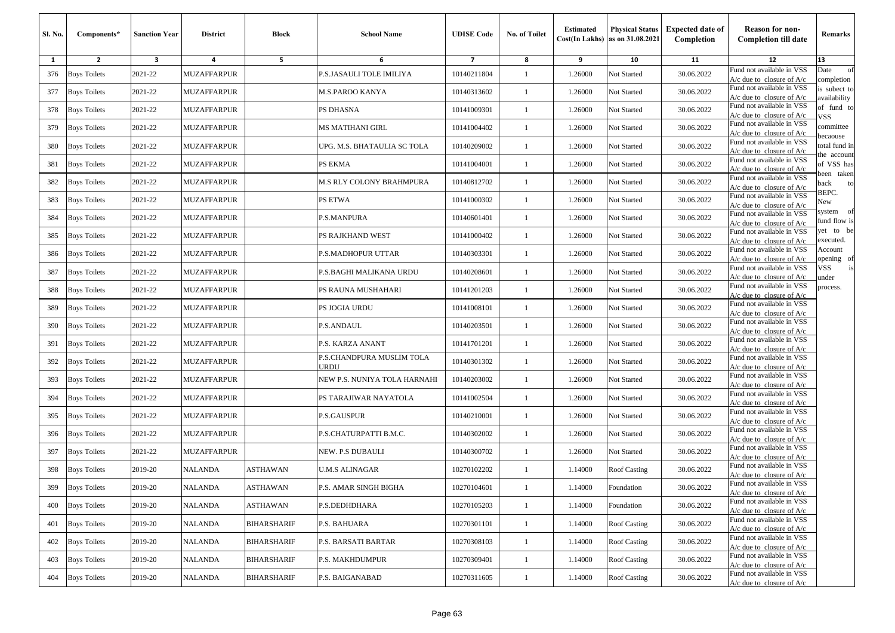| <b>Sl. No.</b> | Components*         | <b>Sanction Year</b> | <b>District</b>    | <b>Block</b>       | <b>School Name</b>                | <b>UDISE Code</b>       | No. of Toilet | <b>Estimated</b> | <b>Physical Status</b><br>$Cost(In$ Lakhs) as on $31.08.2021$ | <b>Expected date of</b><br>Completion | <b>Reason for non-</b><br><b>Completion till date</b>      | Remarks                        |
|----------------|---------------------|----------------------|--------------------|--------------------|-----------------------------------|-------------------------|---------------|------------------|---------------------------------------------------------------|---------------------------------------|------------------------------------------------------------|--------------------------------|
| 1              | $\mathbf{2}$        | 3                    | 4                  | 5                  | 6                                 | $\overline{\mathbf{z}}$ | 8             | 9                | 10                                                            | 11                                    | 12                                                         | 13                             |
| 376            | <b>Boys Toilets</b> | 2021-22              | <b>MUZAFFARPUR</b> |                    | P.S.JASAULI TOLE IMILIYA          | 10140211804             | 1             | 1.26000          | Not Started                                                   | 30.06.2022                            | Fund not available in VSS<br>$A/c$ due to closure of $A/c$ | Date<br>of<br>completion       |
| 377            | <b>Boys Toilets</b> | 2021-22              | MUZAFFARPUR        |                    | M.S.PAROO KANYA                   | 10140313602             | 1             | 1.26000          | Not Started                                                   | 30.06.2022                            | Fund not available in VSS<br>$A/c$ due to closure of $A/c$ | is subect to<br>availability   |
| 378            | <b>Boys Toilets</b> | 2021-22              | MUZAFFARPUR        |                    | PS DHASNA                         | 10141009301             | 1             | 1.26000          | Not Started                                                   | 30.06.2022                            | Fund not available in VSS<br>$A/c$ due to closure of $A/c$ | of fund to<br>VSS              |
| 379            | <b>Boys Toilets</b> | 2021-22              | MUZAFFARPUR        |                    | MS MATIHANI GIRL                  | 10141004402             | $\mathbf{1}$  | 1.26000          | Not Started                                                   | 30.06.2022                            | Fund not available in VSS<br>$A/c$ due to closure of $A/c$ | committee                      |
| 380            | <b>Boys Toilets</b> | 2021-22              | MUZAFFARPUR        |                    | UPG. M.S. BHATAULIA SC TOLA       | 10140209002             | $\mathbf{1}$  | 1.26000          | Not Started                                                   | 30.06.2022                            | Fund not available in VSS<br>$A/c$ due to closure of $A/c$ | ecaouse<br>total fund in       |
| 381            | <b>Boys Toilets</b> | 2021-22              | <b>MUZAFFARPUR</b> |                    | PS EKMA                           | 10141004001             | 1             | 1.26000          | Not Started                                                   | 30.06.2022                            | Fund not available in VSS<br>$A/c$ due to closure of $A/c$ | he account<br>of VSS has       |
| 382            | <b>Boys Toilets</b> | 2021-22              | <b>MUZAFFARPUR</b> |                    | M.S RLY COLONY BRAHMPURA          | 10140812702             | 1             | 1.26000          | Not Started                                                   | 30.06.2022                            | Fund not available in VSS<br>$A/c$ due to closure of $A/c$ | een taken<br>back<br>to        |
| 383            | <b>Boys Toilets</b> | 2021-22              | MUZAFFARPUR        |                    | PS ETWA                           | 10141000302             | 1             | 1.26000          | Not Started                                                   | 30.06.2022                            | Fund not available in VSS<br>$A/c$ due to closure of $A/c$ | BEPC.<br>New                   |
| 384            | <b>Boys Toilets</b> | 2021-22              | MUZAFFARPUR        |                    | P.S.MANPURA                       | 10140601401             | 1             | 1.26000          | Not Started                                                   | 30.06.2022                            | Fund not available in VSS<br>$A/c$ due to closure of $A/c$ | - of<br>system<br>fund flow is |
| 385            | <b>Boys Toilets</b> | 2021-22              | MUZAFFARPUR        |                    | PS RAJKHAND WEST                  | 10141000402             | $\mathbf{1}$  | 1.26000          | Not Started                                                   | 30.06.2022                            | Fund not available in VSS<br>A/c due to closure of $A/c$   | yet to be<br>executed.         |
| 386            | <b>Boys Toilets</b> | 2021-22              | <b>MUZAFFARPUR</b> |                    | P.S.MADHOPUR UTTAR                | 10140303301             | $\mathbf{1}$  | 1.26000          | Not Started                                                   | 30.06.2022                            | Fund not available in VSS<br>$A/c$ due to closure of $A/c$ | Account<br>pening of           |
| 387            | <b>Boys Toilets</b> | 2021-22              | <b>MUZAFFARPUR</b> |                    | P.S.BAGHI MALIKANA URDU           | 10140208601             | 1             | 1.26000          | Not Started                                                   | 30.06.2022                            | Fund not available in VSS<br>$A/c$ due to closure of $A/c$ | VSS<br>under                   |
| 388            | <b>Boys Toilets</b> | 2021-22              | <b>MUZAFFARPUR</b> |                    | PS RAUNA MUSHAHARI                | 10141201203             | 1             | 1.26000          | Not Started                                                   | 30.06.2022                            | Fund not available in VSS<br>$A/c$ due to closure of $A/c$ | process.                       |
| 389            | <b>Boys Toilets</b> | 2021-22              | MUZAFFARPUR        |                    | PS JOGIA URDU                     | 10141008101             | $\mathbf{1}$  | 1.26000          | Not Started                                                   | 30.06.2022                            | Fund not available in VSS<br>$A/c$ due to closure of $A/c$ |                                |
| 390            | <b>Boys Toilets</b> | 2021-22              | MUZAFFARPUR        |                    | P.S.ANDAUL                        | 10140203501             | $\mathbf{1}$  | 1.26000          | Not Started                                                   | 30.06.2022                            | Fund not available in VSS<br>$A/c$ due to closure of $A/c$ |                                |
| 391            | <b>Boys Toilets</b> | 2021-22              | MUZAFFARPUR        |                    | P.S. KARZA ANANT                  | 10141701201             | 1             | 1.26000          | Not Started                                                   | 30.06.2022                            | Fund not available in VSS<br>A/c due to closure of $A/c$   |                                |
| 392            | <b>Boys Toilets</b> | 2021-22              | <b>MUZAFFARPUR</b> |                    | P.S.CHANDPURA MUSLIM TOLA<br>JRDU | 10140301302             | $\mathbf{1}$  | 1.26000          | Not Started                                                   | 30.06.2022                            | Fund not available in VSS<br>A/c due to closure of $A/c$   |                                |
| 393            | <b>Boys Toilets</b> | 2021-22              | <b>MUZAFFARPUR</b> |                    | NEW P.S. NUNIYA TOLA HARNAHI      | 10140203002             | $\mathbf{1}$  | 1.26000          | Not Started                                                   | 30.06.2022                            | Fund not available in VSS<br>$A/c$ due to closure of $A/c$ |                                |
| 394            | <b>Boys Toilets</b> | 2021-22              | MUZAFFARPUR        |                    | PS TARAJIWAR NAYATOLA             | 10141002504             | 1             | 1.26000          | Not Started                                                   | 30.06.2022                            | Fund not available in VSS<br>A/c due to closure of A/c     |                                |
| 395            | <b>Boys Toilets</b> | 2021-22              | MUZAFFARPUR        |                    | P.S.GAUSPUR                       | 10140210001             | 1             | 1.26000          | Not Started                                                   | 30.06.2022                            | Fund not available in VSS<br>$A/c$ due to closure of $A/c$ |                                |
| 396            | <b>Boys Toilets</b> | 2021-22              | MUZAFFARPUR        |                    | P.S.CHATURPATTI B.M.C.            | 10140302002             | $\mathbf{1}$  | 1.26000          | Not Started                                                   | 30.06.2022                            | Fund not available in VSS<br>$A/c$ due to closure of $A/c$ |                                |
| 397            | <b>Boys Toilets</b> | 2021-22              | MUZAFFARPUR        |                    | NEW. P.S DUBAULI                  | 10140300702             | $\mathbf{1}$  | 1.26000          | Not Started                                                   | 30.06.2022                            | Fund not available in VSS<br>$A/c$ due to closure of $A/c$ |                                |
| 398            | <b>Boys Toilets</b> | 2019-20              | NALANDA            | ASTHAWAN           | U.M.S ALINAGAR                    | 10270102202             | 1             | 1.14000          | <b>Roof Casting</b>                                           | 30.06.2022                            | Fund not available in VSS<br>$A/c$ due to closure of $A/c$ |                                |
|                | 399 Boys Toilets    | 2019-20              | <b>NALANDA</b>     | ASTHAWAN           | P.S. AMAR SINGH BIGHA             | 10270104601             |               | 1.14000          | Foundation                                                    | 30.06.2022                            | Fund not available in VSS<br>$A/c$ due to closure of $A/c$ |                                |
| 400            | <b>Boys Toilets</b> | 2019-20              | NALANDA            | <b>ASTHAWAN</b>    | P.S.DEDHDHARA                     | 10270105203             | $\mathbf{1}$  | 1.14000          | Foundation                                                    | 30.06.2022                            | Fund not available in VSS<br>$A/c$ due to closure of $A/c$ |                                |
| 401            | <b>Boys Toilets</b> | 2019-20              | NALANDA            | BIHARSHARIF        | P.S. BAHUARA                      | 10270301101             | $\mathbf{1}$  | 1.14000          | Roof Casting                                                  | 30.06.2022                            | Fund not available in VSS<br>$A/c$ due to closure of $A/c$ |                                |
| 402            | <b>Boys Toilets</b> | 2019-20              | NALANDA            | BIHARSHARIF        | P.S. BARSATI BARTAR               | 10270308103             | $\mathbf{1}$  | 1.14000          | Roof Casting                                                  | 30.06.2022                            | Fund not available in VSS<br>A/c due to closure of $A/c$   |                                |
| 403            | <b>Boys Toilets</b> | 2019-20              | NALANDA            | BIHARSHARIF        | P.S. MAKHDUMPUR                   | 10270309401             | $\mathbf{1}$  | 1.14000          | <b>Roof Casting</b>                                           | 30.06.2022                            | Fund not available in VSS<br>$A/c$ due to closure of $A/c$ |                                |
| 404            | <b>Boys Toilets</b> | 2019-20              | <b>NALANDA</b>     | <b>BIHARSHARIF</b> | P.S. BAIGANABAD                   | 10270311605             | $\mathbf{1}$  | 1.14000          | Roof Casting                                                  | 30.06.2022                            | Fund not available in VSS<br>A/c due to closure of A/c     |                                |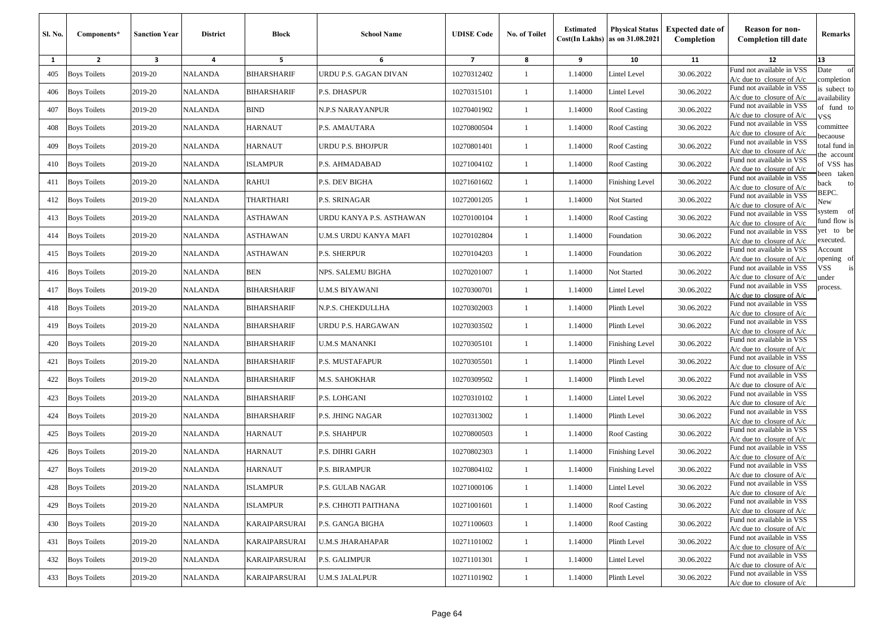| Sl. No. | Components*         | <b>Sanction Year</b> | <b>District</b> | Block              | <b>School Name</b>       | <b>UDISE Code</b>       | No. of Toilet | <b>Estimated</b> | <b>Physical Status</b><br>$Cost(In$ Lakhs) as on $31.08.2021$ | <b>Expected date of</b><br>Completion | <b>Reason for non-</b><br><b>Completion till date</b>      | Remarks                      |
|---------|---------------------|----------------------|-----------------|--------------------|--------------------------|-------------------------|---------------|------------------|---------------------------------------------------------------|---------------------------------------|------------------------------------------------------------|------------------------------|
| 1       | $\overline{2}$      | 3                    | 4               | 5                  | 6                        | $\overline{\mathbf{z}}$ | 8             | 9                | 10                                                            | 11                                    | 12                                                         | 13                           |
| 405     | <b>Boys Toilets</b> | 2019-20              | <b>NALANDA</b>  | BIHARSHARIF        | URDU P.S. GAGAN DIVAN    | 10270312402             | 1             | 1.14000          | Lintel Level                                                  | 30.06.2022                            | Fund not available in VSS<br>$A/c$ due to closure of $A/c$ | of<br>Date<br>completion     |
| 406     | <b>Boys Toilets</b> | 2019-20              | <b>NALANDA</b>  | BIHARSHARIF        | P.S. DHASPUR             | 10270315101             | 1             | 1.14000          | Lintel Level                                                  | 30.06.2022                            | Fund not available in VSS<br>$A/c$ due to closure of $A/c$ | is subect to<br>availability |
| 407     | <b>Boys Toilets</b> | 2019-20              | <b>NALANDA</b>  | <b>BIND</b>        | N.P.S NARAYANPUR         | 10270401902             | -1            | 1.14000          | Roof Casting                                                  | 30.06.2022                            | Fund not available in VSS<br>$A/c$ due to closure of $A/c$ | of fund to<br>VSS            |
| 408     | <b>Boys Toilets</b> | 2019-20              | <b>NALANDA</b>  | HARNAUT            | P.S. AMAUTARA            | 10270800504             | $\mathbf{1}$  | 1.14000          | <b>Roof Casting</b>                                           | 30.06.2022                            | Fund not available in VSS<br>$A/c$ due to closure of $A/c$ | committee<br>pecaouse        |
| 409     | <b>Boys Toilets</b> | 2019-20              | <b>NALANDA</b>  | HARNAUT            | URDU P.S. BHOJPUR        | 10270801401             | -1            | 1.14000          | Roof Casting                                                  | 30.06.2022                            | Fund not available in VSS<br>$A/c$ due to closure of $A/c$ | total fund in                |
| 410     | <b>Boys Toilets</b> | 2019-20              | <b>NALANDA</b>  | <b>ISLAMPUR</b>    | P.S. AHMADABAD           | 10271004102             | -1            | 1.14000          | <b>Roof Casting</b>                                           | 30.06.2022                            | Fund not available in VSS<br>$A/c$ due to closure of $A/c$ | he account<br>of VSS has     |
| 411     | <b>Boys Toilets</b> | 2019-20              | <b>NALANDA</b>  | RAHUI              | P.S. DEV BIGHA           | 10271601602             | -1            | 1.14000          | Finishing Level                                               | 30.06.2022                            | Fund not available in VSS<br>$A/c$ due to closure of $A/c$ | veen taken<br>ack<br>to      |
| 412     | <b>Boys Toilets</b> | 2019-20              | <b>NALANDA</b>  | THARTHARI          | P.S. SRINAGAR            | 10272001205             | 1             | 1.14000          | Not Started                                                   | 30.06.2022                            | Fund not available in VSS<br>$A/c$ due to closure of $A/c$ | BEPC.<br>New                 |
| 413     | <b>Boys Toilets</b> | 2019-20              | NALANDA         | ASTHAWAN           | URDU KANYA P.S. ASTHAWAN | 10270100104             | -1            | 1.14000          | Roof Casting                                                  | 30.06.2022                            | Fund not available in VSS<br>$A/c$ due to closure of $A/c$ | system of<br>fund flow is    |
| 414     | <b>Boys Toilets</b> | 2019-20              | <b>NALANDA</b>  | <b>ASTHAWAN</b>    | U.M.S URDU KANYA MAFI    | 10270102804             | $\mathbf{1}$  | 1.14000          | Foundation                                                    | 30.06.2022                            | Fund not available in VSS<br>$A/c$ due to closure of $A/c$ | et to be<br>executed.        |
| 415     | <b>Boys Toilets</b> | 2019-20              | <b>NALANDA</b>  | ASTHAWAN           | <b>P.S. SHERPUR</b>      | 10270104203             | $\mathbf{1}$  | 1.14000          | Foundation                                                    | 30.06.2022                            | Fund not available in VSS<br>$A/c$ due to closure of $A/c$ | Account<br>pening of         |
| 416     | <b>Boys Toilets</b> | 2019-20              | <b>NALANDA</b>  | <b>BEN</b>         | NPS. SALEMU BIGHA        | 10270201007             | -1            | 1.14000          | Not Started                                                   | 30.06.2022                            | Fund not available in VSS<br>$A/c$ due to closure of $A/c$ | /SS<br>is<br>ınder           |
| 417     | <b>Boys Toilets</b> | 2019-20              | <b>NALANDA</b>  | BIHARSHARIF        | U.M.S BIYAWANI           | 10270300701             | -1            | 1.14000          | Lintel Level                                                  | 30.06.2022                            | Fund not available in VSS<br>A/c due to closure of $A/c$   | process.                     |
| 418     | <b>Boys Toilets</b> | 2019-20              | <b>NALANDA</b>  | <b>BIHARSHARIF</b> | N.P.S. CHEKDULLHA        | 10270302003             | $\mathbf{1}$  | 1.14000          | Plinth Level                                                  | 30.06.2022                            | Fund not available in VSS<br>$A/c$ due to closure of $A/c$ |                              |
| 419     | <b>Boys Toilets</b> | 2019-20              | <b>NALANDA</b>  | BIHARSHARIF        | URDU P.S. HARGAWAN       | 10270303502             | $\mathbf{1}$  | 1.14000          | Plinth Level                                                  | 30.06.2022                            | Fund not available in VSS<br>$A/c$ due to closure of $A/c$ |                              |
| 420     | <b>Boys Toilets</b> | 2019-20              | NALANDA         | BIHARSHARIF        | U.M.S MANANKI            | 10270305101             | -1            | 1.14000          | Finishing Level                                               | 30.06.2022                            | Fund not available in VSS<br>A/c due to closure of A/c     |                              |
| 421     | <b>Boys Toilets</b> | 2019-20              | <b>NALANDA</b>  | BIHARSHARIF        | <b>P.S. MUSTAFAPUR</b>   | 10270305501             | 1             | 1.14000          | Plinth Level                                                  | 30.06.2022                            | Fund not available in VSS<br>$A/c$ due to closure of $A/c$ |                              |
| 422     | <b>Boys Toilets</b> | 2019-20              | <b>NALANDA</b>  | BIHARSHARIF        | <b>M.S. SAHOKHAR</b>     | 10270309502             | -1            | 1.14000          | Plinth Level                                                  | 30.06.2022                            | Fund not available in VSS<br>$A/c$ due to closure of $A/c$ |                              |
| 423     | <b>Boys Toilets</b> | 2019-20              | <b>NALANDA</b>  | BIHARSHARIF        | P.S. LOHGANI             | 10270310102             | 1             | 1.14000          | Lintel Level                                                  | 30.06.2022                            | Fund not available in VSS<br>$A/c$ due to closure of $A/c$ |                              |
| 424     | <b>Boys Toilets</b> | 2019-20              | <b>NALANDA</b>  | BIHARSHARIF        | P.S. JHING NAGAR         | 10270313002             | -1            | 1.14000          | Plinth Level                                                  | 30.06.2022                            | Fund not available in VSS<br>$A/c$ due to closure of $A/c$ |                              |
| 425     | <b>Boys Toilets</b> | 2019-20              | <b>NALANDA</b>  | HARNAUT            | P.S. SHAHPUR             | 10270800503             | $\mathbf{1}$  | 1.14000          | <b>Roof Casting</b>                                           | 30.06.2022                            | Fund not available in VSS<br>A/c due to closure of A/c     |                              |
| 426     | <b>Boys Toilets</b> | 2019-20              | <b>NALANDA</b>  | HARNAUT            | P.S. DIHRI GARH          | 10270802303             | -1            | 1.14000          | <b>Finishing Level</b>                                        | 30.06.2022                            | Fund not available in VSS<br>$A/c$ due to closure of $A/c$ |                              |
| 427     | <b>Boys Toilets</b> | 2019-20              | <b>NALANDA</b>  | HARNAUT            | P.S. BIRAMPUR            | 10270804102             | 1             | 1.14000          | Finishing Level                                               | 30.06.2022                            | Fund not available in VSS<br>$A/c$ due to closure of $A/c$ |                              |
|         | 428 Boys Toilets    | 2019-20              | <b>NALANDA</b>  | ISLAMPUR           | P.S. GULAB NAGAR         | 10271000106             |               | 1.14000          | <b>Lintel Level</b>                                           | 30.06.2022                            | Fund not available in VSS<br>$A/c$ due to closure of $A/c$ |                              |
| 429     | <b>Boys Toilets</b> | 2019-20              | NALANDA         | ISLAMPUR           | P.S. CHHOTI PAITHANA     | 10271001601             | $\mathbf{1}$  | 1.14000          | Roof Casting                                                  | 30.06.2022                            | Fund not available in VSS<br>$A/c$ due to closure of $A/c$ |                              |
| 430     | <b>Boys Toilets</b> | 2019-20              | NALANDA         | KARAIPARSURAI      | P.S. GANGA BIGHA         | 10271100603             | $\mathbf{1}$  | 1.14000          | Roof Casting                                                  | 30.06.2022                            | Fund not available in VSS<br>$A/c$ due to closure of $A/c$ |                              |
| 431     | <b>Boys Toilets</b> | 2019-20              | NALANDA         | KARAIPARSURAI      | <b>U.M.S JHARAHAPAR</b>  | 10271101002             | $\mathbf{1}$  | 1.14000          | Plinth Level                                                  | 30.06.2022                            | Fund not available in VSS<br>$A/c$ due to closure of $A/c$ |                              |
| 432     | <b>Boys Toilets</b> | 2019-20              | <b>NALANDA</b>  | KARAIPARSURAI      | P.S. GALIMPUR            | 10271101301             | $\mathbf{1}$  | 1.14000          | Lintel Level                                                  | 30.06.2022                            | Fund not available in VSS<br>$A/c$ due to closure of $A/c$ |                              |
| 433     | <b>Boys Toilets</b> | 2019-20              | <b>NALANDA</b>  | KARAIPARSURAI      | <b>U.M.S JALALPUR</b>    | 10271101902             | $\mathbf{1}$  | 1.14000          | Plinth Level                                                  | 30.06.2022                            | Fund not available in VSS<br>$A/c$ due to closure of $A/c$ |                              |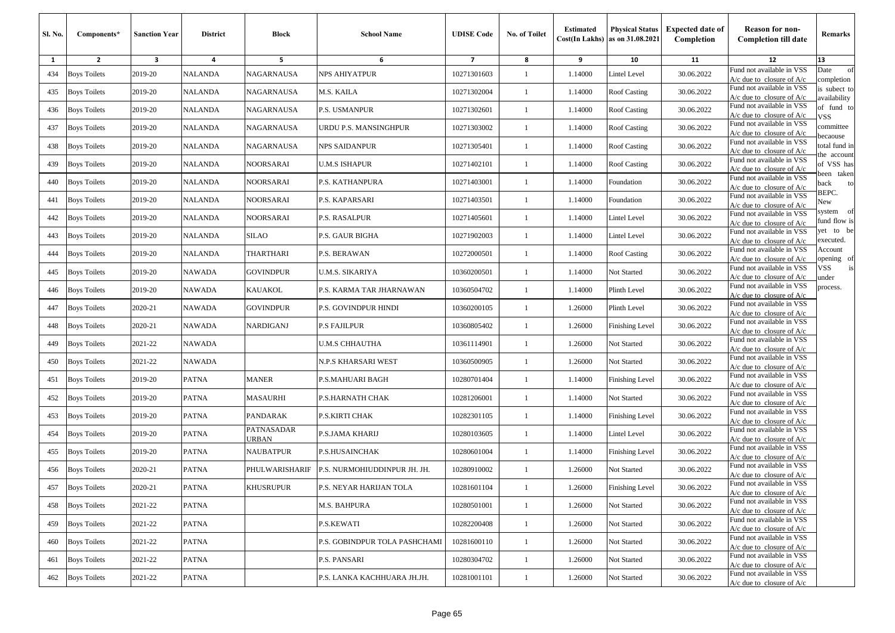| Sl. No. | Components*         | <b>Sanction Year</b> | <b>District</b> | Block                      | <b>School Name</b>            | <b>UDISE Code</b> | No. of Toilet | <b>Estimated</b> | <b>Physical Status</b><br>$Cost(In$ Lakhs) as on $31.08.2021$ | <b>Expected date of</b><br>Completion | <b>Reason for non-</b><br><b>Completion till date</b>      | Remarks                      |
|---------|---------------------|----------------------|-----------------|----------------------------|-------------------------------|-------------------|---------------|------------------|---------------------------------------------------------------|---------------------------------------|------------------------------------------------------------|------------------------------|
| 1       | $\overline{2}$      | 3                    | 4               | 5                          | 6                             | $\overline{7}$    | 8             | 9                | 10                                                            | 11                                    | 12                                                         | 13                           |
| 434     | <b>Boys Toilets</b> | 2019-20              | <b>NALANDA</b>  | NAGARNAUSA                 | <b>NPS AHIYATPUR</b>          | 10271301603       | 1             | 1.14000          | Lintel Level                                                  | 30.06.2022                            | Fund not available in VSS<br>$A/c$ due to closure of $A/c$ | of<br>Date<br>completion     |
| 435     | <b>Boys Toilets</b> | 2019-20              | <b>NALANDA</b>  | NAGARNAUSA                 | M.S. KAILA                    | 10271302004       | 1             | 1.14000          | Roof Casting                                                  | 30.06.2022                            | Fund not available in VSS<br>$A/c$ due to closure of $A/c$ | is subect to<br>availability |
| 436     | <b>Boys Toilets</b> | 2019-20              | <b>NALANDA</b>  | NAGARNAUSA                 | P.S. USMANPUR                 | 10271302601       | -1            | 1.14000          | <b>Roof Casting</b>                                           | 30.06.2022                            | Fund not available in VSS<br>$A/c$ due to closure of $A/c$ | of fund to<br>VSS            |
| 437     | <b>Boys Toilets</b> | 2019-20              | <b>NALANDA</b>  | NAGARNAUSA                 | URDU P.S. MANSINGHPUR         | 10271303002       | $\mathbf{1}$  | 1.14000          | <b>Roof Casting</b>                                           | 30.06.2022                            | Fund not available in VSS<br>A/c due to closure of A/c     | committee<br>pecaouse        |
| 438     | <b>Boys Toilets</b> | 2019-20              | <b>NALANDA</b>  | NAGARNAUSA                 | NPS SAIDANPUR                 | 10271305401       | -1            | 1.14000          | Roof Casting                                                  | 30.06.2022                            | Fund not available in VSS<br>$A/c$ due to closure of $A/c$ | otal fund in<br>he account   |
| 439     | <b>Boys Toilets</b> | 2019-20              | <b>NALANDA</b>  | NOORSARAI                  | <b>U.M.S ISHAPUR</b>          | 10271402101       | -1            | 1.14000          | <b>Roof Casting</b>                                           | 30.06.2022                            | Fund not available in VSS<br>$A/c$ due to closure of $A/c$ | of VSS has<br>veen taken     |
| 440     | <b>Boys Toilets</b> | 2019-20              | <b>NALANDA</b>  | NOORSARAI                  | P.S. KATHANPURA               | 10271403001       | -1            | 1.14000          | Foundation                                                    | 30.06.2022                            | Fund not available in VSS<br>$A/c$ due to closure of $A/c$ | ack<br>to                    |
| 441     | <b>Boys Toilets</b> | 2019-20              | <b>NALANDA</b>  | NOORSARAI                  | P.S. KAPARSARI                | 10271403501       | 1             | 1.14000          | Foundation                                                    | 30.06.2022                            | Fund not available in VSS<br>$A/c$ due to closure of $A/c$ | BEPC.<br>New                 |
| 442     | <b>Boys Toilets</b> | 2019-20              | NALANDA         | NOORSARAI                  | P.S. RASALPUR                 | 10271405601       | -1            | 1.14000          | Lintel Level                                                  | 30.06.2022                            | Fund not available in VSS<br>$A/c$ due to closure of $A/c$ | system of<br>fund flow is    |
| 443     | <b>Boys Toilets</b> | 2019-20              | <b>NALANDA</b>  | <b>SILAO</b>               | P.S. GAUR BIGHA               | 10271902003       | -1            | 1.14000          | Lintel Level                                                  | 30.06.2022                            | Fund not available in VSS<br>A/c due to closure of A/c     | et to be<br>executed.        |
| 444     | <b>Boys Toilets</b> | 2019-20              | <b>NALANDA</b>  | THARTHARI                  | P.S. BERAWAN                  | 10272000501       | $\mathbf{1}$  | 1.14000          | Roof Casting                                                  | 30.06.2022                            | Fund not available in VSS<br>$A/c$ due to closure of $A/c$ | Account<br>pening of         |
| 445     | <b>Boys Toilets</b> | 2019-20              | <b>NAWADA</b>   | <b>GOVINDPUR</b>           | U.M.S. SIKARIYA               | 10360200501       | -1            | 1.14000          | Not Started                                                   | 30.06.2022                            | Fund not available in VSS<br>$A/c$ due to closure of $A/c$ | /SS<br>is<br>ınder           |
| 446     | <b>Boys Toilets</b> | 2019-20              | <b>NAWADA</b>   | <b>KAUAKOL</b>             | P.S. KARMA TAR JHARNAWAN      | 10360504702       | -1            | 1.14000          | Plinth Level                                                  | 30.06.2022                            | Fund not available in VSS<br>A/c due to closure of $A/c$   | process.                     |
| 447     | <b>Boys Toilets</b> | 2020-21              | <b>NAWADA</b>   | <b>GOVINDPUR</b>           | P.S. GOVINDPUR HINDI          | 10360200105       | $\mathbf{1}$  | 1.26000          | Plinth Level                                                  | 30.06.2022                            | Fund not available in VSS<br>$A/c$ due to closure of $A/c$ |                              |
| 448     | <b>Boys Toilets</b> | 2020-21              | <b>NAWADA</b>   | <b>NARDIGANJ</b>           | P.S FAJILPUR                  | 10360805402       | $\mathbf{1}$  | 1.26000          | <b>Finishing Level</b>                                        | 30.06.2022                            | Fund not available in VSS<br>$A/c$ due to closure of $A/c$ |                              |
| 449     | <b>Boys Toilets</b> | 2021-22              | NAWADA          |                            | U.M.S CHHAUTHA                | 10361114901       | -1            | 1.26000          | Not Started                                                   | 30.06.2022                            | Fund not available in VSS<br>A/c due to closure of A/c     |                              |
| 450     | <b>Boys Toilets</b> | 2021-22              | <b>NAWADA</b>   |                            | N.P.S KHARSARI WEST           | 10360500905       | 1             | 1.26000          | Not Started                                                   | 30.06.2022                            | Fund not available in VSS<br>A/c due to closure of $A/c$   |                              |
| 451     | <b>Boys Toilets</b> | 2019-20              | <b>PATNA</b>    | <b>MANER</b>               | P.S.MAHUARI BAGH              | 10280701404       | -1            | 1.14000          | Finishing Level                                               | 30.06.2022                            | Fund not available in VSS<br>$A/c$ due to closure of $A/c$ |                              |
| 452     | <b>Boys Toilets</b> | 2019-20              | <b>PATNA</b>    | <b>MASAURHI</b>            | P.S.HARNATH CHAK              | 10281206001       | 1             | 1.14000          | Not Started                                                   | 30.06.2022                            | Fund not available in VSS<br>$A/c$ due to closure of $A/c$ |                              |
| 453     | <b>Boys Toilets</b> | 2019-20              | <b>PATNA</b>    | PANDARAK                   | P.S.KIRTI CHAK                | 10282301105       | -1            | 1.14000          | Finishing Level                                               | 30.06.2022                            | Fund not available in VSS<br>$A/c$ due to closure of $A/c$ |                              |
| 454     | <b>Boys Toilets</b> | 2019-20              | <b>PATNA</b>    | PATNASADAR<br><b>JRBAN</b> | P.S.JAMA KHARIJ               | 10280103605       | $\mathbf{1}$  | 1.14000          | Lintel Level                                                  | 30.06.2022                            | Fund not available in VSS<br>A/c due to closure of A/c     |                              |
| 455     | <b>Boys Toilets</b> | 2019-20              | <b>PATNA</b>    | NAUBATPUR                  | P.S.HUSAINCHAK                | 10280601004       | -1            | 1.14000          | <b>Finishing Level</b>                                        | 30.06.2022                            | Fund not available in VSS<br>$A/c$ due to closure of $A/c$ |                              |
| 456     | <b>Boys Toilets</b> | 2020-21              | <b>PATNA</b>    | PHULWARISHARIF             | P.S. NURMOHIUDDINPUR JH. JH.  | 10280910002       | 1             | 1.26000          | Not Started                                                   | 30.06.2022                            | Fund not available in VSS<br>$A/c$ due to closure of $A/c$ |                              |
|         | 457 Boys Toilets    | 2020-21              | <b>PATNA</b>    | <b>KHUSRUPUR</b>           | P.S. NEYAR HARIJAN TOLA       | 10281601104       |               | 1.26000          | Finishing Level                                               | 30.06.2022                            | Fund not available in VSS<br>$A/c$ due to closure of $A/c$ |                              |
| 458     | <b>Boys Toilets</b> | 2021-22              | <b>PATNA</b>    |                            | M.S. BAHPURA                  | 10280501001       | $\mathbf{1}$  | 1.26000          | Not Started                                                   | 30.06.2022                            | Fund not available in VSS<br>$A/c$ due to closure of $A/c$ |                              |
| 459     | <b>Boys Toilets</b> | 2021-22              | <b>PATNA</b>    |                            | P.S.KEWATI                    | 10282200408       | $\mathbf{1}$  | 1.26000          | Not Started                                                   | 30.06.2022                            | Fund not available in VSS<br>$A/c$ due to closure of $A/c$ |                              |
| 460     | <b>Boys Toilets</b> | 2021-22              | PATNA           |                            | P.S. GOBINDPUR TOLA PASHCHAMI | 10281600110       | $\mathbf{1}$  | 1.26000          | Not Started                                                   | 30.06.2022                            | Fund not available in VSS<br>$A/c$ due to closure of $A/c$ |                              |
| 461     | <b>Boys Toilets</b> | 2021-22              | <b>PATNA</b>    |                            | P.S. PANSARI                  | 10280304702       | $\mathbf{1}$  | 1.26000          | Not Started                                                   | 30.06.2022                            | Fund not available in VSS<br>$A/c$ due to closure of $A/c$ |                              |
| 462     | <b>Boys Toilets</b> | 2021-22              | <b>PATNA</b>    |                            | P.S. LANKA KACHHUARA JH.JH.   | 10281001101       | $\mathbf{1}$  | 1.26000          | Not Started                                                   | 30.06.2022                            | Fund not available in VSS<br>A/c due to closure of A/c     |                              |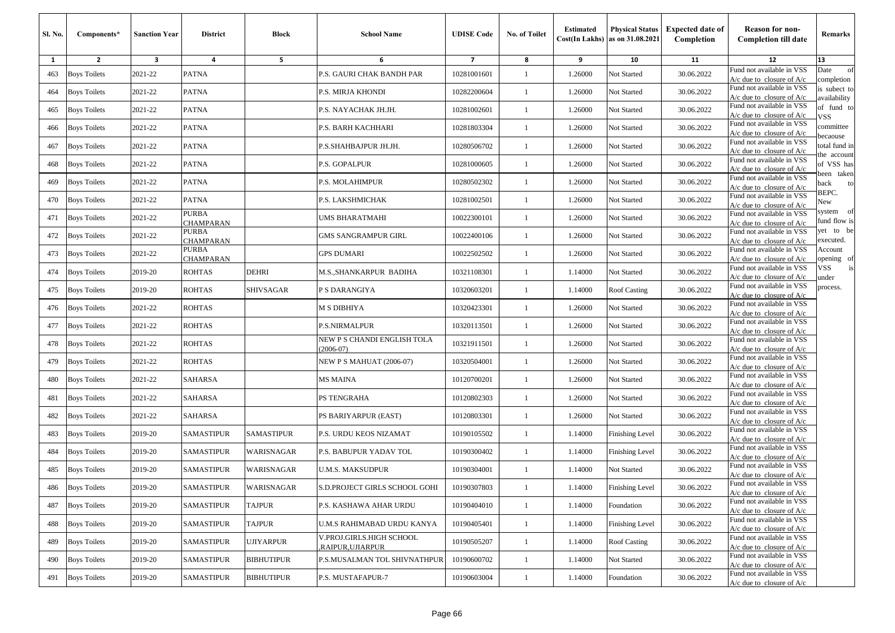| <b>Sl. No.</b> | Components*         | <b>Sanction Year</b> | <b>District</b>           | <b>Block</b>      | <b>School Name</b>                           | <b>UDISE Code</b>        | <b>No. of Toilet</b> | <b>Estimated</b> | <b>Physical Status</b><br>$Cost(In$ Lakhs) as on $31.08.2021$ | <b>Expected date of</b><br>Completion | <b>Reason for non-</b><br><b>Completion till date</b>      | Remarks                        |
|----------------|---------------------|----------------------|---------------------------|-------------------|----------------------------------------------|--------------------------|----------------------|------------------|---------------------------------------------------------------|---------------------------------------|------------------------------------------------------------|--------------------------------|
| 1              | $\overline{2}$      | 3                    | 4                         | 5                 | 6                                            | $\overline{\phantom{a}}$ | 8                    | 9                | 10                                                            | 11                                    | 12                                                         | 13                             |
| 463            | <b>Boys Toilets</b> | 2021-22              | <b>PATNA</b>              |                   | P.S. GAURI CHAK BANDH PAR                    | 10281001601              | $\overline{1}$       | 1.26000          | Not Started                                                   | 30.06.2022                            | Fund not available in VSS<br>$A/c$ due to closure of $A/c$ | Date<br>of<br>completion       |
| 464            | <b>Boys Toilets</b> | 2021-22              | <b>PATNA</b>              |                   | P.S. MIRJA KHONDI                            | 10282200604              | -1                   | 1.26000          | Not Started                                                   | 30.06.2022                            | Fund not available in VSS<br>$A/c$ due to closure of $A/c$ | is subect to<br>vailability    |
| 465            | <b>Boys Toilets</b> | 2021-22              | <b>PATNA</b>              |                   | P.S. NAYACHAK JH.JH.                         | 10281002601              | $\overline{1}$       | 1.26000          | Not Started                                                   | 30.06.2022                            | Fund not available in VSS<br>$A/c$ due to closure of $A/c$ | of fund to<br>VSS.             |
| 466            | <b>Boys Toilets</b> | 2021-22              | <b>PATNA</b>              |                   | P.S. BARH KACHHARI                           | 10281803304              | $\mathbf{1}$         | 1.26000          | Not Started                                                   | 30.06.2022                            | Fund not available in VSS<br>$A/c$ due to closure of $A/c$ | committee<br>ecaouse           |
| 467            | <b>Boys Toilets</b> | 2021-22              | <b>PATNA</b>              |                   | P.S.SHAHBAJPUR JH.JH.                        | 10280506702              | -1                   | 1.26000          | Not Started                                                   | 30.06.2022                            | Fund not available in VSS<br>$A/c$ due to closure of $A/c$ | total fund in<br>he account    |
| 468            | <b>Boys Toilets</b> | 2021-22              | PATNA                     |                   | P.S. GOPALPUR                                | 10281000605              | -1                   | 1.26000          | Not Started                                                   | 30.06.2022                            | Fund not available in VSS<br>$A/c$ due to closure of $A/c$ | of VSS has                     |
| 469            | <b>Boys Toilets</b> | 2021-22              | <b>PATNA</b>              |                   | <b>P.S. MOLAHIMPUR</b>                       | 10280502302              | $\mathbf{1}$         | 1.26000          | Not Started                                                   | 30.06.2022                            | Fund not available in VSS<br>$A/c$ due to closure of $A/c$ | een taken<br>back<br>to        |
| 470            | <b>Boys Toilets</b> | 2021-22              | <b>PATNA</b>              |                   | P.S. LAKSHMICHAK                             | 10281002501              | -1                   | 1.26000          | Not Started                                                   | 30.06.2022                            | Fund not available in VSS<br>$A/c$ due to closure of $A/c$ | BEPC.<br>New                   |
| 471            | <b>Boys Toilets</b> | 2021-22              | <b>PURBA</b><br>CHAMPARAN |                   | UMS BHARATMAHI                               | 10022300101              | $\mathbf{1}$         | 1.26000          | Not Started                                                   | 30.06.2022                            | Fund not available in VSS<br>$A/c$ due to closure of $A/c$ | system<br>- of<br>fund flow is |
| 472            | <b>Boys Toilets</b> | 2021-22              | PURBA<br>CHAMPARAN        |                   | GMS SANGRAMPUR GIRL                          | 10022400106              | $\mathbf{1}$         | 1.26000          | Not Started                                                   | 30.06.2022                            | Fund not available in VSS<br>$A/c$ due to closure of $A/c$ | yet to be<br>executed.         |
| 473            | <b>Boys Toilets</b> | 2021-22              | PURBA<br>CHAMPARAN        |                   | <b>GPS DUMARI</b>                            | 10022502502              | $\mathbf{1}$         | 1.26000          | Not Started                                                   | 30.06.2022                            | Fund not available in VSS<br>$A/c$ due to closure of $A/c$ | Account<br>pening of           |
| 474            | <b>Boys Toilets</b> | 2019-20              | ROHTAS                    | <b>DEHRI</b>      | M.S., SHANKARPUR BADIHA                      | 10321108301              | $\mathbf{1}$         | 1.14000          | Not Started                                                   | 30.06.2022                            | Fund not available in VSS<br>$A/c$ due to closure of $A/c$ | √SS<br>under                   |
| 475            | <b>Boys Toilets</b> | 2019-20              | ROHTAS                    | <b>SHIVSAGAR</b>  | P S DARANGIYA                                | 10320603201              | -1                   | 1.14000          | <b>Roof Casting</b>                                           | 30.06.2022                            | Fund not available in VSS<br>$A/c$ due to closure of $A/c$ | process.                       |
| 476            | <b>Boys Toilets</b> | 2021-22              | ROHTAS                    |                   | M S DIBHIYA                                  | 10320423301              | $\mathbf{1}$         | 1.26000          | Not Started                                                   | 30.06.2022                            | Fund not available in VSS<br>$A/c$ due to closure of $A/c$ |                                |
| 477            | <b>Boys Toilets</b> | 2021-22              | ROHTAS                    |                   | P.S.NIRMALPUR                                | 10320113501              | $\mathbf{1}$         | 1.26000          | Not Started                                                   | 30.06.2022                            | Fund not available in VSS<br>$A/c$ due to closure of $A/c$ |                                |
| 478            | <b>Boys Toilets</b> | 2021-22              | <b>ROHTAS</b>             |                   | NEW P S CHANDI ENGLISH TOLA<br>$2006 - 07$   | 10321911501              | -1                   | 1.26000          | Not Started                                                   | 30.06.2022                            | Fund not available in VSS<br>A/c due to closure of $A/c$   |                                |
| 479            | <b>Boys Toilets</b> | 2021-22              | <b>ROHTAS</b>             |                   | <b>NEW P S MAHUAT (2006-07)</b>              | 10320504001              | $\mathbf{1}$         | 1.26000          | Not Started                                                   | 30.06.2022                            | Fund not available in VSS<br>$A/c$ due to closure of $A/c$ |                                |
| 480            | <b>Boys Toilets</b> | 2021-22              | <b>SAHARSA</b>            |                   | MS MAINA                                     | 10120700201              | $\mathbf{1}$         | 1.26000          | Not Started                                                   | 30.06.2022                            | Fund not available in VSS<br>$A/c$ due to closure of $A/c$ |                                |
| 481            | <b>Boys Toilets</b> | 2021-22              | SAHARSA                   |                   | PS TENGRAHA                                  | 10120802303              | -1                   | 1.26000          | Not Started                                                   | 30.06.2022                            | Fund not available in VSS<br>$A/c$ due to closure of $A/c$ |                                |
| 482            | <b>Boys Toilets</b> | 2021-22              | SAHARSA                   |                   | PS BARIYARPUR (EAST)                         | 10120803301              | -1                   | 1.26000          | Not Started                                                   | 30.06.2022                            | Fund not available in VSS<br>$A/c$ due to closure of $A/c$ |                                |
| 483            | <b>Boys Toilets</b> | 2019-20              | <b>SAMASTIPUR</b>         | <b>SAMASTIPUR</b> | P.S. URDU KEOS NIZAMAT                       | 10190105502              | $\mathbf{1}$         | 1.14000          | Finishing Level                                               | 30.06.2022                            | Fund not available in VSS<br>$A/c$ due to closure of $A/c$ |                                |
| 484            | <b>Boys Toilets</b> | 2019-20              | SAMASTIPUR                | WARISNAGAR        | P.S. BABUPUR YADAV TOL                       | 10190300402              | -1                   | 1.14000          | Finishing Level                                               | 30.06.2022                            | Fund not available in VSS<br>A/c due to closure of $A/c$   |                                |
| 485            | <b>Boys Toilets</b> | 2019-20              | SAMASTIPUR                | WARISNAGAR        | <b>U.M.S. MAKSUDPUR</b>                      | 10190304001              | $\mathbf{1}$         | 1.14000          | Not Started                                                   | 30.06.2022                            | Fund not available in VSS<br>$A/c$ due to closure of $A/c$ |                                |
|                | 486 Boys Toilets    | 2019-20              | <b>SAMASTIPUR</b>         | WARISNAGAR        | <b>S.D.PROJECT GIRLS SCHOOL GOHI</b>         | 10190307803              |                      | 1.14000          | Finishing Level                                               | 30.06.2022                            | Fund not available in VSS<br>$A/c$ due to closure of $A/c$ |                                |
| 487            | <b>Boys Toilets</b> | 2019-20              | <b>SAMASTIPUR</b>         | <b>TAJPUR</b>     | P.S. KASHAWA AHAR URDU                       | 10190404010              | $\mathbf{1}$         | 1.14000          | Foundation                                                    | 30.06.2022                            | Fund not available in VSS<br>$A/c$ due to closure of $A/c$ |                                |
| 488            | <b>Boys Toilets</b> | 2019-20              | <b>SAMASTIPUR</b>         | <b>TAJPUR</b>     | U.M.S RAHIMABAD URDU KANYA                   | 10190405401              | $\mathbf{1}$         | 1.14000          | <b>Finishing Level</b>                                        | 30.06.2022                            | Fund not available in VSS<br>$A/c$ due to closure of $A/c$ |                                |
| 489            | <b>Boys Toilets</b> | 2019-20              | <b>SAMASTIPUR</b>         | <b>UJIYARPUR</b>  | V.PROJ.GIRLS.HIGH SCHOOL<br>RAIPUR, UJIARPUR | 10190505207              | -1                   | 1.14000          | Roof Casting                                                  | 30.06.2022                            | Fund not available in VSS<br>$A/c$ due to closure of $A/c$ |                                |
| 490            | <b>Boys Toilets</b> | 2019-20              | <b>SAMASTIPUR</b>         | <b>BIBHUTIPUR</b> | P.S.MUSALMAN TOL SHIVNATHPUR                 | 10190600702              | -1                   | 1.14000          | Not Started                                                   | 30.06.2022                            | Fund not available in VSS<br>$A/c$ due to closure of $A/c$ |                                |
| 491            | <b>Boys Toilets</b> | 2019-20              | <b>SAMASTIPUR</b>         | <b>BIBHUTIPUR</b> | P.S. MUSTAFAPUR-7                            | 10190603004              | $\mathbf{1}$         | 1.14000          | Foundation                                                    | 30.06.2022                            | Fund not available in VSS<br>A/c due to closure of $A/c$   |                                |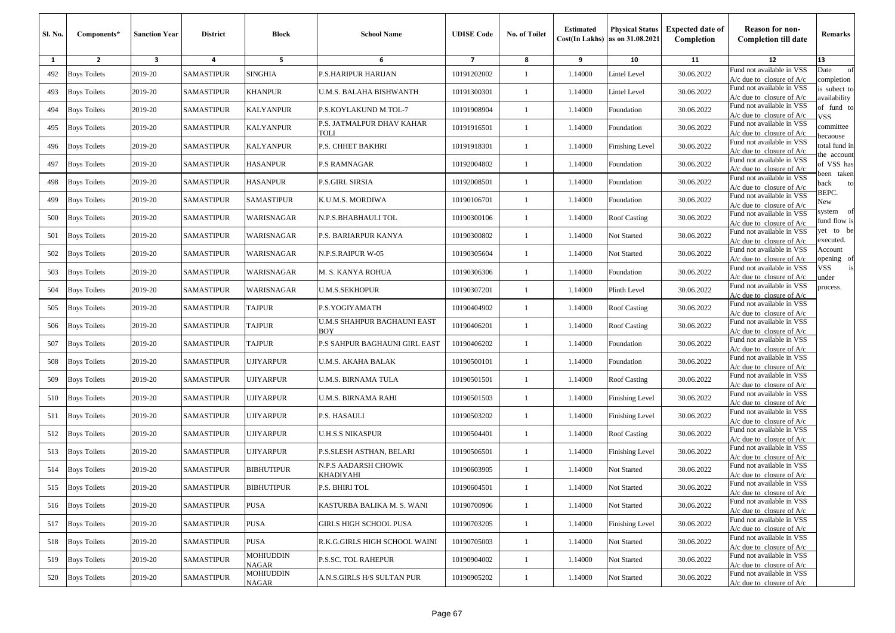| Sl. No. | Components*         | <b>Sanction Year</b>    | <b>District</b>   | Block                     | <b>School Name</b>                       | <b>UDISE Code</b> | <b>No. of Toilet</b> | <b>Estimated</b> | <b>Physical Status</b><br>$Cost(In$ Lakhs) as on $31.08.2021$ | <b>Expected date of</b><br>Completion | <b>Reason for non-</b><br><b>Completion till date</b>      | Remarks                      |
|---------|---------------------|-------------------------|-------------------|---------------------------|------------------------------------------|-------------------|----------------------|------------------|---------------------------------------------------------------|---------------------------------------|------------------------------------------------------------|------------------------------|
| 1       | $\overline{2}$      | $\overline{\mathbf{3}}$ | 4                 | 5                         | 6                                        | $\overline{7}$    | 8                    | 9                | 10                                                            | 11                                    | 12                                                         | 13                           |
| 492     | <b>Boys Toilets</b> | 2019-20                 | <b>SAMASTIPUR</b> | <b>SINGHIA</b>            | P.S.HARIPUR HARIJAN                      | 10191202002       | $\mathbf{1}$         | 1.14000          | <b>Lintel Level</b>                                           | 30.06.2022                            | Fund not available in VSS<br>$A/c$ due to closure of $A/c$ | Date<br>of<br>completion     |
| 493     | <b>Boys Toilets</b> | 2019-20                 | <b>SAMASTIPUR</b> | <b>KHANPUR</b>            | U.M.S. BALAHA BISHWANTH                  | 10191300301       | 1                    | 1.14000          | Lintel Level                                                  | 30.06.2022                            | Fund not available in VSS<br>$A/c$ due to closure of $A/c$ | is subect to<br>availability |
| 494     | <b>Boys Toilets</b> | 2019-20                 | <b>SAMASTIPUR</b> | KALYANPUR                 | P.S.KOYLAKUND M.TOL-7                    | 10191908904       | -1                   | 1.14000          | Foundation                                                    | 30.06.2022                            | Fund not available in VSS<br>$A/c$ due to closure of $A/c$ | of fund to<br>VSS            |
| 495     | <b>Boys Toilets</b> | 2019-20                 | <b>SAMASTIPUR</b> | KALYANPUR                 | P.S. JATMALPUR DHAV KAHAR<br><b>TOLI</b> | 10191916501       | $\mathbf{1}$         | 1.14000          | Foundation                                                    | 30.06.2022                            | Fund not available in VSS<br>A/c due to closure of A/c     | committee<br>ecaouse         |
| 496     | <b>Boys Toilets</b> | 2019-20                 | <b>SAMASTIPUR</b> | <b>KALYANPUR</b>          | P.S. CHHET BAKHRI                        | 10191918301       | 1                    | 1.14000          | Finishing Level                                               | 30.06.2022                            | Fund not available in VSS<br>A/c due to closure of $A/c$   | otal fund in<br>he account   |
| 497     | <b>Boys Toilets</b> | 2019-20                 | <b>SAMASTIPUR</b> | HASANPUR                  | P.S RAMNAGAR                             | 10192004802       | $\mathbf{1}$         | 1.14000          | Foundation                                                    | 30.06.2022                            | Fund not available in VSS<br>$A/c$ due to closure of $A/c$ | of VSS has<br>veen taken     |
| 498     | <b>Boys Toilets</b> | 2019-20                 | <b>SAMASTIPUR</b> | HASANPUR                  | P.S.GIRL SIRSIA                          | 10192008501       | $\mathbf{1}$         | 1.14000          | Foundation                                                    | 30.06.2022                            | Fund not available in VSS<br>A/c due to closure of A/c     | ack<br>to                    |
| 499     | <b>Boys Toilets</b> | 2019-20                 | <b>SAMASTIPUR</b> | <b>SAMASTIPUR</b>         | K.U.M.S. MORDIWA                         | 10190106701       | -1                   | 1.14000          | Foundation                                                    | 30.06.2022                            | Fund not available in VSS<br>$A/c$ due to closure of $A/c$ | BEPC.<br>New                 |
| 500     | <b>Boys Toilets</b> | 2019-20                 | <b>SAMASTIPUR</b> | WARISNAGAR                | N.P.S.BHABHAULI TOL                      | 10190300106       | -1                   | 1.14000          | <b>Roof Casting</b>                                           | 30.06.2022                            | Fund not available in VSS<br>$A/c$ due to closure of $A/c$ | system of<br>fund flow is    |
| 501     | <b>Boys Toilets</b> | 2019-20                 | <b>SAMASTIPUR</b> | WARISNAGAR                | P.S. BARIARPUR KANYA                     | 10190300802       | -1                   | 1.14000          | Not Started                                                   | 30.06.2022                            | Fund not available in VSS<br>$A/c$ due to closure of $A/c$ | et to be<br>executed.        |
| 502     | <b>Boys Toilets</b> | 2019-20                 | <b>SAMASTIPUR</b> | WARISNAGAR                | N.P.S.RAIPUR W-05                        | 10190305604       | $\mathbf{1}$         | 1.14000          | Not Started                                                   | 30.06.2022                            | Fund not available in VSS<br>$A/c$ due to closure of $A/c$ | Account<br>pening of         |
| 503     | <b>Boys Toilets</b> | 2019-20                 | <b>SAMASTIPUR</b> | WARISNAGAR                | M. S. KANYA ROHUA                        | 10190306306       | $\mathbf{1}$         | 1.14000          | Foundation                                                    | 30.06.2022                            | Fund not available in VSS<br>$A/c$ due to closure of $A/c$ | /SS<br>is<br>ınder           |
| 504     | <b>Boys Toilets</b> | 2019-20                 | <b>SAMASTIPUR</b> | WARISNAGAR                | <b>U.M.S.SEKHOPUR</b>                    | 10190307201       | -1                   | 1.14000          | Plinth Level                                                  | 30.06.2022                            | Fund not available in VSS<br>$A/c$ due to closure of $A/c$ | process.                     |
| 505     | <b>Boys Toilets</b> | 2019-20                 | <b>SAMASTIPUR</b> | <b>TAJPUR</b>             | P.S.YOGIYAMATH                           | 10190404902       | -1                   | 1.14000          | <b>Roof Casting</b>                                           | 30.06.2022                            | Fund not available in VSS<br>A/c due to closure of $A/c$   |                              |
| 506     | <b>Boys Toilets</b> | 2019-20                 | <b>SAMASTIPUR</b> | <b>TAJPUR</b>             | U.M.S SHAHPUR BAGHAUNI EAST<br>BOY       | 10190406201       | -1                   | 1.14000          | <b>Roof Casting</b>                                           | 30.06.2022                            | Fund not available in VSS<br>A/c due to closure of A/c     |                              |
| 507     | <b>Boys Toilets</b> | 2019-20                 | <b>SAMASTIPUR</b> | <b>TAJPUR</b>             | P.S SAHPUR BAGHAUNI GIRL EAST            | 10190406202       | $\mathbf{1}$         | 1.14000          | Foundation                                                    | 30.06.2022                            | Fund not available in VSS<br>A/c due to closure of A/c     |                              |
| 508     | <b>Boys Toilets</b> | 2019-20                 | <b>SAMASTIPUR</b> | UJIYARPUR                 | U.M.S. AKAHA BALAK                       | 10190500101       | -1                   | 1.14000          | Foundation                                                    | 30.06.2022                            | Fund not available in VSS<br>$A/c$ due to closure of $A/c$ |                              |
| 509     | <b>Boys Toilets</b> | 2019-20                 | <b>SAMASTIPUR</b> | UJIYARPUR                 | U.M.S. BIRNAMA TULA                      | 10190501501       | $\mathbf{1}$         | 1.14000          | Roof Casting                                                  | 30.06.2022                            | Fund not available in VSS<br>A/c due to closure of A/c     |                              |
| 510     | <b>Boys Toilets</b> | 2019-20                 | <b>SAMASTIPUR</b> | UJIYARPUR                 | U.M.S. BIRNAMA RAHI                      | 10190501503       | 1                    | 1.14000          | <b>Finishing Level</b>                                        | 30.06.2022                            | Fund not available in VSS<br>$A/c$ due to closure of $A/c$ |                              |
| 511     | <b>Boys Toilets</b> | 2019-20                 | <b>SAMASTIPUR</b> | UJIYARPUR                 | P.S. HASAULI                             | 10190503202       | $\mathbf{1}$         | 1.14000          | Finishing Level                                               | 30.06.2022                            | Fund not available in VSS<br>$A/c$ due to closure of $A/c$ |                              |
| 512     | <b>Boys Toilets</b> | 2019-20                 | <b>SAMASTIPUR</b> | UJIYARPUR                 | U.H.S.S NIKASPUR                         | 10190504401       | $\mathbf{1}$         | 1.14000          | Roof Casting                                                  | 30.06.2022                            | Fund not available in VSS<br>$A/c$ due to closure of $A/c$ |                              |
| 513     | <b>Boys Toilets</b> | 2019-20                 | <b>SAMASTIPUR</b> | UJIYARPUR                 | P.S.SLESH ASTHAN, BELARI                 | 10190506501       | $\mathbf{1}$         | 1.14000          | <b>Finishing Level</b>                                        | 30.06.2022                            | Fund not available in VSS<br>$A/c$ due to closure of $A/c$ |                              |
| 514     | <b>Boys Toilets</b> | 2019-20                 | <b>SAMASTIPUR</b> | BIBHUTIPUR                | N.P.S AADARSH CHOWK<br>KHADIYAHI         | 10190603905       | $\mathbf{1}$         | 1.14000          | Not Started                                                   | 30.06.2022                            | Fund not available in VSS<br>$A/c$ due to closure of $A/c$ |                              |
|         | 515 Boys Toilets    | 2019-20                 | <b>SAMASTIPUR</b> | <b>BIBHUTIPUR</b>         | P.S. BHIRI TOL                           | 10190604501       |                      | 1.14000          | Not Started                                                   | 30.06.2022                            | Fund not available in VSS<br>$A/c$ due to closure of $A/c$ |                              |
| 516     | <b>Boys Toilets</b> | 2019-20                 | <b>SAMASTIPUR</b> | <b>PUSA</b>               | KASTURBA BALIKA M. S. WANI               | 10190700906       | $\mathbf{1}$         | 1.14000          | Not Started                                                   | 30.06.2022                            | Fund not available in VSS<br>$A/c$ due to closure of $A/c$ |                              |
| 517     | <b>Boys Toilets</b> | 2019-20                 | <b>SAMASTIPUR</b> | <b>PUSA</b>               | <b>GIRLS HIGH SCHOOL PUSA</b>            | 10190703205       | $\mathbf{1}$         | 1.14000          | <b>Finishing Level</b>                                        | 30.06.2022                            | Fund not available in VSS<br>$A/c$ due to closure of $A/c$ |                              |
| 518     | <b>Boys Toilets</b> | 2019-20                 | SAMASTIPUR        | <b>PUSA</b>               | R.K.G.GIRLS HIGH SCHOOL WAINI            | 10190705003       | $\mathbf{1}$         | 1.14000          | Not Started                                                   | 30.06.2022                            | Fund not available in VSS<br>$A/c$ due to closure of $A/c$ |                              |
| 519     | <b>Boys Toilets</b> | 2019-20                 | <b>SAMASTIPUR</b> | MOHIUDDIN<br><b>NAGAR</b> | P.S.SC. TOL RAHEPUR                      | 10190904002       | $\mathbf{1}$         | 1.14000          | Not Started                                                   | 30.06.2022                            | Fund not available in VSS<br>$A/c$ due to closure of $A/c$ |                              |
| 520     | <b>Boys Toilets</b> | 2019-20                 | <b>SAMASTIPUR</b> | MOHIUDDIN<br><b>NAGAR</b> | A.N.S.GIRLS H/S SULTAN PUR               | 10190905202       | $\mathbf{1}$         | 1.14000          | Not Started                                                   | 30.06.2022                            | Fund not available in VSS<br>$A/c$ due to closure of $A/c$ |                              |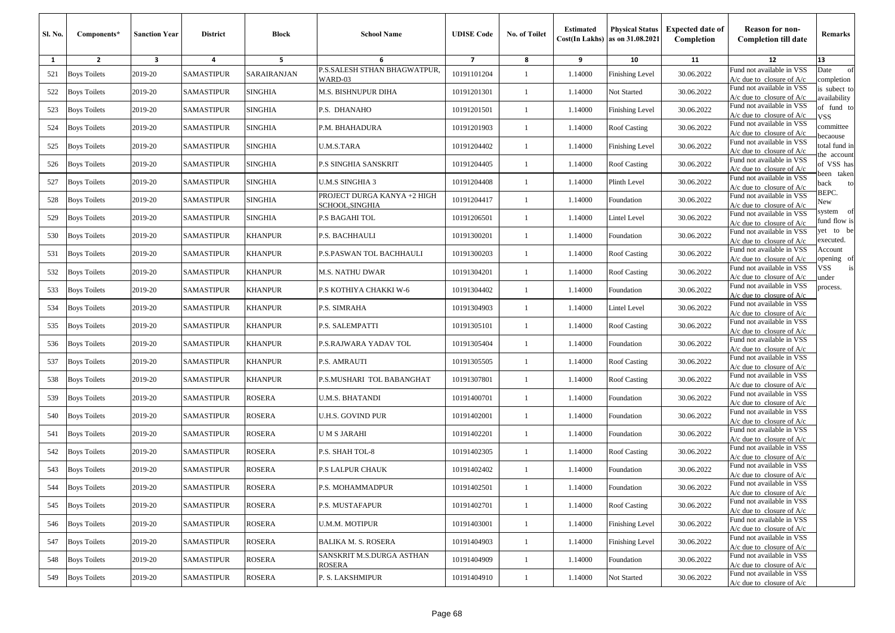| <b>Sl. No.</b> | Components*         | <b>Sanction Year</b> | <b>District</b>   | Block          | <b>School Name</b>                            | <b>UDISE Code</b> | No. of Toilet | <b>Estimated</b> | <b>Physical Status</b><br>$Cost(In$ Lakhs) as on $31.08.2021$ | <b>Expected date of</b><br>Completion | <b>Reason for non-</b><br><b>Completion till date</b>      | Remarks                      |
|----------------|---------------------|----------------------|-------------------|----------------|-----------------------------------------------|-------------------|---------------|------------------|---------------------------------------------------------------|---------------------------------------|------------------------------------------------------------|------------------------------|
| 1              | $\overline{2}$      | 3                    | 4                 | 5              | 6                                             | $\overline{7}$    | 8             | 9                | 10                                                            | 11                                    | 12                                                         | 13                           |
| 521            | <b>Boys Toilets</b> | 2019-20              | <b>SAMASTIPUR</b> | SARAIRANJAN    | P.S.SALESH STHAN BHAGWATPUR,<br>WARD-03       | 10191101204       | 1             | 1.14000          | <b>Finishing Level</b>                                        | 30.06.2022                            | Fund not available in VSS<br>$A/c$ due to closure of $A/c$ | of<br>Date<br>completion     |
| 522            | <b>Boys Toilets</b> | 2019-20              | <b>SAMASTIPUR</b> | <b>SINGHIA</b> | M.S. BISHNUPUR DIHA                           | 10191201301       | 1             | 1.14000          | Not Started                                                   | 30.06.2022                            | Fund not available in VSS<br>$A/c$ due to closure of $A/c$ | is subect to<br>availability |
| 523            | <b>Boys Toilets</b> | 2019-20              | <b>SAMASTIPUR</b> | <b>SINGHIA</b> | P.S. DHANAHO                                  | 10191201501       | -1            | 1.14000          | <b>Finishing Level</b>                                        | 30.06.2022                            | Fund not available in VSS<br>$A/c$ due to closure of $A/c$ | of fund to<br>VSS            |
| 524            | <b>Boys Toilets</b> | 2019-20              | <b>SAMASTIPUR</b> | <b>SINGHIA</b> | P.M. BHAHADURA                                | 10191201903       | $\mathbf{1}$  | 1.14000          | <b>Roof Casting</b>                                           | 30.06.2022                            | Fund not available in VSS<br>A/c due to closure of A/c     | committee<br>pecaouse        |
| 525            | <b>Boys Toilets</b> | 2019-20              | <b>SAMASTIPUR</b> | <b>SINGHIA</b> | U.M.S.TARA                                    | 10191204402       | -1            | 1.14000          | Finishing Level                                               | 30.06.2022                            | Fund not available in VSS<br>$A/c$ due to closure of $A/c$ | total fund in<br>he account  |
| 526            | <b>Boys Toilets</b> | 2019-20              | <b>SAMASTIPUR</b> | <b>SINGHIA</b> | P.S SINGHIA SANSKRIT                          | 10191204405       | -1            | 1.14000          | <b>Roof Casting</b>                                           | 30.06.2022                            | Fund not available in VSS<br>$A/c$ due to closure of $A/c$ | of VSS has<br>veen taken     |
| 527            | <b>Boys Toilets</b> | 2019-20              | <b>SAMASTIPUR</b> | <b>SINGHIA</b> | U.M.S SINGHIA 3                               | 10191204408       | -1            | 1.14000          | Plinth Level                                                  | 30.06.2022                            | Fund not available in VSS<br>$A/c$ due to closure of $A/c$ | ack<br>to<br>BEPC.           |
| 528            | <b>Boys Toilets</b> | 2019-20              | <b>SAMASTIPUR</b> | <b>SINGHIA</b> | PROJECT DURGA KANYA +2 HIGH<br>SCHOOL,SINGHIA | 10191204417       | 1             | 1.14000          | Foundation                                                    | 30.06.2022                            | Fund not available in VSS<br>$A/c$ due to closure of $A/c$ | New                          |
| 529            | <b>Boys Toilets</b> | 2019-20              | SAMASTIPUR        | <b>SINGHIA</b> | P.S BAGAHI TOL                                | 10191206501       | -1            | 1.14000          | Lintel Level                                                  | 30.06.2022                            | Fund not available in VSS<br>A/c due to closure of A/c     | system of<br>fund flow is    |
| 530            | <b>Boys Toilets</b> | 2019-20              | <b>SAMASTIPUR</b> | <b>KHANPUR</b> | P.S. BACHHAULI                                | 10191300201       | $\mathbf{1}$  | 1.14000          | Foundation                                                    | 30.06.2022                            | Fund not available in VSS<br>A/c due to closure of A/c     | et to be<br>executed.        |
| 531            | <b>Boys Toilets</b> | 2019-20              | <b>SAMASTIPUR</b> | <b>KHANPUR</b> | P.S.PASWAN TOL BACHHAULI                      | 10191300203       | $\mathbf{1}$  | 1.14000          | Roof Casting                                                  | 30.06.2022                            | Fund not available in VSS<br>$A/c$ due to closure of $A/c$ | Account<br>pening of         |
| 532            | <b>Boys Toilets</b> | 2019-20              | <b>SAMASTIPUR</b> | <b>KHANPUR</b> | M.S. NATHU DWAR                               | 10191304201       | -1            | 1.14000          | <b>Roof Casting</b>                                           | 30.06.2022                            | Fund not available in VSS<br>$A/c$ due to closure of $A/c$ | /SS<br>is<br>ınder           |
| 533            | <b>Boys Toilets</b> | 2019-20              | <b>SAMASTIPUR</b> | <b>KHANPUR</b> | P.S KOTHIYA CHAKKI W-6                        | 10191304402       | -1            | 1.14000          | Foundation                                                    | 30.06.2022                            | Fund not available in VSS<br>A/c due to closure of $A/c$   | process.                     |
| 534            | <b>Boys Toilets</b> | 2019-20              | <b>SAMASTIPUR</b> | KHANPUR        | P.S. SIMRAHA                                  | 10191304903       | $\mathbf{1}$  | 1.14000          | Lintel Level                                                  | 30.06.2022                            | Fund not available in VSS<br>$A/c$ due to closure of $A/c$ |                              |
| 535            | <b>Boys Toilets</b> | 2019-20              | <b>SAMASTIPUR</b> | <b>KHANPUR</b> | P.S. SALEMPATTI                               | 10191305101       | $\mathbf{1}$  | 1.14000          | <b>Roof Casting</b>                                           | 30.06.2022                            | Fund not available in VSS<br>$A/c$ due to closure of $A/c$ |                              |
| 536            | <b>Boys Toilets</b> | 2019-20              | <b>SAMASTIPUR</b> | <b>KHANPUR</b> | P.S.RAJWARA YADAV TOL                         | 10191305404       | -1            | 1.14000          | Foundation                                                    | 30.06.2022                            | Fund not available in VSS<br>A/c due to closure of A/c     |                              |
| 537            | <b>Boys Toilets</b> | 2019-20              | <b>SAMASTIPUR</b> | <b>KHANPUR</b> | <b>P.S. AMRAUTI</b>                           | 10191305505       | $\mathbf{1}$  | 1.14000          | <b>Roof Casting</b>                                           | 30.06.2022                            | Fund not available in VSS<br>A/c due to closure of $A/c$   |                              |
| 538            | <b>Boys Toilets</b> | 2019-20              | <b>SAMASTIPUR</b> | <b>KHANPUR</b> | P.S.MUSHARI TOL BABANGHAT                     | 10191307801       | $\mathbf{1}$  | 1.14000          | Roof Casting                                                  | 30.06.2022                            | Fund not available in VSS<br>$A/c$ due to closure of $A/c$ |                              |
| 539            | <b>Boys Toilets</b> | 2019-20              | <b>SAMASTIPUR</b> | ROSERA         | U.M.S. BHATANDI                               | 10191400701       | 1             | 1.14000          | Foundation                                                    | 30.06.2022                            | Fund not available in VSS<br>$A/c$ due to closure of $A/c$ |                              |
| 540            | <b>Boys Toilets</b> | 2019-20              | <b>SAMASTIPUR</b> | ROSERA         | U.H.S. GOVIND PUR                             | 10191402001       | -1            | 1.14000          | Foundation                                                    | 30.06.2022                            | Fund not available in VSS<br>$A/c$ due to closure of $A/c$ |                              |
| 541            | <b>Boys Toilets</b> | 2019-20              | <b>SAMASTIPUR</b> | ROSERA         | U M S JARAHI                                  | 10191402201       | $\mathbf{1}$  | 1.14000          | Foundation                                                    | 30.06.2022                            | Fund not available in VSS<br>$A/c$ due to closure of $A/c$ |                              |
| 542            | <b>Boys Toilets</b> | 2019-20              | <b>SAMASTIPUR</b> | ROSERA         | P.S. SHAH TOL-8                               | 10191402305       | -1            | 1.14000          | <b>Roof Casting</b>                                           | 30.06.2022                            | Fund not available in VSS<br>$A/c$ due to closure of $A/c$ |                              |
| 543            | <b>Boys Toilets</b> | 2019-20              | <b>SAMASTIPUR</b> | ROSERA         | P.S LALPUR CHAUK                              | 10191402402       | 1             | 1.14000          | Foundation                                                    | 30.06.2022                            | Fund not available in VSS<br>$A/c$ due to closure of $A/c$ |                              |
|                | 544 Boys Toilets    | 2019-20              | <b>SAMASTIPUR</b> | ROSERA         | P.S. MOHAMMADPUR                              | 10191402501       |               | 1.14000          | Foundation                                                    | 30.06.2022                            | Fund not available in VSS<br>$A/c$ due to closure of $A/c$ |                              |
| 545            | <b>Boys Toilets</b> | 2019-20              | <b>SAMASTIPUR</b> | ROSERA         | P.S. MUSTAFAPUR                               | 10191402701       | $\mathbf{1}$  | 1.14000          | <b>Roof Casting</b>                                           | 30.06.2022                            | Fund not available in VSS<br>$A/c$ due to closure of $A/c$ |                              |
| 546            | <b>Boys Toilets</b> | 2019-20              | <b>SAMASTIPUR</b> | ROSERA         | U.M.M. MOTIPUR                                | 10191403001       | $\mathbf{1}$  | 1.14000          | <b>Finishing Level</b>                                        | 30.06.2022                            | Fund not available in VSS<br>$A/c$ due to closure of $A/c$ |                              |
| 547            | <b>Boys Toilets</b> | 2019-20              | SAMASTIPUR        | ROSERA         | <b>BALIKA M. S. ROSERA</b>                    | 10191404903       | $\mathbf{1}$  | 1.14000          | <b>Finishing Level</b>                                        | 30.06.2022                            | Fund not available in VSS<br>$A/c$ due to closure of $A/c$ |                              |
| 548            | <b>Boys Toilets</b> | 2019-20              | <b>SAMASTIPUR</b> | ROSERA         | SANSKRIT M.S.DURGA ASTHAN<br>ROSERA           | 10191404909       | $\mathbf{1}$  | 1.14000          | Foundation                                                    | 30.06.2022                            | Fund not available in VSS<br>$A/c$ due to closure of $A/c$ |                              |
| 549            | <b>Boys Toilets</b> | 2019-20              | <b>SAMASTIPUR</b> | ROSERA         | P. S. LAKSHMIPUR                              | 10191404910       | $\mathbf{1}$  | 1.14000          | Not Started                                                   | 30.06.2022                            | Fund not available in VSS<br>A/c due to closure of A/c     |                              |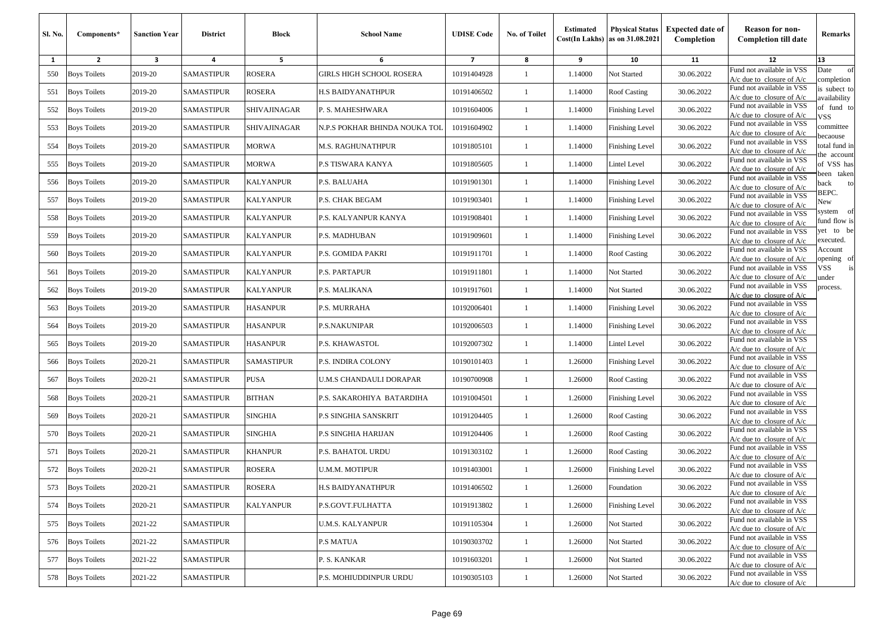| Sl. No. | Components*         | <b>Sanction Year</b>    | <b>District</b>   | <b>Block</b>      | <b>School Name</b>            | <b>UDISE Code</b> | <b>No. of Toilet</b> | <b>Estimated</b> | <b>Physical Status</b><br>$Cost(In$ Lakhs) as on $31.08.2021$ | <b>Expected date of</b><br>Completion | <b>Reason for non-</b><br><b>Completion till date</b>      | Remarks                      |
|---------|---------------------|-------------------------|-------------------|-------------------|-------------------------------|-------------------|----------------------|------------------|---------------------------------------------------------------|---------------------------------------|------------------------------------------------------------|------------------------------|
| 1       | $\overline{2}$      | $\overline{\mathbf{3}}$ | 4                 | 5                 | 6                             | $\overline{7}$    | 8                    | 9                | 10                                                            | 11                                    | 12                                                         | 13                           |
| 550     | <b>Boys Toilets</b> | 2019-20                 | <b>SAMASTIPUR</b> | ROSERA            | GIRLS HIGH SCHOOL ROSERA      | 10191404928       | $\mathbf{1}$         | 1.14000          | Not Started                                                   | 30.06.2022                            | Fund not available in VSS<br>$A/c$ due to closure of $A/c$ | Date<br>of<br>completion     |
| 551     | <b>Boys Toilets</b> | 2019-20                 | <b>SAMASTIPUR</b> | ROSERA            | H.S BAIDYANATHPUR             | 10191406502       | 1                    | 1.14000          | Roof Casting                                                  | 30.06.2022                            | Fund not available in VSS<br>A/c due to closure of A/c     | is subect to<br>availability |
| 552     | <b>Boys Toilets</b> | 2019-20                 | <b>SAMASTIPUR</b> | SHIVAJINAGAR      | P. S. MAHESHWARA              | 10191604006       | -1                   | 1.14000          | Finishing Level                                               | 30.06.2022                            | Fund not available in VSS<br>A/c due to closure of A/c     | of fund to<br>VSS            |
| 553     | <b>Boys Toilets</b> | 2019-20                 | <b>SAMASTIPUR</b> | SHIVAJINAGAR      | N.P.S POKHAR BHINDA NOUKA TOL | 10191604902       | -1                   | 1.14000          | <b>Finishing Level</b>                                        | 30.06.2022                            | Fund not available in VSS<br>A/c due to closure of A/c     | committee<br>ecaouse         |
| 554     | <b>Boys Toilets</b> | 2019-20                 | <b>SAMASTIPUR</b> | <b>MORWA</b>      | M.S. RAGHUNATHPUR             | 10191805101       | 1                    | 1.14000          | <b>Finishing Level</b>                                        | 30.06.2022                            | Fund not available in VSS<br>A/c due to closure of $A/c$   | otal fund in<br>he account   |
| 555     | <b>Boys Toilets</b> | 2019-20                 | <b>SAMASTIPUR</b> | MORWA             | P.S TISWARA KANYA             | 10191805605       | -1                   | 1.14000          | Lintel Level                                                  | 30.06.2022                            | Fund not available in VSS<br>$A/c$ due to closure of $A/c$ | of VSS has<br>veen taken     |
| 556     | <b>Boys Toilets</b> | 2019-20                 | <b>SAMASTIPUR</b> | KALYANPUR         | P.S. BALUAHA                  | 10191901301       | $\mathbf{1}$         | 1.14000          | Finishing Level                                               | 30.06.2022                            | Fund not available in VSS<br>A/c due to closure of A/c     | ack<br>to                    |
| 557     | <b>Boys Toilets</b> | 2019-20                 | <b>SAMASTIPUR</b> | <b>KALYANPUR</b>  | P.S. CHAK BEGAM               | 10191903401       | -1                   | 1.14000          | <b>Finishing Level</b>                                        | 30.06.2022                            | Fund not available in VSS<br>$A/c$ due to closure of $A/c$ | BEPC.<br>New                 |
| 558     | <b>Boys Toilets</b> | 2019-20                 | <b>SAMASTIPUR</b> | KALYANPUR         | P.S. KALYANPUR KANYA          | 10191908401       | $\mathbf{1}$         | 1.14000          | Finishing Level                                               | 30.06.2022                            | Fund not available in VSS<br>$A/c$ due to closure of $A/c$ | system of<br>fund flow is    |
| 559     | <b>Boys Toilets</b> | 2019-20                 | <b>SAMASTIPUR</b> | <b>KALYANPUR</b>  | P.S. MADHUBAN                 | 10191909601       | -1                   | 1.14000          | <b>Finishing Level</b>                                        | 30.06.2022                            | Fund not available in VSS<br>A/c due to closure of A/c     | et to be<br>executed.        |
| 560     | <b>Boys Toilets</b> | 2019-20                 | <b>SAMASTIPUR</b> | <b>KALYANPUR</b>  | P.S. GOMIDA PAKRI             | 10191911701       | -1                   | 1.14000          | Roof Casting                                                  | 30.06.2022                            | Fund not available in VSS<br>$A/c$ due to closure of $A/c$ | Account<br>pening of         |
| 561     | <b>Boys Toilets</b> | 2019-20                 | <b>SAMASTIPUR</b> | <b>KALYANPUR</b>  | P.S. PARTAPUR                 | 10191911801       | $\mathbf{1}$         | 1.14000          | Not Started                                                   | 30.06.2022                            | Fund not available in VSS<br>$A/c$ due to closure of $A/c$ | is<br>/SS<br>ınder           |
| 562     | <b>Boys Toilets</b> | 2019-20                 | <b>SAMASTIPUR</b> | KALYANPUR         | P.S. MALIKANA                 | 10191917601       | 1                    | 1.14000          | Not Started                                                   | 30.06.2022                            | Fund not available in VSS<br>$A/c$ due to closure of $A/c$ | process.                     |
| 563     | <b>Boys Toilets</b> | 2019-20                 | <b>SAMASTIPUR</b> | HASANPUR          | P.S. MURRAHA                  | 10192006401       | 1                    | 1.14000          | Finishing Level                                               | 30.06.2022                            | Fund not available in VSS<br>$A/c$ due to closure of $A/c$ |                              |
| 564     | <b>Boys Toilets</b> | 2019-20                 | <b>SAMASTIPUR</b> | HASANPUR          | P.S.NAKUNIPAR                 | 10192006503       | -1                   | 1.14000          | Finishing Level                                               | 30.06.2022                            | Fund not available in VSS<br>A/c due to closure of A/c     |                              |
| 565     | <b>Boys Toilets</b> | 2019-20                 | <b>SAMASTIPUR</b> | HASANPUR          | P.S. KHAWASTOL                | 10192007302       | $\mathbf{1}$         | 1.14000          | <b>Lintel Level</b>                                           | 30.06.2022                            | Fund not available in VSS<br>$A/c$ due to closure of $A/c$ |                              |
| 566     | <b>Boys Toilets</b> | 2020-21                 | <b>SAMASTIPUR</b> | <b>SAMASTIPUR</b> | P.S. INDIRA COLONY            | 10190101403       | -1                   | 1.26000          | Finishing Level                                               | 30.06.2022                            | Fund not available in VSS<br>$A/c$ due to closure of $A/c$ |                              |
| 567     | <b>Boys Toilets</b> | 2020-21                 | <b>SAMASTIPUR</b> | PUSA              | U.M.S CHANDAULI DORAPAR       | 10190700908       | $\mathbf{1}$         | 1.26000          | Roof Casting                                                  | 30.06.2022                            | Fund not available in VSS<br>A/c due to closure of A/c     |                              |
| 568     | <b>Boys Toilets</b> | 2020-21                 | <b>SAMASTIPUR</b> | <b>BITHAN</b>     | P.S. SAKAROHIYA BATARDIHA     | 10191004501       | 1                    | 1.26000          | <b>Finishing Level</b>                                        | 30.06.2022                            | Fund not available in VSS<br>$A/c$ due to closure of $A/c$ |                              |
| 569     | <b>Boys Toilets</b> | 2020-21                 | SAMASTIPUR        | <b>SINGHIA</b>    | P.S SINGHIA SANSKRIT          | 10191204405       | 1                    | 1.26000          | Roof Casting                                                  | 30.06.2022                            | Fund not available in VSS<br>$A/c$ due to closure of $A/c$ |                              |
| 570     | <b>Boys Toilets</b> | 2020-21                 | <b>SAMASTIPUR</b> | <b>SINGHIA</b>    | P.S SINGHIA HARIJAN           | 10191204406       | -1                   | 1.26000          | Roof Casting                                                  | 30.06.2022                            | Fund not available in VSS<br>$A/c$ due to closure of $A/c$ |                              |
| 571     | <b>Boys Toilets</b> | 2020-21                 | <b>SAMASTIPUR</b> | <b>KHANPUR</b>    | P.S. BAHATOL URDU             | 10191303102       | $\mathbf{1}$         | 1.26000          | <b>Roof Casting</b>                                           | 30.06.2022                            | Fund not available in VSS<br>$A/c$ due to closure of $A/c$ |                              |
| 572     | <b>Boys Toilets</b> | 2020-21                 | <b>SAMASTIPUR</b> | ROSERA            | U.M.M. MOTIPUR                | 10191403001       | $\mathbf{1}$         | 1.26000          | Finishing Level                                               | 30.06.2022                            | Fund not available in VSS<br>$A/c$ due to closure of $A/c$ |                              |
|         | 573 Boys Toilets    | 2020-21                 | <b>SAMASTIPUR</b> | <b>ROSERA</b>     | H.S BAIDYANATHPUR             | 10191406502       |                      | 1.26000          | Foundation                                                    | 30.06.2022                            | Fund not available in VSS<br>$A/c$ due to closure of $A/c$ |                              |
| 574     | <b>Boys Toilets</b> | 2020-21                 | <b>SAMASTIPUR</b> | <b>KALYANPUR</b>  | P.S.GOVT.FULHATTA             | 10191913802       | $\mathbf{1}$         | 1.26000          | Finishing Level                                               | 30.06.2022                            | Fund not available in VSS<br>$A/c$ due to closure of $A/c$ |                              |
| 575     | <b>Boys Toilets</b> | 2021-22                 | SAMASTIPUR        |                   | U.M.S. KALYANPUR              | 10191105304       | $\mathbf{1}$         | 1.26000          | Not Started                                                   | 30.06.2022                            | Fund not available in VSS<br>$A/c$ due to closure of $A/c$ |                              |
| 576     | <b>Boys Toilets</b> | 2021-22                 | SAMASTIPUR        |                   | <b>P.S MATUA</b>              | 10190303702       | $\mathbf{1}$         | 1.26000          | Not Started                                                   | 30.06.2022                            | Fund not available in VSS<br>$A/c$ due to closure of $A/c$ |                              |
| 577     | <b>Boys Toilets</b> | 2021-22                 | <b>SAMASTIPUR</b> |                   | P. S. KANKAR                  | 10191603201       | $\mathbf{1}$         | 1.26000          | Not Started                                                   | 30.06.2022                            | Fund not available in VSS<br>$A/c$ due to closure of $A/c$ |                              |
| 578     | <b>Boys Toilets</b> | 2021-22                 | <b>SAMASTIPUR</b> |                   | P.S. MOHIUDDINPUR URDU        | 10190305103       | $\mathbf{1}$         | 1.26000          | Not Started                                                   | 30.06.2022                            | Fund not available in VSS<br>$A/c$ due to closure of $A/c$ |                              |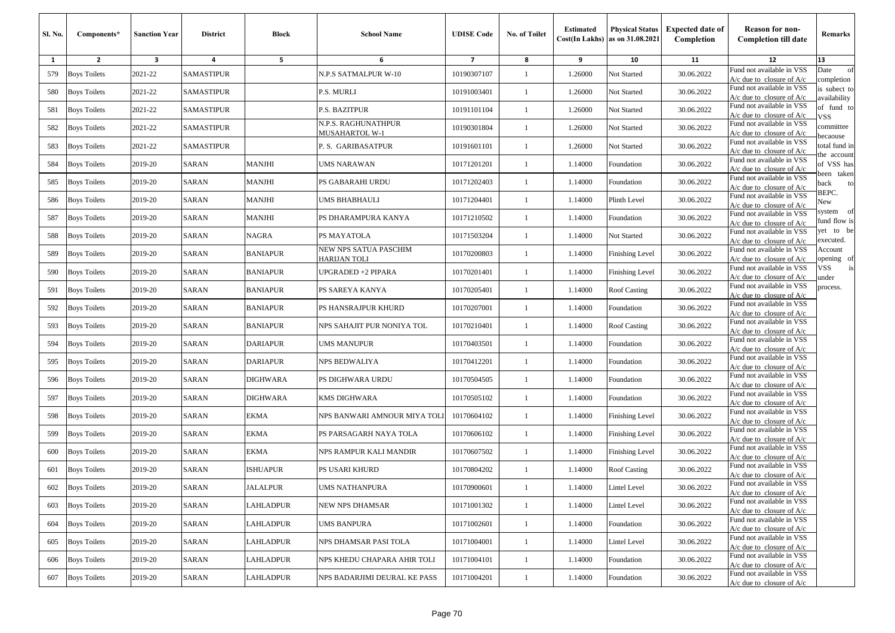| Sl. No. | Components*         | <b>Sanction Year</b>    | <b>District</b>   | Block           | <b>School Name</b>                           | <b>UDISE Code</b> | No. of Toilet | <b>Estimated</b> | <b>Physical Status</b><br>$Cost(In$ Lakhs) as on $31.08.2021$ | <b>Expected date of</b><br>Completion | <b>Reason for non-</b><br><b>Completion till date</b>      | Remarks                      |
|---------|---------------------|-------------------------|-------------------|-----------------|----------------------------------------------|-------------------|---------------|------------------|---------------------------------------------------------------|---------------------------------------|------------------------------------------------------------|------------------------------|
| 1       | $\overline{2}$      | $\overline{\mathbf{3}}$ | 4                 | 5               | 6                                            | $\overline{7}$    | 8             | 9                | 10                                                            | 11                                    | 12                                                         | 13                           |
| 579     | <b>Boys Toilets</b> | 2021-22                 | <b>SAMASTIPUR</b> |                 | N.P.S SATMALPUR W-10                         | 10190307107       | -1            | 1.26000          | Not Started                                                   | 30.06.2022                            | Fund not available in VSS<br>$A/c$ due to closure of $A/c$ | of<br>Date<br>completion     |
| 580     | <b>Boys Toilets</b> | 2021-22                 | <b>SAMASTIPUR</b> |                 | P.S. MURLI                                   | 10191003401       | $\mathbf{1}$  | 1.26000          | Not Started                                                   | 30.06.2022                            | Fund not available in VSS<br>A/c due to closure of A/c     | is subect to<br>availability |
| 581     | <b>Boys Toilets</b> | 2021-22                 | <b>SAMASTIPUR</b> |                 | P.S. BAZITPUR                                | 10191101104       | 1             | 1.26000          | Not Started                                                   | 30.06.2022                            | Fund not available in VSS<br>$A/c$ due to closure of $A/c$ | of fund to<br>VSS            |
| 582     | <b>Boys Toilets</b> | 2021-22                 | SAMASTIPUR        |                 | N.P.S. RAGHUNATHPUR<br>MUSAHARTOL W-1        | 10190301804       | $\mathbf{1}$  | 1.26000          | Not Started                                                   | 30.06.2022                            | Fund not available in VSS<br>$A/c$ due to closure of $A/c$ | committee<br>ecaouse         |
| 583     | <b>Boys Toilets</b> | 2021-22                 | <b>SAMASTIPUR</b> |                 | P. S. GARIBASATPUR                           | 10191601101       | -1            | 1.26000          | Not Started                                                   | 30.06.2022                            | Fund not available in VSS<br>$A/c$ due to closure of $A/c$ | otal fund in<br>he account   |
| 584     | <b>Boys Toilets</b> | 2019-20                 | <b>SARAN</b>      | <b>MANJHI</b>   | UMS NARAWAN                                  | 10171201201       | $\mathbf{1}$  | 1.14000          | Foundation                                                    | 30.06.2022                            | Fund not available in VSS<br>$A/c$ due to closure of $A/c$ | of VSS has<br>been taken     |
| 585     | <b>Boys Toilets</b> | 2019-20                 | <b>SARAN</b>      | <b>MANJHI</b>   | PS GABARAHI URDU                             | 10171202403       | $\mathbf{1}$  | 1.14000          | Foundation                                                    | 30.06.2022                            | Fund not available in VSS<br>$A/c$ due to closure of $A/c$ | oack<br>to                   |
| 586     | <b>Boys Toilets</b> | 2019-20                 | SARAN             | MANJHI          | UMS BHABHAULI                                | 10171204401       | 1             | 1.14000          | Plinth Level                                                  | 30.06.2022                            | Fund not available in VSS<br>$A/c$ due to closure of $A/c$ | BEPC.<br>New                 |
| 587     | <b>Boys Toilets</b> | 2019-20                 | <b>SARAN</b>      | MANJHI          | PS DHARAMPURA KANYA                          | 10171210502       | $\mathbf{1}$  | 1.14000          | Foundation                                                    | 30.06.2022                            | Fund not available in VSS<br>$A/c$ due to closure of $A/c$ | system of<br>fund flow is    |
| 588     | <b>Boys Toilets</b> | 2019-20                 | SARAN             | <b>NAGRA</b>    | PS MAYATOLA                                  | 10171503204       | $\mathbf{1}$  | 1.14000          | Not Started                                                   | 30.06.2022                            | Fund not available in VSS<br>$A/c$ due to closure of $A/c$ | /et to be<br>executed.       |
| 589     | <b>Boys Toilets</b> | 2019-20                 | <b>SARAN</b>      | <b>BANIAPUR</b> | NEW NPS SATUA PASCHIM<br><b>HARIJAN TOLI</b> | 10170200803       | 1             | 1.14000          | Finishing Level                                               | 30.06.2022                            | Fund not available in VSS<br>A/c due to closure of A/c     | Account<br>pening of         |
| 590     | <b>Boys Toilets</b> | 2019-20                 | <b>SARAN</b>      | <b>BANIAPUR</b> | UPGRADED +2 PIPARA                           | 10170201401       | $\mathbf{1}$  | 1.14000          | <b>Finishing Level</b>                                        | 30.06.2022                            | Fund not available in VSS<br>$A/c$ due to closure of $A/c$ | /SS<br>is<br>ınder           |
| 591     | <b>Boys Toilets</b> | 2019-20                 | <b>SARAN</b>      | <b>BANIAPUR</b> | PS SAREYA KANYA                              | 10170205401       | $\mathbf{1}$  | 1.14000          | Roof Casting                                                  | 30.06.2022                            | Fund not available in VSS<br>$A/c$ due to closure of $A/c$ | process.                     |
| 592     | <b>Boys Toilets</b> | 2019-20                 | SARAN             | <b>BANIAPUR</b> | PS HANSRAJPUR KHURD                          | 10170207001       | 1             | 1.14000          | Foundation                                                    | 30.06.2022                            | Fund not available in VSS<br>$A/c$ due to closure of $A/c$ |                              |
| 593     | <b>Boys Toilets</b> | 2019-20                 | SARAN             | <b>BANIAPUR</b> | NPS SAHAJIT PUR NONIYA TOL                   | 10170210401       | -1            | 1.14000          | Roof Casting                                                  | 30.06.2022                            | Fund not available in VSS<br>$A/c$ due to closure of $A/c$ |                              |
| 594     | <b>Boys Toilets</b> | 2019-20                 | <b>SARAN</b>      | DARIAPUR        | UMS MANUPUR                                  | 10170403501       | $\mathbf{1}$  | 1.14000          | Foundation                                                    | 30.06.2022                            | Fund not available in VSS<br>A/c due to closure of $A/c$   |                              |
| 595     | <b>Boys Toilets</b> | 2019-20                 | <b>SARAN</b>      | <b>DARIAPUR</b> | NPS BEDWALIYA                                | 10170412201       | $\mathbf{1}$  | 1.14000          | Foundation                                                    | 30.06.2022                            | Fund not available in VSS<br>$A/c$ due to closure of $A/c$ |                              |
| 596     | <b>Boys Toilets</b> | 2019-20                 | <b>SARAN</b>      | DIGHWARA        | PS DIGHWARA URDU                             | 10170504505       | $\mathbf{1}$  | 1.14000          | Foundation                                                    | 30.06.2022                            | Fund not available in VSS<br>$A/c$ due to closure of $A/c$ |                              |
| 597     | <b>Boys Toilets</b> | 2019-20                 | <b>SARAN</b>      | DIGHWARA        | KMS DIGHWARA                                 | 10170505102       | 1             | 1.14000          | Foundation                                                    | 30.06.2022                            | Fund not available in VSS<br>$A/c$ due to closure of $A/c$ |                              |
| 598     | <b>Boys Toilets</b> | 2019-20                 | <b>SARAN</b>      | EKMA            | NPS BANWARI AMNOUR MIYA TOLI                 | 10170604102       | -1            | 1.14000          | Finishing Level                                               | 30.06.2022                            | Fund not available in VSS<br>$A/c$ due to closure of $A/c$ |                              |
| 599     | <b>Boys Toilets</b> | 2019-20                 | <b>SARAN</b>      | EKMA            | PS PARSAGARH NAYA TOLA                       | 10170606102       | $\mathbf{1}$  | 1.14000          | <b>Finishing Level</b>                                        | 30.06.2022                            | Fund not available in VSS<br>$A/c$ due to closure of $A/c$ |                              |
| 600     | <b>Boys Toilets</b> | 2019-20                 | SARAN             | EKMA            | NPS RAMPUR KALI MANDIR                       | 10170607502       | -1            | 1.14000          | Finishing Level                                               | 30.06.2022                            | Fund not available in VSS<br>$A/c$ due to closure of $A/c$ |                              |
| 601     | <b>Boys Toilets</b> | 2019-20                 | <b>SARAN</b>      | ISHUAPUR        | PS USARI KHURD                               | 10170804202       | 1             | 1.14000          | <b>Roof Casting</b>                                           | 30.06.2022                            | Fund not available in VSS<br>A/c due to closure of A/c     |                              |
|         | 602 Boys Toilets    | 2019-20                 | SARAN             | <b>JALALPUR</b> | UMS NATHANPURA                               | 10170900601       |               | 1.14000          | Lintel Level                                                  | 30.06.2022                            | Fund not available in VSS<br>$A/c$ due to closure of $A/c$ |                              |
| 603     | <b>Boys Toilets</b> | 2019-20                 | SARAN             | LAHLADPUR       | NEW NPS DHAMSAR                              | 10171001302       | $\mathbf{1}$  | 1.14000          | Lintel Level                                                  | 30.06.2022                            | Fund not available in VSS<br>$A/c$ due to closure of $A/c$ |                              |
| 604     | <b>Boys Toilets</b> | 2019-20                 | SARAN             | LAHLADPUR       | UMS BANPURA                                  | 10171002601       | $\mathbf{1}$  | 1.14000          | Foundation                                                    | 30.06.2022                            | Fund not available in VSS<br>$A/c$ due to closure of $A/c$ |                              |
| 605     | <b>Boys Toilets</b> | 2019-20                 | SARAN             | LAHLADPUR       | NPS DHAMSAR PASI TOLA                        | 10171004001       | $\mathbf{1}$  | 1.14000          | Lintel Level                                                  | 30.06.2022                            | Fund not available in VSS<br>$A/c$ due to closure of $A/c$ |                              |
| 606     | <b>Boys Toilets</b> | 2019-20                 | SARAN             | LAHLADPUR       | NPS KHEDU CHAPARA AHIR TOLI                  | 10171004101       | $\mathbf{1}$  | 1.14000          | Foundation                                                    | 30.06.2022                            | Fund not available in VSS<br>$A/c$ due to closure of $A/c$ |                              |
| 607     | <b>Boys Toilets</b> | 2019-20                 | SARAN             | LAHLADPUR       | NPS BADARJIMI DEURAL KE PASS                 | 10171004201       | $\mathbf{1}$  | 1.14000          | Foundation                                                    | 30.06.2022                            | Fund not available in VSS<br>A/c due to closure of A/c     |                              |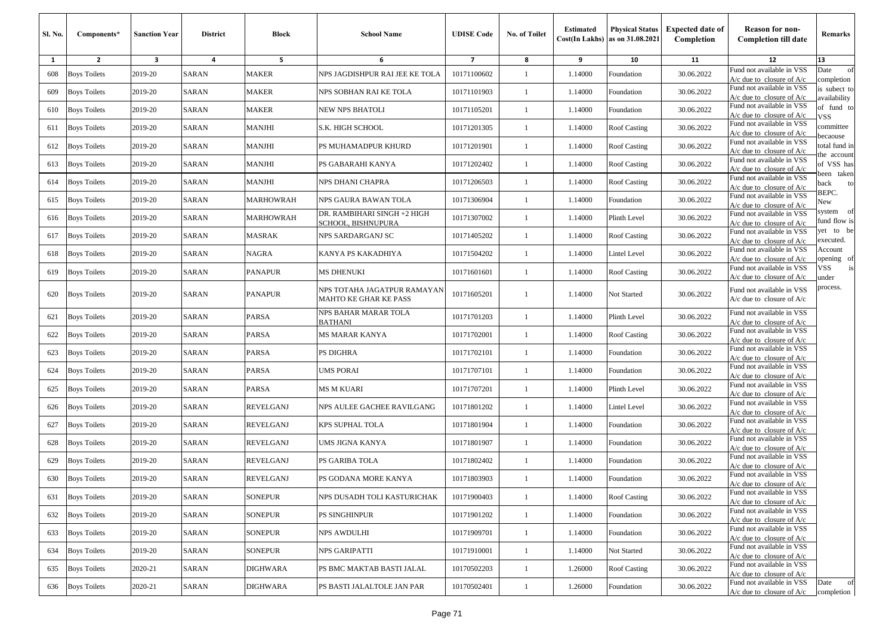| <b>Sl. No.</b> | Components*         | <b>Sanction Year</b>    | <b>District</b> | <b>Block</b>     | <b>School Name</b>                                          | <b>UDISE Code</b> | <b>No. of Toilet</b> | <b>Estimated</b> | <b>Physical Status</b><br>Cost(In Lakhs) as on 31.08.2021 | <b>Expected date of</b><br>Completion | <b>Reason for non-</b><br><b>Completion till date</b>      | Remarks                     |
|----------------|---------------------|-------------------------|-----------------|------------------|-------------------------------------------------------------|-------------------|----------------------|------------------|-----------------------------------------------------------|---------------------------------------|------------------------------------------------------------|-----------------------------|
| 1              | $\overline{2}$      | $\overline{\mathbf{3}}$ | 4               | 5                | 6                                                           | $\overline{7}$    | 8                    | 9                | 10                                                        | 11                                    | 12                                                         | 13                          |
| 608            | <b>Boys Toilets</b> | 2019-20                 | SARAN           | MAKER            | NPS JAGDISHPUR RAI JEE KE TOLA                              | 10171100602       | -1                   | 1.14000          | Foundation                                                | 30.06.2022                            | Fund not available in VSS<br>$A/c$ due to closure of $A/c$ | Date<br>of<br>completion    |
| 609            | <b>Boys Toilets</b> | 2019-20                 | <b>SARAN</b>    | <b>MAKER</b>     | NPS SOBHAN RAI KE TOLA                                      | 10171101903       | 1                    | 1.14000          | Foundation                                                | 30.06.2022                            | Fund not available in VSS<br>$A/c$ due to closure of $A/c$ | s subect to<br>availability |
| 610            | <b>Boys Toilets</b> | 2019-20                 | SARAN           | <b>MAKER</b>     | NEW NPS BHATOLI                                             | 10171105201       | $\mathbf{1}$         | 1.14000          | Foundation                                                | 30.06.2022                            | Fund not available in VSS<br>$A/c$ due to closure of $A/c$ | of fund to<br>VSS           |
| 611            | <b>Boys Toilets</b> | 2019-20                 | SARAN           | <b>MANJHI</b>    | S.K. HIGH SCHOOL                                            | 10171201305       | -1                   | 1.14000          | <b>Roof Casting</b>                                       | 30.06.2022                            | Fund not available in VSS<br>A/c due to closure of A/c     | committee                   |
| 612            | <b>Boys Toilets</b> | 2019-20                 | SARAN           | <b>MANJHI</b>    | PS MUHAMADPUR KHURD                                         | 10171201901       | 1                    | 1.14000          | <b>Roof Casting</b>                                       | 30.06.2022                            | Fund not available in VSS<br>A/c due to closure of $A/c$   | ecaouse<br>otal fund in     |
| 613            | <b>Boys Toilets</b> | 2019-20                 | <b>SARAN</b>    | <b>MANJHI</b>    | PS GABARAHI KANYA                                           | 10171202402       | 1                    | 1.14000          | <b>Roof Casting</b>                                       | 30.06.2022                            | Fund not available in VSS<br>$A/c$ due to closure of $A/c$ | he account<br>of VSS has    |
| 614            | <b>Boys Toilets</b> | 2019-20                 | <b>SARAN</b>    | <b>MANJHI</b>    | NPS DHANI CHAPRA                                            | 10171206503       | $\mathbf{1}$         | 1.14000          | <b>Roof Casting</b>                                       | 30.06.2022                            | Fund not available in VSS<br>$A/c$ due to closure of $A/c$ | een taken<br>ack<br>to      |
| 615            | <b>Boys Toilets</b> | 2019-20                 | SARAN           | <b>MARHOWRAH</b> | NPS GAURA BAWAN TOLA                                        | 10171306904       | $\mathbf{1}$         | 1.14000          | Foundation                                                | 30.06.2022                            | Fund not available in VSS<br>A/c due to closure of A/c     | BEPC.<br>New                |
| 616            | <b>Boys Toilets</b> | 2019-20                 | SARAN           | MARHOWRAH        | DR. RAMBIHARI SINGH +2 HIGH<br>SCHOOL, BISHNUPURA           | 10171307002       | $\mathbf{1}$         | 1.14000          | Plinth Level                                              | 30.06.2022                            | Fund not available in VSS<br>$A/c$ due to closure of $A/c$ | system of<br>fund flow is   |
| 617            | <b>Boys Toilets</b> | 2019-20                 | <b>SARAN</b>    | MASRAK           | NPS SARDARGANJ SC                                           | 10171405202       | $\mathbf{1}$         | 1.14000          | <b>Roof Casting</b>                                       | 30.06.2022                            | Fund not available in VSS<br>$A/c$ due to closure of $A/c$ | et to be<br>executed.       |
| 618            | <b>Boys Toilets</b> | 2019-20                 | SARAN           | <b>NAGRA</b>     | KANYA PS KAKADHIYA                                          | 10171504202       | 1                    | 1.14000          | Lintel Level                                              | 30.06.2022                            | Fund not available in VSS<br>A/c due to closure of $A/c$   | Account<br>pening of        |
| 619            | <b>Boys Toilets</b> | 2019-20                 | SARAN           | <b>PANAPUR</b>   | MS DHENUKI                                                  | 10171601601       | -1                   | 1.14000          | Roof Casting                                              | 30.06.2022                            | Fund not available in VSS<br>$A/c$ due to closure of $A/c$ | VSS<br>is<br>ınder          |
| 620            | <b>Boys Toilets</b> | 2019-20                 | SARAN           | <b>PANAPUR</b>   | NPS TOTAHA JAGATPUR RAMAYAN<br><b>MAHTO KE GHAR KE PASS</b> | 10171605201       | 1                    | 1.14000          | Not Started                                               | 30.06.2022                            | Fund not available in VSS<br>$A/c$ due to closure of $A/c$ | rocess.                     |
| 621            | <b>Boys Toilets</b> | 2019-20                 | SARAN           | PARSA            | NPS BAHAR MARAR TOLA<br><b>BATHANI</b>                      | 10171701203       | 1                    | 1.14000          | Plinth Level                                              | 30.06.2022                            | Fund not available in VSS<br>$A/c$ due to closure of $A/c$ |                             |
| 622            | <b>Boys Toilets</b> | 2019-20                 | <b>SARAN</b>    | PARSA            | <b>MS MARAR KANYA</b>                                       | 10171702001       | 1                    | 1.14000          | <b>Roof Casting</b>                                       | 30.06.2022                            | Fund not available in VSS<br>$A/c$ due to closure of $A/c$ |                             |
| 623            | <b>Boys Toilets</b> | 2019-20                 | SARAN           | PARSA            | PS DIGHRA                                                   | 10171702101       | 1                    | 1.14000          | Foundation                                                | 30.06.2022                            | Fund not available in VSS<br>A/c due to closure of A/c     |                             |
| 624            | <b>Boys Toilets</b> | 2019-20                 | SARAN           | PARSA            | UMS PORAI                                                   | 10171707101       | $\mathbf{1}$         | 1.14000          | Foundation                                                | 30.06.2022                            | Fund not available in VSS<br>$A/c$ due to closure of $A/c$ |                             |
| 625            | <b>Boys Toilets</b> | 2019-20                 | <b>SARAN</b>    | PARSA            | <b>MS M KUARI</b>                                           | 10171707201       | 1                    | 1.14000          | Plinth Level                                              | 30.06.2022                            | Fund not available in VSS<br>$A/c$ due to closure of $A/c$ |                             |
| 626            | <b>Boys Toilets</b> | 2019-20                 | SARAN           | REVELGANJ        | NPS AULEE GACHEE RAVILGANG                                  | 10171801202       | $\mathbf{1}$         | 1.14000          | Lintel Level                                              | 30.06.2022                            | Fund not available in VSS<br>$A/c$ due to closure of $A/c$ |                             |
| 627            | <b>Boys Toilets</b> | 2019-20                 | SARAN           | <b>REVELGANJ</b> | <b>KPS SUPHAL TOLA</b>                                      | 10171801904       | -1                   | 1.14000          | Foundation                                                | 30.06.2022                            | Fund not available in VSS<br>$A/c$ due to closure of $A/c$ |                             |
| 628            | <b>Boys Toilets</b> | 2019-20                 | SARAN           | REVELGANJ        | UMS JIGNA KANYA                                             | 10171801907       | 1                    | 1.14000          | Foundation                                                | 30.06.2022                            | Fund not available in VSS<br>$A/c$ due to closure of $A/c$ |                             |
| 629            | <b>Boys Toilets</b> | 2019-20                 | SARAN           | REVELGANJ        | PS GARIBA TOLA                                              | 10171802402       | 1                    | 1.14000          | Foundation                                                | 30.06.2022                            | Fund not available in VSS<br>$A/c$ due to closure of $A/c$ |                             |
| 630            | <b>Boys Toilets</b> | 2019-20                 | SARAN           | <b>REVELGANJ</b> | PS GODANA MORE KANYA                                        | 10171803903       | 1                    | 1.14000          | Foundation                                                | 30.06.2022                            | Fund not available in VSS<br>$A/c$ due to closure of $A/c$ |                             |
| 631            | <b>Boys Toilets</b> | 2019-20                 | SARAN           | <b>SONEPUR</b>   | NPS DUSADH TOLI KASTURICHAK                                 | 10171900403       | $\mathbf{1}$         | 1.14000          | Roof Casting                                              | 30.06.2022                            | Fund not available in VSS<br>$A/c$ due to closure of $A/c$ |                             |
| 632            | <b>Boys Toilets</b> | 2019-20                 | SARAN           | <b>SONEPUR</b>   | PS SINGHINPUR                                               | 10171901202       | $\mathbf{1}$         | 1.14000          | Foundation                                                | 30.06.2022                            | Fund not available in VSS<br>$A/c$ due to closure of $A/c$ |                             |
| 633            | <b>Boys Toilets</b> | 2019-20                 | <b>SARAN</b>    | SONEPUR          | NPS AWDULHI                                                 | 10171909701       | $\mathbf{1}$         | 1.14000          | Foundation                                                | 30.06.2022                            | Fund not available in VSS<br>$A/c$ due to closure of $A/c$ |                             |
| 634            | <b>Boys Toilets</b> | 2019-20                 | SARAN           | SONEPUR          | NPS GARIPATTI                                               | 10171910001       | $\mathbf{1}$         | 1.14000          | Not Started                                               | 30.06.2022                            | Fund not available in VSS<br>$A/c$ due to closure of $A/c$ |                             |
| 635            | <b>Boys Toilets</b> | 2020-21                 | SARAN           | <b>DIGHWARA</b>  | PS BMC MAKTAB BASTI JALAL                                   | 10170502203       | 1                    | 1.26000          | Roof Casting                                              | 30.06.2022                            | Fund not available in VSS<br>$A/c$ due to closure of $A/c$ |                             |
| 636            | <b>Boys Toilets</b> | 2020-21                 | SARAN           | DIGHWARA         | PS BASTI JALALTOLE JAN PAR                                  | 10170502401       | $\mathbf{1}$         | 1.26000          | Foundation                                                | 30.06.2022                            | Fund not available in VSS<br>$A/c$ due to closure of $A/c$ | Date<br>of<br>completion    |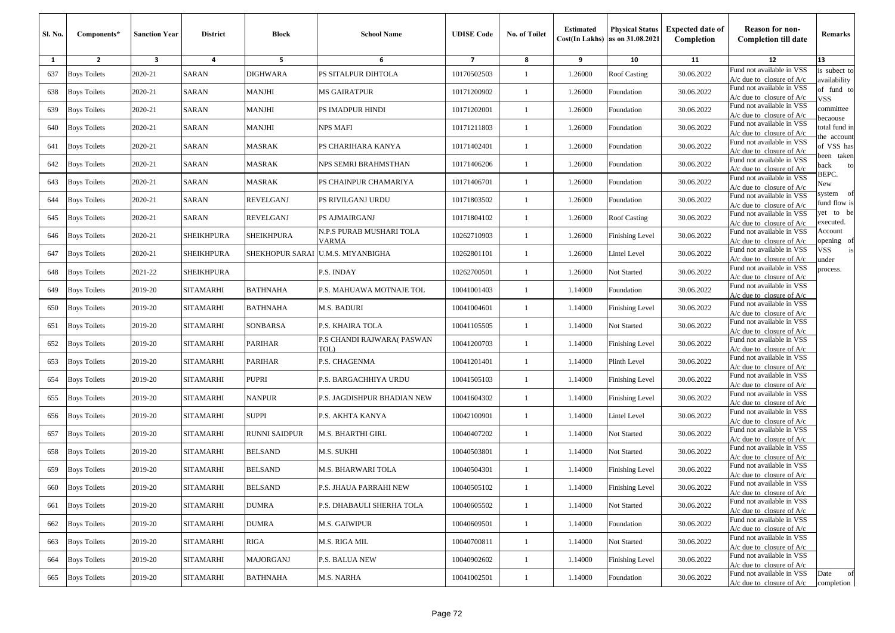| Sl. No. | Components*         | <b>Sanction Year</b> | <b>District</b>  | <b>Block</b>     | <b>School Name</b>                       | <b>UDISE</b> Code | <b>No. of Toilet</b> | <b>Estimated</b> | <b>Physical Status</b><br>Cost(In Lakhs) as on 31.08.2021 | <b>Expected date of</b><br>Completion | <b>Reason for non-</b><br><b>Completion till date</b>      | Remarks                      |
|---------|---------------------|----------------------|------------------|------------------|------------------------------------------|-------------------|----------------------|------------------|-----------------------------------------------------------|---------------------------------------|------------------------------------------------------------|------------------------------|
| 1       | $\overline{2}$      | 3                    | 4                | 5                | 6                                        | $\overline{7}$    | 8                    | 9                | 10                                                        | 11                                    | 12                                                         | 13                           |
| 637     | <b>Boys Toilets</b> | 2020-21              | SARAN            | <b>DIGHWARA</b>  | PS SITALPUR DIHTOLA                      | 10170502503       | $\overline{1}$       | 1.26000          | <b>Roof Casting</b>                                       | 30.06.2022                            | Fund not available in VSS<br>$A/c$ due to closure of $A/c$ | is subect to<br>availability |
| 638     | <b>Boys Toilets</b> | 2020-21              | <b>SARAN</b>     | MANJHI           | <b>MS GAIRATPUR</b>                      | 10171200902       | -1                   | 1.26000          | Foundation                                                | 30.06.2022                            | Fund not available in VSS<br>$A/c$ due to closure of $A/c$ | of fund to<br>VSS.           |
| 639     | <b>Boys Toilets</b> | 2020-21              | SARAN            | MANJHI           | PS IMADPUR HINDI                         | 10171202001       | $\mathbf{1}$         | 1.26000          | Foundation                                                | 30.06.2022                            | Fund not available in VSS<br>A/c due to closure of $A/c$   | committee<br>pecaouse        |
| 640     | <b>Boys Toilets</b> | 2020-21              | SARAN            | MANJHI           | <b>NPS MAFI</b>                          | 10171211803       | $\mathbf{1}$         | 1.26000          | Foundation                                                | 30.06.2022                            | Fund not available in VSS<br>$A/c$ due to closure of $A/c$ | total fund in<br>he account  |
| 641     | <b>Boys Toilets</b> | 2020-21              | SARAN            | MASRAK           | PS CHARIHARA KANYA                       | 10171402401       | $\mathbf{1}$         | 1.26000          | Foundation                                                | 30.06.2022                            | Fund not available in VSS<br>A/c due to closure of $A/c$   | of VSS has<br>been taken     |
| 642     | <b>Boys Toilets</b> | 2020-21              | <b>SARAN</b>     | MASRAK           | NPS SEMRI BRAHMSTHAN                     | 10171406206       | $\mathbf{1}$         | 1.26000          | Foundation                                                | 30.06.2022                            | Fund not available in VSS<br>A/c due to closure of $A/c$   | back<br>to                   |
| 643     | <b>Boys Toilets</b> | 2020-21              | <b>SARAN</b>     | MASRAK           | PS CHAINPUR CHAMARIYA                    | 10171406701       | -1                   | 1.26000          | Foundation                                                | 30.06.2022                            | Fund not available in VSS<br>A/c due to closure of A/c     | BEPC.<br>New                 |
| 644     | <b>Boys Toilets</b> | 2020-21              | SARAN            | <b>REVELGANJ</b> | PS RIVILGANJ URDU                        | 10171803502       |                      | 1.26000          | Foundation                                                | 30.06.2022                            | Fund not available in VSS<br>A/c due to closure of A/c     | system<br>of<br>fund flow is |
| 645     | <b>Boys Toilets</b> | 2020-21              | SARAN            | REVELGANJ        | PS AJMAIRGANJ                            | 10171804102       | $\mathbf{1}$         | 1.26000          | Roof Casting                                              | 30.06.2022                            | Fund not available in VSS<br>$A/c$ due to closure of $A/c$ | yet to be<br>executed.       |
| 646     | <b>Boys Toilets</b> | 2020-21              | SHEIKHPURA       | SHEIKHPURA       | N.P.S PURAB MUSHARI TOLA<br><b>VARMA</b> | 10262710903       | -1                   | 1.26000          | Finishing Level                                           | 30.06.2022                            | Fund not available in VSS<br>$A/c$ due to closure of $A/c$ | Account<br>pening of         |
| 647     | <b>Boys Toilets</b> | 2020-21              | SHEIKHPURA       | SHEKHOPUR SARAI  | <b>U.M.S. MIYANBIGHA</b>                 | 10262801101       | $\overline{1}$       | 1.26000          | Lintel Level                                              | 30.06.2022                            | Fund not available in VSS<br>$A/c$ due to closure of $A/c$ | VSS<br>is<br>ınder           |
| 648     | <b>Boys Toilets</b> | 2021-22              | SHEIKHPURA       |                  | P.S. INDAY                               | 10262700501       | $\mathbf{1}$         | 1.26000          | Not Started                                               | 30.06.2022                            | Fund not available in VSS<br>$A/c$ due to closure of $A/c$ | process.                     |
| 649     | <b>Boys Toilets</b> | 2019-20              | <b>SITAMARHI</b> | <b>BATHNAHA</b>  | P.S. MAHUAWA MOTNAJE TOL                 | 10041001403       | -1                   | 1.14000          | Foundation                                                | 30.06.2022                            | Fund not available in VSS<br>A/c due to closure of A/c     |                              |
| 650     | <b>Boys Toilets</b> | 2019-20              | <b>SITAMARHI</b> | <b>BATHNAHA</b>  | <b>M.S. BADURI</b>                       | 10041004601       | $\overline{1}$       | 1.14000          | <b>Finishing Level</b>                                    | 30.06.2022                            | Fund not available in VSS<br>A/c due to closure of $A/c$   |                              |
| 651     | <b>Boys Toilets</b> | 2019-20              | SITAMARHI        | SONBARSA         | P.S. KHAIRA TOLA                         | 10041105505       |                      | 1.14000          | Not Started                                               | 30.06.2022                            | Fund not available in VSS<br>$A/c$ due to closure of $A/c$ |                              |
| 652     | <b>Boys Toilets</b> | 2019-20              | SITAMARHI        | PARIHAR          | P.S CHANDI RAJWARA(PASWAN<br>TOL)        | 10041200703       | $\overline{1}$       | 1.14000          | <b>Finishing Level</b>                                    | 30.06.2022                            | Fund not available in VSS<br>A/c due to closure of $A/c$   |                              |
| 653     | <b>Boys Toilets</b> | 2019-20              | SITAMARHI        | PARIHAR          | P.S. CHAGENMA                            | 10041201401       | $\mathbf{1}$         | 1.14000          | Plinth Level                                              | 30.06.2022                            | Fund not available in VSS<br>A/c due to closure of $A/c$   |                              |
| 654     | <b>Boys Toilets</b> | 2019-20              | <b>SITAMARHI</b> | PUPRI            | P.S. BARGACHHIYA URDU                    | 10041505103       | $\mathbf{1}$         | 1.14000          | <b>Finishing Level</b>                                    | 30.06.2022                            | Fund not available in VSS<br>$A/c$ due to closure of $A/c$ |                              |
| 655     | <b>Boys Toilets</b> | 2019-20              | <b>SITAMARHI</b> | <b>NANPUR</b>    | P.S. JAGDISHPUR BHADIAN NEW              | 10041604302       | $\mathbf{1}$         | 1.14000          | <b>Finishing Level</b>                                    | 30.06.2022                            | Fund not available in VSS<br>$A/c$ due to closure of $A/c$ |                              |
| 656     | <b>Boys Toilets</b> | 2019-20              | <b>SITAMARHI</b> | SUPPI            | P.S. AKHTA KANYA                         | 10042100901       | $\mathbf{1}$         | 1.14000          | Lintel Level                                              | 30.06.2022                            | Fund not available in VSS<br>A/c due to closure of $A/c$   |                              |
| 657     | <b>Boys Toilets</b> | 2019-20              | <b>SITAMARHI</b> | RUNNI SAIDPUR    | <b>M.S. BHARTHI GIRL</b>                 | 10040407202       | -1                   | 1.14000          | Not Started                                               | 30.06.2022                            | Fund not available in VSS<br>$A/c$ due to closure of $A/c$ |                              |
| 658     | <b>Boys Toilets</b> | 2019-20              | SITAMARHI        | <b>BELSAND</b>   | M.S. SUKHI                               | 10040503801       | $\mathbf{1}$         | 1.14000          | Not Started                                               | 30.06.2022                            | Fund not available in VSS<br>$A/c$ due to closure of $A/c$ |                              |
| 659     | <b>Boys Toilets</b> | 2019-20              | SITAMARHI        | <b>BELSAND</b>   | M.S. BHARWARI TOLA                       | 10040504301       | -1                   | 1.14000          | <b>Finishing Level</b>                                    | 30.06.2022                            | Fund not available in VSS<br>A/c due to closure of $A/c$   |                              |
|         | 660 Boys Toilets    | 2019-20              | SITAMARHI        | <b>BELSAND</b>   | P.S. JHAUA PARRAHI NEW                   | 10040505102       |                      | 1.14000          | Finishing Level                                           | 30.06.2022                            | Fund not available in VSS<br>$A/c$ due to closure of $A/c$ |                              |
| 661     | <b>Boys Toilets</b> | 2019-20              | SITAMARHI        | DUMRA            | P.S. DHABAULI SHERHA TOLA                | 10040605502       | $\mathbf{1}$         | 1.14000          | Not Started                                               | 30.06.2022                            | Fund not available in VSS<br>$A/c$ due to closure of $A/c$ |                              |
| 662     | <b>Boys Toilets</b> | 2019-20              | <b>SITAMARHI</b> | DUMRA            | <b>M.S. GAIWIPUR</b>                     | 10040609501       | -1                   | 1.14000          | Foundation                                                | 30.06.2022                            | Fund not available in VSS<br>$A/c$ due to closure of $A/c$ |                              |
| 663     | <b>Boys Toilets</b> | 2019-20              | <b>SITAMARHI</b> | RIGA             | M.S. RIGA MIL                            | 10040700811       | -1                   | 1.14000          | Not Started                                               | 30.06.2022                            | Fund not available in VSS<br>$A/c$ due to closure of $A/c$ |                              |
| 664     | <b>Boys Toilets</b> | 2019-20              | SITAMARHI        | MAJORGANJ        | <b>P.S. BALUA NEW</b>                    | 10040902602       | $\mathbf{1}$         | 1.14000          | <b>Finishing Level</b>                                    | 30.06.2022                            | Fund not available in VSS<br>$A/c$ due to closure of $A/c$ |                              |
| 665     | <b>Boys Toilets</b> | 2019-20              | <b>SITAMARHI</b> | BATHNAHA         | <b>M.S. NARHA</b>                        | 10041002501       | $\mathbf{1}$         | 1.14000          | Foundation                                                | 30.06.2022                            | Fund not available in VSS<br>$A/c$ due to closure of $A/c$ | Date<br>of<br>completion     |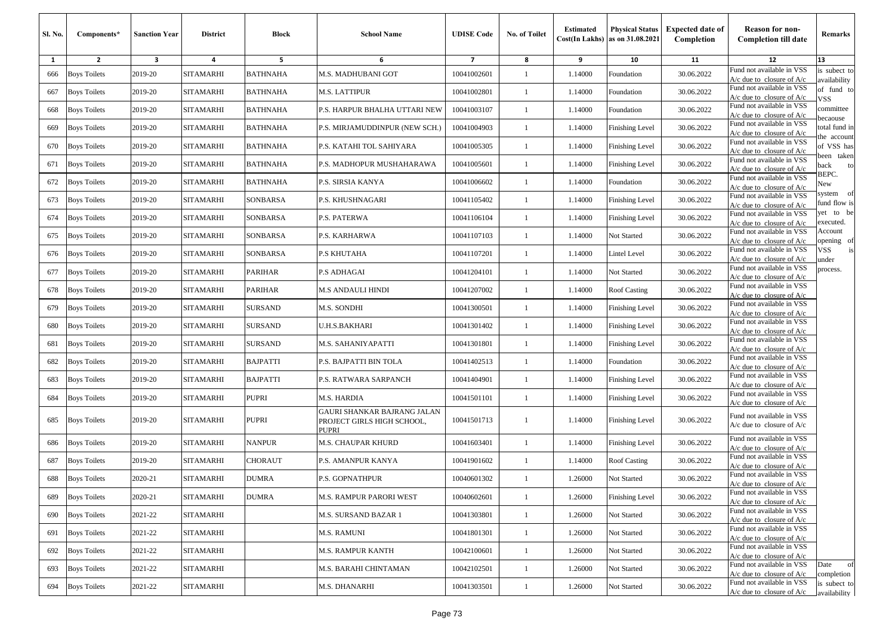| <b>Sl. No.</b> | Components*         | <b>Sanction Year</b>    | <b>District</b>  | <b>Block</b>    | <b>School Name</b>                                                 | <b>UDISE Code</b> | No. of Toilet | <b>Estimated</b> | <b>Physical Status</b><br>Cost(In Lakhs) as on 31.08.2021 | <b>Expected date of</b><br>Completion | <b>Reason for non-</b><br><b>Completion till date</b>      | Remarks                      |
|----------------|---------------------|-------------------------|------------------|-----------------|--------------------------------------------------------------------|-------------------|---------------|------------------|-----------------------------------------------------------|---------------------------------------|------------------------------------------------------------|------------------------------|
| 1              | $\overline{2}$      | $\overline{\mathbf{3}}$ | $\overline{a}$   | 5               | 6                                                                  | $\overline{z}$    | 8             | 9                | 10                                                        | 11                                    | 12                                                         | 13                           |
| 666            | <b>Boys Toilets</b> | 2019-20                 | <b>SITAMARHI</b> | BATHNAHA        | M.S. MADHUBANI GOT                                                 | 10041002601       | $\mathbf{1}$  | 1.14000          | Foundation                                                | 30.06.2022                            | Fund not available in VSS<br>$A/c$ due to closure of $A/c$ | s subect to<br>vailability   |
| 667            | <b>Boys Toilets</b> | 2019-20                 | <b>SITAMARHI</b> | <b>BATHNAHA</b> | M.S. LATTIPUR                                                      | 10041002801       | $\mathbf{1}$  | 1.14000          | Foundation                                                | 30.06.2022                            | Fund not available in VSS<br>$A/c$ due to closure of $A/c$ | of fund to<br>/SS            |
| 668            | <b>Boys Toilets</b> | 2019-20                 | <b>SITAMARHI</b> | BATHNAHA        | P.S. HARPUR BHALHA UTTARI NEW                                      | 10041003107       | 1             | 1.14000          | Foundation                                                | 30.06.2022                            | Fund not available in VSS<br>$A/c$ due to closure of $A/c$ | committee<br>ecaouse         |
| 669            | <b>Boys Toilets</b> | 2019-20                 | <b>SITAMARHI</b> | <b>BATHNAHA</b> | P.S. MIRJAMUDDINPUR (NEW SCH.)                                     | 10041004903       | $\mathbf{1}$  | 1.14000          | <b>Finishing Level</b>                                    | 30.06.2022                            | Fund not available in VSS<br>$A/c$ due to closure of $A/c$ | otal fund in                 |
| 670            | <b>Boys Toilets</b> | 2019-20                 | <b>SITAMARHI</b> | <b>BATHNAHA</b> | P.S. KATAHI TOL SAHIYARA                                           | 10041005305       | $\mathbf{1}$  | 1.14000          | <b>Finishing Level</b>                                    | 30.06.2022                            | Fund not available in VSS<br>$A/c$ due to closure of $A/c$ | he account<br>of VSS has     |
| 671            | <b>Boys Toilets</b> | 2019-20                 | <b>SITAMARHI</b> | <b>BATHNAHA</b> | P.S. MADHOPUR MUSHAHARAWA                                          | 10041005601       | $\mathbf{1}$  | 1.14000          | <b>Finishing Level</b>                                    | 30.06.2022                            | Fund not available in VSS<br>$A/c$ due to closure of $A/c$ | een taken<br>ack<br>to       |
| 672            | <b>Boys Toilets</b> | 2019-20                 | <b>SITAMARHI</b> | <b>BATHNAHA</b> | P.S. SIRSIA KANYA                                                  | 10041006602       | $\mathbf{1}$  | 1.14000          | Foundation                                                | 30.06.2022                            | Fund not available in VSS<br>$A/c$ due to closure of $A/c$ | BEPC.<br>New                 |
| 673            | <b>Boys Toilets</b> | 2019-20                 | <b>SITAMARHI</b> | SONBARSA        | P.S. KHUSHNAGARI                                                   | 10041105402       | 1             | 1.14000          | <b>Finishing Level</b>                                    | 30.06.2022                            | Fund not available in VSS<br>A/c due to closure of A/c     | of<br>system<br>und flow is  |
| 674            | <b>Boys Toilets</b> | 2019-20                 | <b>SITAMARHI</b> | SONBARSA        | P.S. PATERWA                                                       | 10041106104       | $\mathbf{1}$  | 1.14000          | Finishing Level                                           | 30.06.2022                            | Fund not available in VSS<br>$A/c$ due to closure of $A/c$ | et to be<br>xecuted.         |
| 675            | <b>Boys Toilets</b> | 2019-20                 | <b>SITAMARHI</b> | SONBARSA        | P.S. KARHARWA                                                      | 10041107103       | $\mathbf{1}$  | 1.14000          | Not Started                                               | 30.06.2022                            | Fund not available in VSS<br>A/c due to closure of A/c     | Account<br>pening of         |
| 676            | <b>Boys Toilets</b> | 2019-20                 | <b>SITAMARHI</b> | SONBARSA        | P.S KHUTAHA                                                        | 10041107201       | $\mathbf{1}$  | 1.14000          | Lintel Level                                              | 30.06.2022                            | Fund not available in VSS<br>A/c due to closure of $A/c$   | VSS<br>is<br>ınder           |
| 677            | <b>Boys Toilets</b> | 2019-20                 | <b>SITAMARHI</b> | PARIHAR         | <b>P.S ADHAGAI</b>                                                 | 10041204101       | $\mathbf{1}$  | 1.14000          | Not Started                                               | 30.06.2022                            | Fund not available in VSS<br>A/c due to closure of $A/c$   | process.                     |
| 678            | <b>Boys Toilets</b> | 2019-20                 | <b>SITAMARHI</b> | PARIHAR         | M.S ANDAULI HINDI                                                  | 10041207002       | $\mathbf{1}$  | 1.14000          | <b>Roof Casting</b>                                       | 30.06.2022                            | Fund not available in VSS<br>$A/c$ due to closure of $A/c$ |                              |
| 679            | <b>Boys Toilets</b> | 2019-20                 | <b>SITAMARHI</b> | <b>SURSAND</b>  | M.S. SONDHI                                                        | 10041300501       | $\mathbf{1}$  | 1.14000          | <b>Finishing Level</b>                                    | 30.06.2022                            | Fund not available in VSS<br>$A/c$ due to closure of $A/c$ |                              |
| 680            | <b>Boys Toilets</b> | 2019-20                 | <b>SITAMARHI</b> | <b>SURSAND</b>  | U.H.S.BAKHARI                                                      | 10041301402       | 1             | 1.14000          | <b>Finishing Level</b>                                    | 30.06.2022                            | Fund not available in VSS<br>$A/c$ due to closure of $A/c$ |                              |
| 681            | <b>Boys Toilets</b> | 2019-20                 | <b>SITAMARHI</b> | <b>SURSAND</b>  | M.S. SAHANIYAPATTI                                                 | 10041301801       | $\mathbf{1}$  | 1.14000          | <b>Finishing Level</b>                                    | 30.06.2022                            | Fund not available in VSS<br>A/c due to closure of $A/c$   |                              |
| 682            | <b>Boys Toilets</b> | 2019-20                 | <b>SITAMARHI</b> | <b>BAJPATTI</b> | P.S. BAJPATTI BIN TOLA                                             | 10041402513       | $\mathbf{1}$  | 1.14000          | Foundation                                                | 30.06.2022                            | Fund not available in VSS<br>$A/c$ due to closure of $A/c$ |                              |
| 683            | <b>Boys Toilets</b> | 2019-20                 | <b>SITAMARHI</b> | <b>BAJPATTI</b> | P.S. RATWARA SARPANCH                                              | 10041404901       | $\mathbf{1}$  | 1.14000          | <b>Finishing Level</b>                                    | 30.06.2022                            | Fund not available in VSS<br>A/c due to closure of $A/c$   |                              |
| 684            | <b>Boys Toilets</b> | 2019-20                 | <b>SITAMARHI</b> | PUPRI           | M.S. HARDIA                                                        | 10041501101       | $\mathbf{1}$  | 1.14000          | Finishing Level                                           | 30.06.2022                            | Fund not available in VSS<br>A/c due to closure of A/c     |                              |
| 685            | <b>Boys Toilets</b> | 2019-20                 | <b>SITAMARHI</b> | PUPRI           | GAURI SHANKAR BAJRANG JALAN<br>PROJECT GIRLS HIGH SCHOOL,<br>PUPRI | 10041501713       | $\mathbf{1}$  | 1.14000          | Finishing Level                                           | 30.06.2022                            | Fund not available in VSS<br>$A/c$ due to closure of $A/c$ |                              |
| 686            | <b>Boys Toilets</b> | 2019-20                 | <b>SITAMARHI</b> | <b>NANPUR</b>   | M.S. CHAUPAR KHURD                                                 | 10041603401       | $\mathbf{1}$  | 1.14000          | Finishing Level                                           | 30.06.2022                            | Fund not available in VSS<br>$A/c$ due to closure of $A/c$ |                              |
| 687            | <b>Boys Toilets</b> | 2019-20                 | <b>SITAMARHI</b> | CHORAUT         | P.S. AMANPUR KANYA                                                 | 10041901602       | $\mathbf{1}$  | 1.14000          | Roof Casting                                              | 30.06.2022                            | Fund not available in VSS<br>A/c due to closure of A/c     |                              |
| 688            | <b>Boys Toilets</b> | 2020-21                 | SITAMARHI        | DUMRA           | P.S. GOPNATHPUR                                                    | 10040601302       | 1             | 1.26000          | Not Started                                               | 30.06.2022                            | Fund not available in VSS<br>$A/c$ due to closure of $A/c$ |                              |
| 689            | <b>Boys Toilets</b> | 2020-21                 | <b>SITAMARHI</b> | <b>DUMRA</b>    | M.S. RAMPUR PARORI WEST                                            | 10040602601       | $\mathbf{1}$  | 1.26000          | <b>Finishing Level</b>                                    | 30.06.2022                            | Fund not available in VSS<br>$A/c$ due to closure of $A/c$ |                              |
| 690            | <b>Boys Toilets</b> | 2021-22                 | <b>SITAMARHI</b> |                 | M.S. SURSAND BAZAR 1                                               | 10041303801       | $\mathbf{1}$  | 1.26000          | Not Started                                               | 30.06.2022                            | Fund not available in VSS<br>$A/c$ due to closure of $A/c$ |                              |
| 691            | <b>Boys Toilets</b> | 2021-22                 | SITAMARHI        |                 | M.S. RAMUNI                                                        | 10041801301       | $\mathbf{1}$  | 1.26000          | Not Started                                               | 30.06.2022                            | Fund not available in VSS<br>$A/c$ due to closure of $A/c$ |                              |
| 692            | <b>Boys Toilets</b> | 2021-22                 | <b>SITAMARHI</b> |                 | <b>M.S. RAMPUR KANTH</b>                                           | 10042100601       | $\mathbf{1}$  | 1.26000          | Not Started                                               | 30.06.2022                            | Fund not available in VSS<br>$A/c$ due to closure of $A/c$ |                              |
| 693            | <b>Boys Toilets</b> | 2021-22                 | <b>SITAMARHI</b> |                 | M.S. BARAHI CHINTAMAN                                              | 10042102501       | $\mathbf{1}$  | 1.26000          | Not Started                                               | 30.06.2022                            | Fund not available in VSS<br>A/c due to closure of A/c     | Date<br>of<br>completion     |
| 694            | <b>Boys Toilets</b> | 2021-22                 | SITAMARHI        |                 | M.S. DHANARHI                                                      | 10041303501       | $\mathbf{1}$  | 1.26000          | Not Started                                               | 30.06.2022                            | Fund not available in VSS<br>$A/c$ due to closure of $A/c$ | is subect to<br>availability |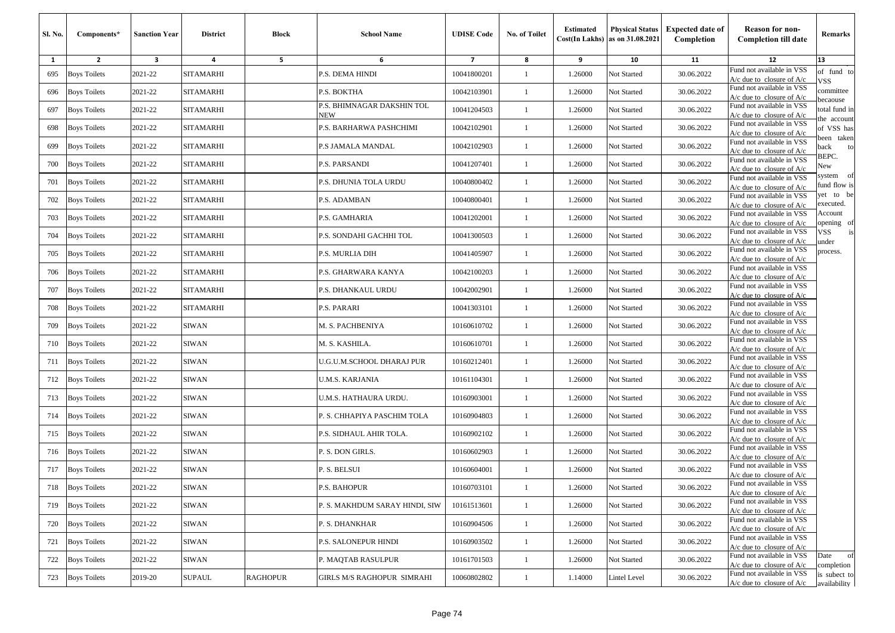| Sl. No.      | Components*         | <b>Sanction Year</b>    | <b>District</b>  | <b>Block</b>    | <b>School Name</b>                | <b>UDISE Code</b> | <b>No. of Toilet</b> | <b>Estimated</b> | <b>Physical Status</b><br>Cost(In Lakhs) as on 31.08.2021 | <b>Expected date of</b><br>Completion | <b>Reason for non-</b><br><b>Completion till date</b>      | Remarks                             |
|--------------|---------------------|-------------------------|------------------|-----------------|-----------------------------------|-------------------|----------------------|------------------|-----------------------------------------------------------|---------------------------------------|------------------------------------------------------------|-------------------------------------|
| $\mathbf{1}$ | $\overline{2}$      | $\overline{\mathbf{3}}$ | 4                | 5               | 6                                 | $\overline{7}$    | 8                    | 9                | 10                                                        | 11                                    | 12                                                         | 13                                  |
| 695          | <b>Boys Toilets</b> | 2021-22                 | <b>SITAMARHI</b> |                 | P.S. DEMA HINDI                   | 10041800201       | $\mathbf{1}$         | 1.26000          | Not Started                                               | 30.06.2022                            | Fund not available in VSS<br>$A/c$ due to closure of $A/c$ | of fund to<br>VSS                   |
| 696          | <b>Boys Toilets</b> | 2021-22                 | SITAMARHI        |                 | P.S. BOKTHA                       | 10042103901       | 1                    | 1.26000          | Not Started                                               | 30.06.2022                            | Fund not available in VSS<br>$A/c$ due to closure of $A/c$ | committee                           |
| 697          | <b>Boys Toilets</b> | 2021-22                 | <b>SITAMARHI</b> |                 | P.S. BHIMNAGAR DAKSHIN TOL<br>NEW | 10041204503       | $\mathbf{1}$         | 1.26000          | Not Started                                               | 30.06.2022                            | Fund not available in VSS<br>$A/c$ due to closure of $A/c$ | ecaouse<br>otal fund in             |
| 698          | <b>Boys Toilets</b> | 2021-22                 | SITAMARHI        |                 | P.S. BARHARWA PASHCHIMI           | 10042102901       | $\mathbf{1}$         | 1.26000          | Not Started                                               | 30.06.2022                            | Fund not available in VSS<br>A/c due to closure of A/c     | he accoun<br>of VSS has             |
| 699          | <b>Boys Toilets</b> | 2021-22                 | SITAMARHI        |                 | P.S JAMALA MANDAL                 | 10042102903       | -1                   | 1.26000          | Not Started                                               | 30.06.2022                            | Fund not available in VSS<br>$A/c$ due to closure of $A/c$ | een taken<br>ack<br>to              |
| 700          | <b>Boys Toilets</b> | 2021-22                 | SITAMARHI        |                 | P.S. PARSANDI                     | 10041207401       | 1                    | 1.26000          | Not Started                                               | 30.06.2022                            | Fund not available in VSS<br>$A/c$ due to closure of $A/c$ | BEPC.<br>New                        |
| 701          | <b>Boys Toilets</b> | 2021-22                 | SITAMARHI        |                 | P.S. DHUNIA TOLA URDU             | 10040800402       | $\mathbf{1}$         | 1.26000          | Not Started                                               | 30.06.2022                            | Fund not available in VSS<br>$A/c$ due to closure of $A/c$ | system<br>- of<br>und flow is       |
| 702          | <b>Boys Toilets</b> | 2021-22                 | SITAMARHI        |                 | P.S. ADAMBAN                      | 10040800401       | $\mathbf{1}$         | 1.26000          | Not Started                                               | 30.06.2022                            | Fund not available in VSS<br>A/c due to closure of A/c     | et to be<br>xecuted.                |
| 703          | <b>Boys Toilets</b> | 2021-22                 | SITAMARHI        |                 | P.S. GAMHARIA                     | 10041202001       | -1                   | 1.26000          | Not Started                                               | 30.06.2022                            | Fund not available in VSS<br>$A/c$ due to closure of $A/c$ | Account<br>pening of                |
| 704          | <b>Boys Toilets</b> | 2021-22                 | SITAMARHI        |                 | P.S. SONDAHI GACHHI TOL           | 10041300503       | $\mathbf{1}$         | 1.26000          | Not Started                                               | 30.06.2022                            | Fund not available in VSS<br>A/c due to closure of A/c     | is<br>/SS<br>ınder                  |
| 705          | <b>Boys Toilets</b> | 2021-22                 | SITAMARHI        |                 | P.S. MURLIA DIH                   | 10041405907       | 1                    | 1.26000          | Not Started                                               | 30.06.2022                            | Fund not available in VSS<br>$A/c$ due to closure of $A/c$ | process.                            |
| 706          | <b>Boys Toilets</b> | 2021-22                 | SITAMARHI        |                 | P.S. GHARWARA KANYA               | 10042100203       | -1                   | 1.26000          | Not Started                                               | 30.06.2022                            | Fund not available in VSS<br>$A/c$ due to closure of $A/c$ |                                     |
| 707          | <b>Boys Toilets</b> | 2021-22                 | SITAMARHI        |                 | P.S. DHANKAUL URDU                | 10042002901       | 1                    | 1.26000          | Not Started                                               | 30.06.2022                            | Fund not available in VSS<br>$A/c$ due to closure of $A/c$ |                                     |
| 708          | <b>Boys Toilets</b> | 2021-22                 | <b>SITAMARHI</b> |                 | P.S. PARARI                       | 10041303101       | 1                    | 1.26000          | Not Started                                               | 30.06.2022                            | Fund not available in VSS<br>$A/c$ due to closure of $A/c$ |                                     |
| 709          | <b>Boys Toilets</b> | 2021-22                 | SIWAN            |                 | M. S. PACHBENIYA                  | 10160610702       | 1                    | 1.26000          | Not Started                                               | 30.06.2022                            | Fund not available in VSS<br>$A/c$ due to closure of $A/c$ |                                     |
| 710          | <b>Boys Toilets</b> | 2021-22                 | SIWAN            |                 | M. S. KASHILA.                    | 10160610701       | -1                   | 1.26000          | Not Started                                               | 30.06.2022                            | Fund not available in VSS<br>A/c due to closure of A/c     |                                     |
| 711          | <b>Boys Toilets</b> | 2021-22                 | <b>SIWAN</b>     |                 | U.G.U.M.SCHOOL DHARAJ PUR         | 10160212401       | 1                    | 1.26000          | Not Started                                               | 30.06.2022                            | Fund not available in VSS<br>$A/c$ due to closure of $A/c$ |                                     |
| 712          | <b>Boys Toilets</b> | 2021-22                 | SIWAN            |                 | U.M.S. KARJANIA                   | 10161104301       | -1                   | 1.26000          | Not Started                                               | 30.06.2022                            | Fund not available in VSS<br>$A/c$ due to closure of $A/c$ |                                     |
| 713          | <b>Boys Toilets</b> | 2021-22                 | SIWAN            |                 | U.M.S. HATHAURA URDU.             | 10160903001       | 1                    | 1.26000          | Not Started                                               | 30.06.2022                            | Fund not available in VSS<br>$A/c$ due to closure of $A/c$ |                                     |
| 714          | <b>Boys Toilets</b> | 2021-22                 | SIWAN            |                 | P. S. CHHAPIYA PASCHIM TOLA       | 10160904803       | 1                    | 1.26000          | Not Started                                               | 30.06.2022                            | Fund not available in VSS<br>$A/c$ due to closure of $A/c$ |                                     |
| 715          | <b>Boys Toilets</b> | 2021-22                 | <b>SIWAN</b>     |                 | P.S. SIDHAUL AHIR TOLA.           | 10160902102       | $\mathbf{1}$         | 1.26000          | Not Started                                               | 30.06.2022                            | Fund not available in VSS<br>$A/c$ due to closure of $A/c$ |                                     |
| 716          | <b>Boys Toilets</b> | 2021-22                 | SIWAN            |                 | P. S. DON GIRLS.                  | 10160602903       | 1                    | 1.26000          | Not Started                                               | 30.06.2022                            | Fund not available in VSS<br>A/c due to closure of A/c     |                                     |
| 717          | <b>Boys Toilets</b> | 2021-22                 | SIWAN            |                 | P. S. BELSUI                      | 10160604001       | 1                    | 1.26000          | Not Started                                               | 30.06.2022                            | Fund not available in VSS<br>$A/c$ due to closure of $A/c$ |                                     |
|              | 718 Boys Toilets    | 2021-22                 | SIWAN            |                 | P.S. BAHOPUR                      | 10160703101       |                      | 1.26000          | Not Started                                               | 30.06.2022                            | Fund not available in VSS<br>$A/c$ due to closure of $A/c$ |                                     |
| 719          | <b>Boys Toilets</b> | 2021-22                 | SIWAN            |                 | P. S. MAKHDUM SARAY HINDI, SIW    | 10161513601       | $\mathbf{1}$         | 1.26000          | Not Started                                               | 30.06.2022                            | Fund not available in VSS<br>$A/c$ due to closure of $A/c$ |                                     |
| 720          | <b>Boys Toilets</b> | 2021-22                 | SIWAN            |                 | P. S. DHANKHAR                    | 10160904506       | $\mathbf{1}$         | 1.26000          | Not Started                                               | 30.06.2022                            | Fund not available in VSS<br>$A/c$ due to closure of $A/c$ |                                     |
| 721          | <b>Boys Toilets</b> | 2021-22                 | <b>SIWAN</b>     |                 | <b>P.S. SALONEPUR HINDI</b>       | 10160903502       | $\mathbf{1}$         | 1.26000          | Not Started                                               | 30.06.2022                            | Fund not available in VSS<br>A/c due to closure of A/c     |                                     |
| 722          | <b>Boys Toilets</b> | 2021-22                 | SIWAN            |                 | P. MAQTAB RASULPUR                | 10161701503       | $\mathbf{1}$         | 1.26000          | Not Started                                               | 30.06.2022                            | Fund not available in VSS<br>$A/c$ due to closure of $A/c$ | Date<br><sub>of</sub><br>completion |
| 723          | <b>Boys Toilets</b> | 2019-20                 | SUPAUL           | <b>RAGHOPUR</b> | GIRLS M/S RAGHOPUR SIMRAHI        | 10060802802       | $\mathbf{1}$         | 1.14000          | <b>Lintel Level</b>                                       | 30.06.2022                            | Fund not available in VSS<br>A/c due to closure of $A/c$   | is subect to<br>availability        |